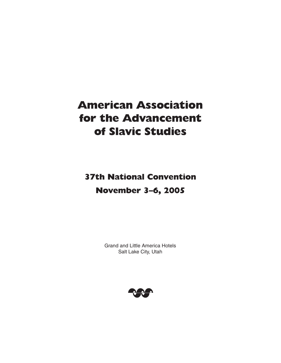# **American Association for the Advancement of Slavic Studies**

**37th National Convention November 3–6, 2005**

> Grand and Little America Hotels Salt Lake City, Utah

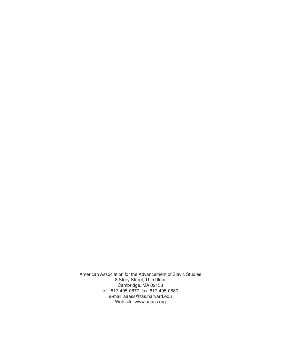American Association for the Advancement of Slavic Studies 8 Story Street, Third floor Cambridge, MA 02138 tel.: 617-495-0677, fax: 617-495-0680 e-mail: aaass@fas.harvard.edu Web site: www.aaass.org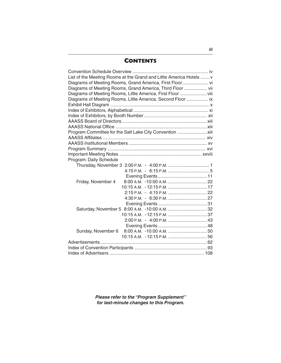#### **CONTENTS**

| List of the Meeting Rooms at the Grand and Little America Hotels  v |  |
|---------------------------------------------------------------------|--|
|                                                                     |  |
| Diagrams of Meeting Rooms, Grand America, Third Floor vii           |  |
| Diagrams of Meeting Rooms, Little America, First Floor  viii        |  |
| Diagrams of Meeting Rooms, Little America, Second Floor  ix         |  |
|                                                                     |  |
|                                                                     |  |
|                                                                     |  |
|                                                                     |  |
|                                                                     |  |
| Program Committee for the Salt Lake City Convention  xiii           |  |
|                                                                     |  |
|                                                                     |  |
|                                                                     |  |
|                                                                     |  |
| Program: Daily Schedule                                             |  |
|                                                                     |  |
|                                                                     |  |
|                                                                     |  |
| Friday, November 4                                                  |  |
| 10:15 A.M. - 12:15 P.M.  17                                         |  |
|                                                                     |  |
|                                                                     |  |
|                                                                     |  |
|                                                                     |  |
|                                                                     |  |
|                                                                     |  |
| Sunday, November 6                                                  |  |
|                                                                     |  |
|                                                                     |  |
|                                                                     |  |
|                                                                     |  |
|                                                                     |  |

**Please refer to the "Program Supplement" for last-minute changes to this Program.**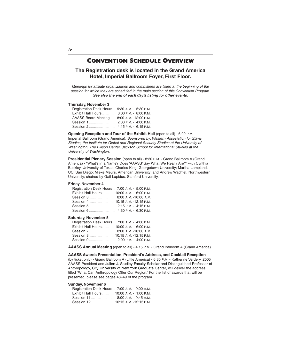#### **CONVENTION SCHEDULE OVERVIEW**

**The Registration desk is located in the Grand America Hotel, Imperial Ballroom Foyer, First Floor.**

Meetings for affiliate organizations and committees are listed at the beginning of the session for which they are scheduled in the main section of this Convention Program. **See also the end of each day's listing for other events.**

#### **Thursday, November 3**

| Registration Desk Hours  9:30 A.M. - 5:30 P.M. |  |  |  |
|------------------------------------------------|--|--|--|
| Exhibit Hall Hours  3:00 P.M. - 8:00 P.M.      |  |  |  |
| AAASS Board Meeting  8:00 A.M. -12:00 P.M.     |  |  |  |
|                                                |  |  |  |
|                                                |  |  |  |
|                                                |  |  |  |

**Opening Reception and Tour of the Exhibit Hall** (open to all) - 6:00 P.M. - Imperial Ballroom (Grand America). Sponsored by: Western Association for Slavic Studies, the Institute for Global and Regional Security Studies at the University of Washington, The Ellison Center, Jackson School for International Studies at the University of Washington.

**Presidential Plenary Session** (open to all) - 8:30 P.M. - Grand Ballroom A (Grand America) - "What's in a Name? Does 'AAASS' Say What We Really Are?" with Cynthia Buckley, University of Texas; Charles King, Georgetown University; Martha Lampland, UC, San Diego; Mieke Meurs, American University; and Andrew Wachtel, Northwestern University; chaired by Gail Lapidus, Stanford University.

#### **Friday, November 4**

| Registration Desk Hours  7:00 A.M. - 5:00 P.M. |  |
|------------------------------------------------|--|
| Exhibit Hall Hours  10:00 A.M. - 6:00 P.M.     |  |
| Session 3  8:00 А.М. -10:00 А.М.               |  |
| Session 4  10:15 A.M. -12:15 P.M.              |  |
| Session 5  2:15 P.M. - 4:15 P.M.               |  |
| Session 6  4:30 P.M. - 6:30 P.M.               |  |

#### **Saturday, November 5**

| Registration Desk Hours  7:00 A.M. - 4:00 P.M. |  |  |
|------------------------------------------------|--|--|
| Exhibit Hall Hours  10:00 A.M. - 6:00 P.M.     |  |  |
| Session 7  8:00 A.M. -10:00 A.M.               |  |  |
| Session 8  10:15 A.M. -12:15 P.M.              |  |  |
| Session 9  2:00 P.M. - 4:00 P.M.               |  |  |
|                                                |  |  |

**AAASS Annual Meeting** (open to all) - 4:15 P.M. - Grand Ballroom A (Grand America)

#### **AAASS Awards Presentation, President's Address, and Cocktail Reception**

(by ticket only) - Grand Ballroom A (Little America) - 6:30 P.M. - Katherine Verdery, 2005 AAASS President and Julien J. Studley Faculty Scholar and Distinguished Professor of Anthropology, City University of New York Graduate Center, will deliver the address titled "What Can Anthropology Offer Our Region." For the list of awards that will be presented, please see pages 48–49 of the program.

#### **Sunday, November 6**

| Registration Desk Hours  7:00 A.M. - 9:00 A.M. |  |  |
|------------------------------------------------|--|--|
| Exhibit Hall Hours  10:00 A.M. - 1:00 P.M.     |  |  |
| Session 11  8:00 A.M. - 9:45 A.M.              |  |  |
| Session 12  10:15 A.M. -12:15 P.M.             |  |  |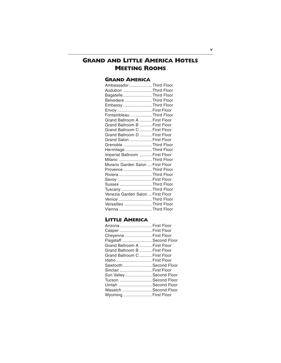#### **GRAND AND LITTLE AMERICA HOTELS MEETING ROOMS**

#### **GRAND AMERICA**

| AmbassadorThird Floor             |  |
|-----------------------------------|--|
| Audubon Third Floor               |  |
| Bagatelle Third Floor             |  |
| Belvedere Third Floor             |  |
| Embassy Third Floor               |  |
| Envoy  First Floor                |  |
| Fontainbleau Third Floor          |  |
| Grand Ballroom A  First Floor     |  |
| Grand Ballroom B  First Floor     |  |
| Grand Ballroom C  First Floor     |  |
| Grand Ballroom D  First Floor     |  |
| Grand Salon  First Floor          |  |
| Grenoble Third Floor              |  |
| Hermitage Third Floor             |  |
| Imperial Ballroom  First Floor    |  |
| Milano Third Floor                |  |
| Murano Garden Salon  First Floor  |  |
| Provence Third Floor              |  |
| Riviera Third Floor               |  |
| Savoy  First Floor                |  |
| Sussex Third Floor                |  |
| Tuscany Third Floor               |  |
| Venezia Garden Salon  First Floor |  |
| Venice Third Floor                |  |
| Versailles Third Floor            |  |
| Vienna Third Floor                |  |

#### **LITTLE AMERICA**

| Arizona  First Floor          |  |
|-------------------------------|--|
| Casper  First Floor           |  |
| Cheyenne  First Floor         |  |
| Flagstaff  Second Floor       |  |
| Grand Ballroom A  First Floor |  |
| Grand Ballroom B  First Floor |  |
| Grand Ballroom C  First Floor |  |
| Idaho  First Floor            |  |
| Sawtooth  Second Floor        |  |
| Sinclair  First Floor         |  |
| Sun Valley  Second Floor      |  |
| Tucson  Second Floor          |  |
| Uintah  Second Floor          |  |
| Wasatch  Second Floor         |  |
| Wyoming  First Floor          |  |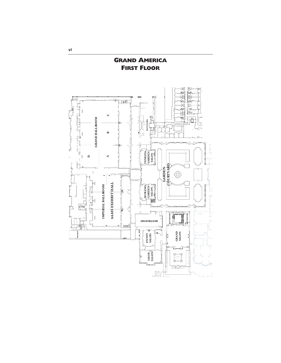

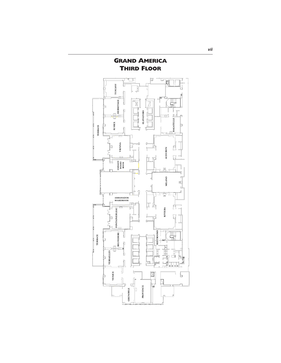

**GRAND AMERICA**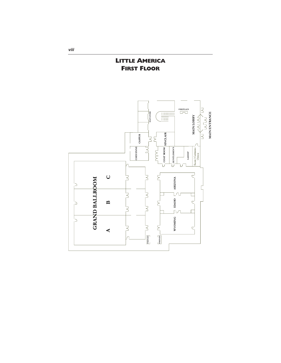**LITTLE AMERICA FIRST FLOOR**



**viii**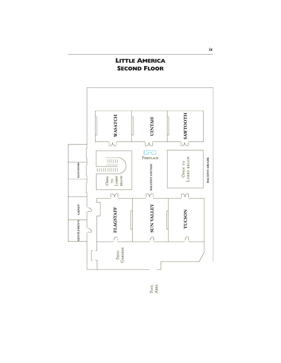#### **LITTLE AMERICA SECOND FLOOR**



Pool<br>Area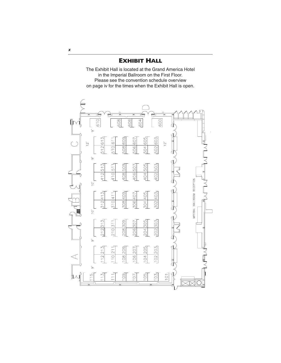**EXHIBIT HALL**

The Exhibit Hall is located at the Grand America Hotel in the Imperial Ballroom on the First Floor. Please see the convention schedule overview on page iv for the times when the Exhibit Hall is open.



**x**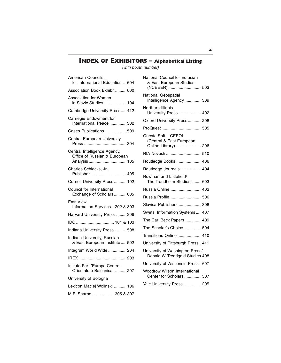### **INDEX OF EXHIBITORS – Alphabetical Listing**

(with booth number)

| American Councils<br>for International Education  604                         |
|-------------------------------------------------------------------------------|
| Association Book Exhibit 600                                                  |
| <b>Association for Women</b><br>in Slavic Studies  104                        |
| Cambridge University Press 412                                                |
| Carnegie Endowment for<br>International Peace  302                            |
| Cases Publications 509                                                        |
| Central European University                                                   |
| Central Intelligence Agency,<br>Office of Russian & European<br>Analysis  105 |
| Charles Schlacks, Jr.,<br>Publisher  405                                      |
| Cornell University Press 102                                                  |
| Council for International<br>Exchange of Scholars605                          |
| East View<br>Information Services  202 & 303                                  |
| Harvard University Press 306                                                  |
| IDC  101 & 103                                                                |
| Indiana University Press  508                                                 |
| Indiana University, Russian<br>& East European Institute  502                 |
| Integrum World Wide  204                                                      |
|                                                                               |
| Istituto Per L'Europa Centro-<br>Orientale e Balcanica,  207                  |
| University of Bologna                                                         |
| Lexicon Maciej Wolinski  106                                                  |
| M.E. Sharpe  305 & 307                                                        |

| National Council for Eurasian<br>& East European Studies<br>(NCEEER) 503 |
|--------------------------------------------------------------------------|
| National Geospatial<br>Intelligence Agency 309                           |
| Northern Illinois<br>University Press  402                               |
| Oxford University Press208                                               |
|                                                                          |
| Questa Soft - CEEOL<br>(Central & East European<br>Online Library) 206   |
| RIA Novosti 510                                                          |
| Routledge Books  406                                                     |
| Routledge Journals  404                                                  |
| Rowman and Littlefield/<br>The Trondheim Studies  603                    |
| Russia Online  403                                                       |
| Russia Profile  506                                                      |
| Slavica Publishers  308                                                  |
| Swets Information Systems 407                                            |
| The Carl Beck Papers  409                                                |
| The Scholar's Choice 504                                                 |
| Transitions Online  410                                                  |
| University of Pittsburgh Press411                                        |
| University of Washington Press/<br>Donald W. Treadgold Studies 408       |
| University of Wisconsin Press 607                                        |
| <b>Woodrow Wilson International</b><br>Center for Scholars 507           |
| Yale University Press  205                                               |
|                                                                          |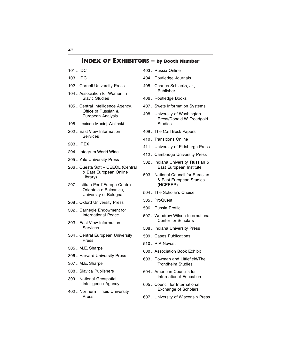- 101 .. IDC
- 103 .. IDC
- 102 .. Cornell University Press
- 104 .. Association for Women in Slavic Studies
- 105 .. Central Intelligence Agency, Office of Russian & European Analysis
- 106 .. Lexicon Maciej Wolinski
- 202 .. East View Information **Services**
- 203 .. IREX
- 204 .. Integrum World Wide
- 205 .. Yale University Press
- 206 .. Questa Soft CEEOL (Central & East European Online Library)
- 207 .. Istituto Per L'Europa Centro-Orientale e Balcanica, University of Bologna
- 208 .. Oxford University Press
- 302 .. Carnegie Endowment for International Peace
- 303 .. East View Information Services
- 304 .. Central European University Press
- 305 .. M.E. Sharpe
- 306 .. Harvard University Press
- 307 .. M.E. Sharpe
- 308 .. Slavica Publishers
- 309 .. National Geospatial-Intelligence Agency
- 402 .. Northern Illinois University Press
- 403 .. Russia Online
- 404 .. Routledge Journals
- 405 .. Charles Schlacks, Jr., Publisher
- 406 .. Routledge Books
- 407 .. Swets Information Systems
- 408 .. University of Washington Press/Donald W. Treadgold Studies
- 409 .. The Carl Beck Papers
- 410 .. Transitions Online
- 411 .. University of Pittsburgh Press
- 412 .. Cambridge University Press
- 502 .. Indiana University, Russian & East European Institute
- 503 .. National Council for Eurasian & East European Studies (NCEEER)
- 504 .. The Scholar's Choice
- 505 .. ProQuest
- 506 .. Russia Profile
- 507 .. Woodrow Wilson International Center for Scholars
- 508 .. Indiana University Press
- 509 .. Cases Publications
- 510 .. RIA Novosti
- 600 .. Association Book Exhibit
- 603 .. Rowman and Littlefield/The Trondheim Studies
- 604 .. American Councils for International Education
- 605 .. Council for International Exchange of Scholars
- 607 .. University of Wisconsin Press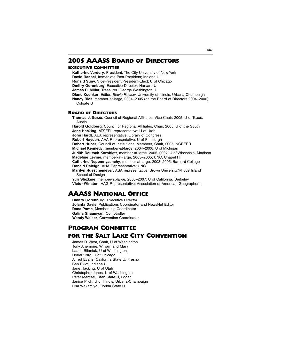#### **2005 AAASS BOARD OF DIRECTORS**

#### **EXECUTIVE COMMITTEE**

**Katherine Verdery**, President; The City University of New York **David Ransel**, Immediate Past-President; Indiana U **Ronald Suny**, Vice-President/President-Elect; U of Chicago **Dmitry Gorenburg**, Executive Director; Harvard U **James R. Millar**, Treasurer; George Washington U **Diane Koenker**, Editor, Slavic Review; University of Illinois, Urbana-Champaign **Nancy Ries**, member-at-large, 2004–2005 (on the Board of Directors 2004–2006); Colgate U

#### **BOARD OF DIRECTORS**

**Thomas J. Garza**, Council of Regional Affiliates, Vice-Chair, 2005; U of Texas, Austin

**Harold Goldberg**, Council of Regional Affiliates, Chair, 2005; U of the South **Jane Hacking**, ATSEEL representative; U of Utah **John Hardt**, AEA representative; Library of Congress **Robert Hayden**, AAA Representative; U of Pittsburgh **Robert Huber**, Council of Institutional Members, Chair, 2005; NCEEER **Michael Kennedy**, member-at-large, 2004–2006; U of Michigan **Judith Deutsch Kornblatt**, member-at-large, 2005–2007; U of Wisconsin, Madison **Madeline Levine**, member-at-large, 2003–2005; UNC, Chapel Hill **Catharine Nepomnyashchy**, member-at-large, 2003–2005; Barnard College **Donald Raleigh**, AHA Representative; UNC **Marilyn Rueschemeyer**, ASA representative; Brown University/Rhode Island School of Design **Yuri Slezkine**, member-at-large, 2005–2007; U of California, Berkeley **Victor Winston**, AAG Representative; Association of American Geographers

#### **AAASS NATIONAL OFFICE**

**Dmitry Gorenburg**, Executive Director **Jolanta Davis**, Publications Coordinator and NewsNet Editor **Dana Ponte**, Membership Coordinator **Galina Shaumyan**, Comptroller **Wendy Walker**, Convention Coordinator

#### **PROGRAM COMMITTEE FOR THE SALT LAKE CITY CONVENTION**

James D. West, Chair, U of Washington Tony Anemone, William and Mary Laada Bilaniuk, U of Washington Robert Bird, U of Chicago Alfred Evans, California State U, Fresno Ben Eklof, Indiana U Jane Hacking, U of Utah Christopher Jones, U of Washington Peter Mentzel, Utah State U, Logan Janice Pilch, U of Illinois, Urbana-Champaign Lisa Wakamiya, Florida State U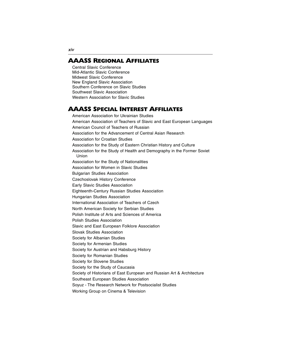#### **AAASS REGIONAL AFFILIATES**

Central Slavic Conference Mid-Atlantic Slavic Conference Midwest Slavic Conference New England Slavic Association Southern Conference on Slavic Studies Southwest Slavic Association Western Association for Slavic Studies

#### **AAASS SPECIAL INTEREST AFFILIATES**

American Association for Ukrainian Studies American Association of Teachers of Slavic and East European Languages American Council of Teachers of Russian Association for the Advancement of Central Asian Research Association for Croatian Studies Association for the Study of Eastern Christian History and Culture Association for the Study of Health and Demography in the Former Soviet Union Association for the Study of Nationalities Association for Women in Slavic Studies Bulgarian Studies Association Czechoslovak History Conference Early Slavic Studies Association Eighteenth-Century Russian Studies Association Hungarian Studies Association International Association of Teachers of Czech North American Society for Serbian Studies Polish Institute of Arts and Sciences of America Polish Studies Association Slavic and East European Folklore Association Slovak Studies Association Society for Albanian Studies Society for Armenian Studies Society for Austrian and Habsburg History Society for Romanian Studies Society for Slovene Studies Society for the Study of Caucasia Society of Historians of East European and Russian Art & Architecture Southeast European Studies Association Soyuz - The Research Network for Postsocialist Studies Working Group on Cinema & Television

**xiv**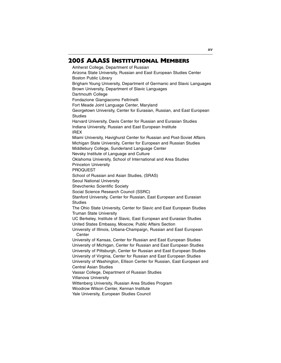#### **2005 AAASS INSTITUTIONAL MEMBERS**

Amherst College, Department of Russian Arizona State University, Russian and East European Studies Center Boston Public Library Brigham Young University, Department of Germanic and Slavic Languages Brown University, Department of Slavic Languages Dartmouth College Fondazione Giangiacomo Feltrinelli Fort Meade Joint Language Center, Maryland Georgetown University, Center for Eurasian, Russian, and East European Studies Harvard University, Davis Center for Russian and Eurasian Studies Indiana University, Russian and East European Institute IREX Miami University, Havighurst Center for Russian and Post-Soviet Affairs Michigan State University, Center for European and Russian Studies Middlebury College, Sunderland Language Center Nevsky Institute of Language and Culture Oklahoma University, School of International and Area Studies Princeton University PROQUEST School of Russian and Asian Studies, (SRAS) Seoul National University Shevchenko Scientific Society Social Science Research Council (SSRC) Stanford University, Center for Russian, East European and Eurasian Studies The Ohio State University, Center for Slavic and East European Studies Truman State University UC Berkeley, Institute of Slavic, East European and Eurasian Studies United States Embassy, Moscow, Public Affairs Section University of Illinois, Urbana-Champaign, Russian and East European **Center** University of Kansas, Center for Russian and East European Studies University of Michigan, Center for Russian and East European Studies University of Pittsburgh, Center for Russian and East European Studies University of Virginia, Center for Russian and East European Studies University of Washington, Ellison Center for Russian, East European and Central Asian Studies Vassar College, Department of Russian Studies Villanova University Wittenberg University, Russian Area Studies Program Woodrow Wilson Center, Kennan Institute Yale University, European Studies Council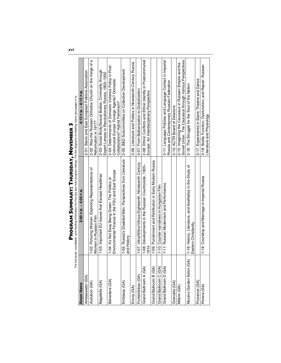|                          | For full panel, roundtable, and meeting information for this day see main program listings. For the diagrams of meeting rooms see pages vi-ix.<br>FROGRAM SUMMARY: I HURSDAY, MOVEMBER 3 |                                                                                                                                          |
|--------------------------|------------------------------------------------------------------------------------------------------------------------------------------------------------------------------------------|------------------------------------------------------------------------------------------------------------------------------------------|
| Room Name                | 2:00 P.M. – 4:00 P.M.                                                                                                                                                                    | 4:15 P.M. - 6:15 P.M.                                                                                                                    |
| Ambassador (GA)          |                                                                                                                                                                                          | 2-01: Slavic and East European Folklore Association                                                                                      |
| Audubon (GA)             | 1-02: Picturing Women: Exploring Representations of<br>Women in Russian Film                                                                                                             | α<br>2-02: Was the Russian Orthodox Church on the Verge of<br>Reformation in 1917?                                                       |
| Bagatelle (GA)           | 1-03: Important EU Issues that Escape Headlines                                                                                                                                          | 2-03: Social Body/Sexual Bodies: Criminality through<br>Expert Lenses in Revolutionary Russia, 1900-1930                                 |
| Belvedere (GA)           | Environmental Finance in the FSU and East Europe<br>1-04: It's Not Easy Being Green: The Politics of                                                                                     | 2-04: Determinants of Domestic Violence Policy in Post-<br>Communist Europe: Foreign Agents? Domestic<br>Collaborators? Hybrid Feminism? |
| Embassy (GA)             | 1-05: Russia's Disabled Men: Perspectives from Literature<br>and History                                                                                                                 | 2-05: B&D Subcommittee on Collection Development                                                                                         |
| Envoy (GA)               |                                                                                                                                                                                          | 2-06: Literature and Politics in Nineteenth-Century Russia                                                                               |
| Fontainbleau (GA)        | 1-07: Vilna/Wilno/Vilnius Eighteenth, Nineteenth Century                                                                                                                                 | 2-07: From Balkanization to Globalization                                                                                                |
| Grand Ballroom A (GA)    | 1-08: Developments in the Russian Countryside, 1905-<br>1914                                                                                                                             | 2-08: Ethnic Conflicts and Ethnic Identity in Postcommunist<br>Europe: An Interdisciplinary Perspective                                  |
| Grand Ballroom B (GA)    | 1-09: Punishment and Retribution in Early Modern Russia                                                                                                                                  |                                                                                                                                          |
| Grand Ballroom C (GA)    | 1-10: Counter-narratives in Hungarian Film                                                                                                                                               |                                                                                                                                          |
| Grand Ballroom D (GA)    | 1-11: Russian Modernism and Performance                                                                                                                                                  | 2-11: Language Policies and Language Contact in Imperial<br>Russia and Contemporary Russian Federation                                   |
| Grenoble (GA)            |                                                                                                                                                                                          | 2-13: ACTR Board of Directors                                                                                                            |
| Milano (GA)              |                                                                                                                                                                                          | Soviet Union. The Caucasus through Various Perspectives<br>2-15: Imagining the Caucasus in Russian Empire and the                        |
| Murano Garden Salon (GA) | 1-16: History, Literature, and Aesthetics in the Study of<br>Eastern Christianity                                                                                                        | 2-16: The Struggle for the Soul of the Nation                                                                                            |
| Provence (GA)            |                                                                                                                                                                                          | 2-17: Experiments in Slavic Theatre and Dance                                                                                            |
| Riviera (GA)             | 1-18: Courtship and Marriage in Imperial Russia                                                                                                                                          | 2-18: Bodily Function, Dysfunction, and Repair: Russian<br>Literature and Physiology                                                     |
|                          |                                                                                                                                                                                          |                                                                                                                                          |

# **PROGRAM SUMMARY: THURSDAY, NOVEMBER 3**  n  $\begin{array}{c} \hline \end{array}$ I z Ū å D<sub>R</sub>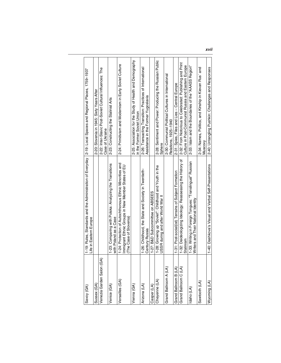| Savoy (GA)                    | 1-19: Rules, Standards and the Administration of Everyday  2-19: Local Spaces and Regional Places, 1759-1937<br>Life in Eastern Europe  |                                                                                                                 |
|-------------------------------|-----------------------------------------------------------------------------------------------------------------------------------------|-----------------------------------------------------------------------------------------------------------------|
| Sussex (GA)                   |                                                                                                                                         | 2-20: Slovenia in 1945: Sixty Years After                                                                       |
| ଟ<br>Venezia Garden Salon (G. |                                                                                                                                         | 2-22: Inter-Slavic Post-Soviet Cultural Influences: The<br>Case of Ukraine                                      |
| Venice (GA)                   | 1-23: Comparing with Polska: Analyzing the Transitions<br>with Poland as a Case                                                         | 2-23: Constructing the Stalinist Arts                                                                           |
| Versailles (GA)               | 1-24: Protection of Autochthonous Ethnic Minorities and<br>Immigrant Ethnic Groups in New Member States of EU<br>(The Case of Slovenia) | 2-24: Primitivism and Modernism in Early Soviet Culture                                                         |
| Vienna (GA)                   |                                                                                                                                         | 2-25: Association for the Study of Health and Demography<br>in the Former Soviet Union                          |
| Arizona (LA)                  | 1-26: Childhood, the State and Society in Twentieth-<br>Century Russia                                                                  | 2-26: Transacting Transition: Practices of International<br>Assistance in the Former Yugoslavia                 |
| Casper (LA)                   | 1-27: B&D Subcommittee on ABSEES                                                                                                        |                                                                                                                 |
| Cheyenne (LA)                 | 1-28: Growing up "Soviet": Childhood and Youth in the<br>USSR during and after World War II                                             | 2-28: Sentiment and Power: Producing the Russian Public<br>Sphere                                               |
| Grand Ballroom A (LA)         |                                                                                                                                         | 2-30: Communist Political Cultures in International<br>Relations. 1925-1940                                     |
| Grand Ballroom B (LA)         | 1-31: Post-social(ist) Terrains of Subiect Formation                                                                                    | 2-31: Spies, Files and Lies - Central Europe                                                                    |
| Grand Ballroom C (LA)         | 1-32: Deideologizing Ideology: Reassessing the History of<br>Stalinism                                                                  | 2-32: From Notorious to Celebrated: Publishing and Print<br>Culture in Post-Communist Russia and Eastern Europe |
| daho (LA)                     | 1-33: Writing in Foreign Tongues: "Translingual" Russian<br>Writers and Their National Identity                                         | 2-33: Islam and the Boundaries of the "AAASS Region"                                                            |
| Sawtooth (LA)                 |                                                                                                                                         | 2-34: Names, Politics, and Kinship in Kievan Rus' and<br>Muscovy                                                |
| Wyoming (LA)                  | 1-40: Dashkova's Visual and Verbal Self-Presentations                                                                                   | 2-40: Untangling Pushkin: Challenges and Responses                                                              |
|                               |                                                                                                                                         |                                                                                                                 |

**xvii**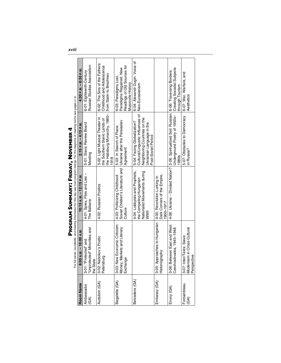|                      |                                                                                                               | For full panel, roundtable, and meeting information for this day see main program listings. For the diagrams of meeting rooms see pages vi-ix.<br>Program Summary: Friday, November 4 |                                                                                                                                                     |                                                                                                     |
|----------------------|---------------------------------------------------------------------------------------------------------------|---------------------------------------------------------------------------------------------------------------------------------------------------------------------------------------|-----------------------------------------------------------------------------------------------------------------------------------------------------|-----------------------------------------------------------------------------------------------------|
| Room Name            | 8:00 A.M. - 10:00 A.M.                                                                                        | 10:15 A.M. - 12:15 P.M.                                                                                                                                                               | 2:15 P.M. - 4:15 P.M.                                                                                                                               | 4:30 P.M. - 6:30 P.M.                                                                               |
| Ambassador<br>(GA)   | "Unprotected" Minorities and<br>3-01: "Protected" and<br>the State                                            | 4-01: Spies, Files and Lies -<br>The Balkans                                                                                                                                          | 5-01: Slavic Review Board<br>Meeting                                                                                                                | Russian Studies Association<br>6-01: Eighteenth-Century                                             |
| Audubon (GA)         | Jabokov's Poetic<br>Petersburg<br>$3-02$ : N                                                                  | 4-02: Russian Poetics                                                                                                                                                                 | the Habsburg Monarchy, 1860-<br>5-02: Light Musical Theater in<br>the Southern Slavic Lands of<br>1918                                              | 6-02: The Sins of the Fathers:<br>Childhood and Adolescence<br>from Stalin to Brezhnev              |
| Bagatelle (GA)       | <b>Jew Economic Criticism:</b><br>3-03: New Economic Criticisr<br>Money, Markets and Literary<br>po<br>Exchar | Soviet Children's Literature and Ukraine after the Pereiaslav<br>4-03: Politicizing Childhood:<br>Culture                                                                             | 5-03: In Search of Place:<br>Agreement                                                                                                              | Readings of Old Sources for<br>Paradigms Regained. New<br>6-03: Paradigms Lost<br>Muscovite History |
| Belvedere (GA)       |                                                                                                               | 4-04: Lobbyists and Prophets,<br>Nationalist Movements during<br>the Competing Hungarian<br><b>NWII</b>                                                                               | Cultural/Linguistic Influences of<br>Neighboring Countries on the<br>5-04: Facing Globalization?<br>Ukrainian Language in the<br>Post-Soviet Period | 6-04: Alexandr Dugin: Voice of<br>Neo-Eurasianism                                                   |
| Embassy (GA)         | 3-05: Approaches to Hungarian<br>Historiography                                                               | Dark Corners of the Empire,<br>4-05: Revolution Lurking in<br>1900-1917                                                                                                               |                                                                                                                                                     |                                                                                                     |
| Envoy (GA)           | 3-06: Between East and West:<br>Czechoslovakia, 1945–1948                                                     |                                                                                                                                                                                       | 4-06: Ukraine – Divided Nation?   5-06: Spiritualized Soil: Russian   6-06: Traversing Borders:<br>Underground Poetry of 1950s-<br>1980s            | Creating Socialist Subjects<br>through Tourism                                                      |
| Fontainbleau<br>(6A) | nism in Cross-Cultural<br>3-07: Inter/Texts: Slavic<br>Perspective<br>Modern                                  |                                                                                                                                                                                       | 5-07: Obstacles to Democracy<br>in Russia?                                                                                                          | 6-07: War, Warfare, and<br>Aesthetics                                                               |
|                      |                                                                                                               |                                                                                                                                                                                       |                                                                                                                                                     |                                                                                                     |

**xviii**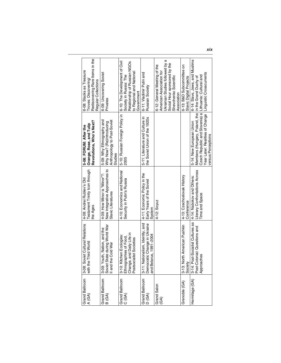| Grand Ballroom<br>A (GA) | oviet Cultural Relations<br>Third World<br>with the<br>$3-08:56$                                           | Testament Trinity Icon through<br>4-08: Andrei Rublev's Old<br>the Ages             | Revolutions, Who's Next?<br>Orange, Rose, and Tulip<br>5-08: FORUM: After the                                                                                                                                                 | Rediscovering Rare Items in the<br>6-08: Stacks as Treasure<br>Troves: Discovering/                                                                                 |
|--------------------------|------------------------------------------------------------------------------------------------------------|-------------------------------------------------------------------------------------|-------------------------------------------------------------------------------------------------------------------------------------------------------------------------------------------------------------------------------|---------------------------------------------------------------------------------------------------------------------------------------------------------------------|
| Grand Ballroom<br>B (GA) | Soviet State during World War<br>outh, Nation, and the<br>e Cold War<br>I and th<br>$3-09:Y$               | New Integrative Approaches to<br>4-09: How Minor is "Minor"?:<br>Slavic Literatures | Anthropology to Post-Soviet<br>5-09: Why Ethnography and<br>Why Now? (Re)Introducing<br>Studies                                                                                                                               | 6-09: Uncovering Soviet<br>Regular Collections<br>Privates                                                                                                          |
| Grand Ballroom<br>C(GA)  | Change, and Daily Life in<br>Postsocialist Societies<br>3-10: Kitchen Ecologies:<br>Ethnographies of Food, | 4-10: Economics and National<br>Security in Putin's Russia                          | 5-10: Russian Foreign Policy in<br>2005                                                                                                                                                                                       | 6-10: The Development of Civil<br>Relationship of Russian NGOs<br>to Regional and National<br>Society in Russia: The<br>Government                                  |
| Grand Ballroom<br>D(GA)  | Democratic Change in Ukraine<br>3-11: Nationalism, Identity, and<br>arus, 1991-2004<br>and Bel             | 4-11: Economic Policy in the<br>Early Years of the Soviet<br>System                 | 5-11: Literature and Culture in<br>the Soviet Union of the 1920s                                                                                                                                                              | 6-11: Vladimir Putin and<br>Russian Society                                                                                                                         |
| Grand Salon<br>(GA)      |                                                                                                            | 4-12: Soyuz                                                                         |                                                                                                                                                                                                                               | Ukrainian Studies followed by a<br>Social Hour sponsored by the<br>6-12: General Meeting of the<br>American Association for<br>Shevchenko Scientific<br>Association |
| Grenoble (GA)            | 3-13: North American Pushkin<br>Society                                                                    | 4-13: Czechoslovak History<br>Conference                                            |                                                                                                                                                                                                                               | 6-13: B&D Subcommittee on<br>Slavic Digital Projects                                                                                                                |
| Hermitage (GA)           | 3-14: Post-Socialist Cultures as<br>Post-Colonial: Questions and<br>Approaches                             | Literary Controntations Across<br>4-14: Nabokov and Others:<br>Time and Space       | Year Later: Realities of Change   Linguistic Crosscurrents<br>Czech Republic and Slovenia) a Lithuania: Cultural and<br>Members (Hungary, Poland, the in the Grand Duchy of<br>5-14: New European Union<br>versus Perceptions | 6-14: Slavs, Jews, and Muslims                                                                                                                                      |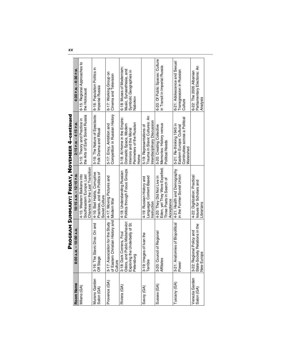|                              |                                                                                                             | <b>PROGRAM SUMMARY: FRIDAY, NOVEMBER 4-continued</b>                                                  |                                                                                                                       |                                                                                             |
|------------------------------|-------------------------------------------------------------------------------------------------------------|-------------------------------------------------------------------------------------------------------|-----------------------------------------------------------------------------------------------------------------------|---------------------------------------------------------------------------------------------|
| Room Name                    | 8:00 A.M. - 10:00 A.M.                                                                                      | 10:15 A.M. - 12:15 P.M.                                                                               | $2:15 P.M. -4:15 P.M.$                                                                                                | 4:30 P.M. - 6:30 P.M.                                                                       |
| Milano (GA)                  |                                                                                                             | Chances for the Last Transition<br>4-15: Western Balkans into<br>Southeastern Europe: Last            | the Arts of Early Soviet Russia<br>5-15: Theory and Practice in                                                       | 6-15: Regional Approaches to<br>the Holocaust                                               |
| Murano Garden<br>Salon (GA)  | 3-16: The Slavic Diva: On and<br>Off Stage                                                                  | 4-16: Bad Habits, Corruptive<br>Practices, and the Politics of<br>Soviet Culture                      | 5-16: The Nature of Spectacle:<br>Folk Drama and Ritual                                                               | 6-16: Population Politics in<br>Imperial Russia                                             |
| Provence (GA)                | 3-17: Association for the Study 4-17: Moving<br>of Eastern Christian History and Modern War<br>Culture      | 4-17: Moving Pictures and                                                                             | Competition in Russian History<br>5-17: Envy, Ambition and                                                            | 6-17: Working Group on<br>Cinema and Television                                             |
| Riviera (GA                  | 3-18: Dark Corners, Foul<br>Odors, and Public Misbehavior:<br>Exploring the Underbelly of St.<br>Petersburg | Politics through Focus Groups<br>4-18: Understanding Russian                                          | 5-18: At Home in the Empire:<br>Perimeters of the Russian<br>Domestic Space, Modern<br>nteriors and the Moral<br>Home | 6-18: Muses of Modernism:<br>Music, Synaesthesia, and<br>Symbolic Geographies in<br>Nabokov |
| Savoy (GA)                   | Images of Ivan the<br>Ф<br>13-19: I                                                                         | Language: Content Based<br>4-19: Russian History and<br>nstruction                                    | Trauma in Slavic Cultures: An<br>nterdisciplinary Discussion<br>5-19: Representations of                              |                                                                                             |
| Sussex (GA)                  | Council of Regional<br>8e<br>3-20: (<br>Affiliate                                                           | Eden, yet They Were Expelled;<br>4-20: They Did Not Live in<br>Three Poets in Search of<br>Acceptance | Memories: History versus<br>5-20: Creating Collective<br>Political Needs                                              | 6-20: Of Public Spaces: Culture<br>in Transit in Imperial Russia                            |
| Tuscany (GA)                 | 3-21: Anatomies of Biopolitical<br>Power                                                                    | 4-21: Health and Demography<br>in the Former Soviet Union                                             | Continuities across a Political<br>5-21: Re-thinking 1945 in<br>Eastern Europe: Cultural<br>Watershed                 | 6-21: Adolescence and Sexual<br>Transgression in Russian<br>Culture                         |
| Venezia Garden<br>Salon (GA) | Society Relations in the<br>Regional Policy and<br>New Europe<br>3-22: F<br>State-9                         | 4-22: Digitization: Practical<br>Issues for Scholars and<br><b>Jbrarians</b>                          |                                                                                                                       | Parliamentary Elections: An<br>6-22: The 2005 Albanian<br>Analysis                          |
|                              |                                                                                                             |                                                                                                       |                                                                                                                       |                                                                                             |

**xx**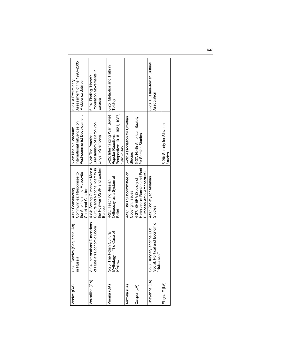| Assessment of the 1998-2005<br>6-23: A Preliminary<br>Mickiewicz Jubilee                                | Population Movements in<br>6-24: Finding "Home":<br>Eurasia                                                                                               | 6-25: Metaphor and Truth in<br>Tolstoy                                                               |                                               |                                                                                           | 6-28: Russian-Jewish Cultural<br>Association                                          |                                      |
|---------------------------------------------------------------------------------------------------------|-----------------------------------------------------------------------------------------------------------------------------------------------------------|------------------------------------------------------------------------------------------------------|-----------------------------------------------|-------------------------------------------------------------------------------------------|---------------------------------------------------------------------------------------|--------------------------------------|
| Post-communist Development<br>International Influences on<br>5-23: Not in a Vacuum:                     | 5-24: The Practical                                                                                                                                       | Perspective: 1918-1921, 1927,<br>5-25: Internalizing War: Soviet<br>Popular Reactions in<br>941-1945 | 5-26: Association for Croatian<br>Studies     | 5-27: North American Society<br>for Serbian Studies                                       |                                                                                       | 5-29: Society for Slovene<br>Studies |
| Communities: Responses to<br>the Afterlife in the Muscovite<br>4-23: Constructing<br>Court and Cloister | Culture and National Identity in   Eurasianism of Baron von<br>the Postwar USSR and Eastern   Ungern-Sternberg<br>4-24: Seeing Ourselves: Media<br>Europe | Orthodoxy as a System of<br>4-25: Teaching Russian<br>Belief                                         | 4-26: B&D Subcommittee on<br>Copyright Issues | Historians of Russian and East<br>European Art & Architecture)<br>4-27: SHERA (Society of | 4-28: Society for Albanian<br><b>Studies</b>                                          |                                      |
| Comics (Sequential Art)<br>in Russia<br>$3 - 23$                                                        | International Dimensions<br>of Russia's Economic Boom<br>$3 - 24$ :                                                                                       | 3-25: The Polish Cultural<br>Mythology – The Case of<br>Krakow                                       |                                               |                                                                                           | Social, Political and Economic<br>Hungary and the EU:<br>ances'<br>"Nuisa<br>$3 - 28$ |                                      |
| Venice (GA)                                                                                             | Versailles (GA)                                                                                                                                           | /ienna (GA)                                                                                          | Arizona (LA)                                  | Casper (LA)                                                                               | Cheyenne (LA)                                                                         | Flagstaff (LA)                       |

**xxi**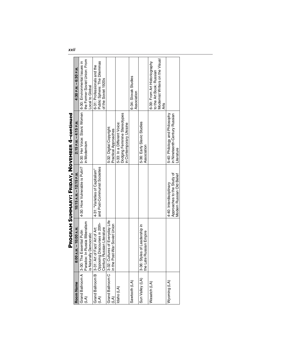|                                    |                                                                                                           | PROGRAM SUMMARY: FRIDAY, NOVEMBER 4-continued                                      |                                                                                        |                                                                                                      |
|------------------------------------|-----------------------------------------------------------------------------------------------------------|------------------------------------------------------------------------------------|----------------------------------------------------------------------------------------|------------------------------------------------------------------------------------------------------|
| Room Name                          | 8:00 A.M. - 10:00 A.M.                                                                                    | 10:15 A.M. - 12:15 P.M.                                                            | 2:15 P.M. - 4:15 P.M.                                                                  | 4:30 P.M. - 6:30 P.M.                                                                                |
| $\widetilde{A}$                    | Paradox: In Russia Illiberalism<br>Grand Ballroom A   3-30: The Essential Putin<br>s Naturally Democratic | 4-30: How Vulnerable is Putin?                                                     | 5-30: Her Voice: Slavic Women   6-30: Environmental Issues in<br>in Modernism          | the Former Soviet Union: From<br>Local to Global                                                     |
| Grand Ballroom B<br>$\mathfrak{D}$ | Opposing Discourses in 20th-<br>Century Russian Literature<br>3-31: Art of Fact/ Art of Art:              | and Post-Communist Societies<br>4-31: "Varieties of Capitalism"                    |                                                                                        | Public Sphere: The Dilemmas<br>6-31: Professionals and the<br>of the Soviet 1920s                    |
| Grand Ballroom C<br>رم             | Cultures of Everyday Life<br>Post-War Soviet Union<br>$3 - 32$ :<br>in the                                |                                                                                    | 5-32: Digital Copyright:<br>Practical Approaches                                       |                                                                                                      |
| daho (LA)                          |                                                                                                           |                                                                                    | Dodging Feminine Stereotypes<br>in Contemporary Ukraine<br>5-33: In a Different Voice: |                                                                                                      |
| Sawtooth (LA)                      |                                                                                                           |                                                                                    |                                                                                        | 6-34: Slovak Studies<br>Association                                                                  |
| Sun Valley (LA)                    | Styles of Leadership in<br>the Late Russian Empire<br>$3 - 36$ :                                          |                                                                                    | 5-36: Early Slavic Studies<br>Association                                              |                                                                                                      |
| Wasatch (LA)                       |                                                                                                           |                                                                                    |                                                                                        | Modernist Writers on the Visual<br>6-39: From Art Historiography<br>to the Art Book: Russian<br>Arts |
| Wyoming (LA)                       |                                                                                                           | Approaches to the Study of<br>Modern Russian Old Belief<br>4-40: Interdisciplinary | 5-40: Philology and Philosophy<br>in Nineteenth-Century Russian<br><b>iterature</b>    |                                                                                                      |
|                                    |                                                                                                           |                                                                                    |                                                                                        |                                                                                                      |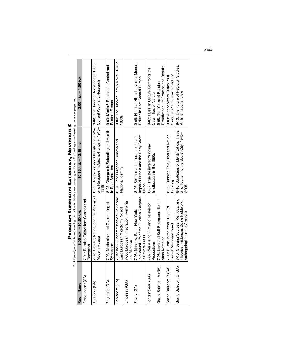| ı<br>I |
|--------|
| ı<br>ı |
|        |
| i<br>I |
| I      |
| í<br>I |
| l      |
| I      |
|        |
|        |
|        |
| l      |
| l<br>l |
| ֚֚֚֬   |
|        |
|        |
|        |
|        |
|        |
|        |
|        |

| I |  |
|---|--|
|   |  |
|   |  |
|   |  |
|   |  |
|   |  |
|   |  |
|   |  |
|   |  |
| l |  |
|   |  |
|   |  |
|   |  |
|   |  |
|   |  |
|   |  |
| I |  |
|   |  |
|   |  |
|   |  |
|   |  |
|   |  |
|   |  |
|   |  |
| I |  |
|   |  |
|   |  |
|   |  |
|   |  |
|   |  |
|   |  |
|   |  |
|   |  |
|   |  |
|   |  |

|                       |                                                                                                                  |                                                                                                                                                               | physical coco                                                             |
|-----------------------|------------------------------------------------------------------------------------------------------------------|---------------------------------------------------------------------------------------------------------------------------------------------------------------|---------------------------------------------------------------------------|
| <b>Room Name</b>      | 8:00 A.M. - 10:00 A.M.                                                                                           | 10:15 A.M. - 12:15 P.M.                                                                                                                                       | 2:00 P.M. – 4:00 P.M.                                                     |
| Ambassador (GA)       | 7-01: Russian Television: Content and<br>Reception                                                               |                                                                                                                                                               |                                                                           |
| Audubon (GA)          | 7-02: Gender, Nation, and the Making of<br>Modern Russia                                                         | 8-02: Dislocation and Classification: War   9-02: The Russian Revolution of 1905:<br>and Refugees in Austria-Hungary, 1915- Current Work and Research<br>1918 |                                                                           |
| Bagatelle (GA)        | 7-03: Modernism and Overcoming of<br>Symbolism                                                                   | 8-03: Changes in Schooling and Health<br>in Post-Socialism                                                                                                    | 9-03: Music & Rhetoric in Central and<br>Eastern Europe                   |
| Belvedere (GA)        | 7-04: B&D Subcommittee on Slavic and<br>East European Microform Project                                          | 8-04: East European Cinema and<br>National Identity                                                                                                           | 9-04: The Russian Family Novel: 1840s-<br><b>1880s</b>                    |
| Embassy (GA)          | 7-05: European Integration: Romania<br>and Moldova                                                               |                                                                                                                                                               |                                                                           |
| Envoy (GA)            | Intellectual Life of the Russian Diaspora<br>7-06: Moscow, Paris, New York:<br>in Emigré Press                   | 8-06: Science and Literature in Late-<br>Imperial Russia and the Early Soviet<br>Jnion                                                                        | 9-06: National Histories versus Modern<br>Politics in East Central Europe |
| Fontainbleau (GA)     | 7-07: Serializing Film and Television<br>Productions                                                             | 8-07: True Believers: Yugoslav<br>Intellectuals in the 1950s                                                                                                  | 9-07: Russian Culture Confronts the<br>Calamities of Nature               |
| Grand Ballroom A (GA) | 7-08: Love and Self-Representation in<br>Anna Karenina                                                           |                                                                                                                                                               | Privatization: Its Process and Results<br>9-08: Ten Years of Russian      |
| Grand Ballroom B (GA) | 7-09: Russia in the Year 2005: Ed<br>Hewett Memorial Panel                                                       | 8-09: Russian Television and Nation<br>Building                                                                                                               | Slezkine's "The Jewish Century"<br>9-09: Author Meets Critics: Yuri       |
| Grand Ballroom C (GA) | 7-10: Crossing Sources, Methods, and<br>Theories: Historians Doing Fieldwork,<br>Anthropologists in the Archives | 8-10: Strategies of Identification: Travel<br>and Tourism to the Soviet City, 1945-<br>2005<br>20                                                             | 9-10: The Future of Regional Studies:<br>An International View            |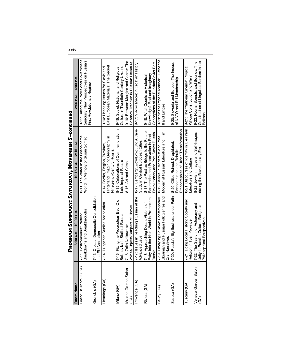|                                       |                                                                                                          | PROGRAM SUMMARY: SATURDAY, NOVEMBER 5-continued                                                                          |                                                                                                                  |  |
|---------------------------------------|----------------------------------------------------------------------------------------------------------|--------------------------------------------------------------------------------------------------------------------------|------------------------------------------------------------------------------------------------------------------|--|
| Room Name                             | 8:00 A.M. - 10:00 A.M.                                                                                   | 10:15 A.M. - 12:15 P.M.                                                                                                  | 2:00 P.M. - 4:00 P.M.                                                                                            |  |
| Grand Ballroom D (GA)                 | Breakdowns and Breakthroughs<br>7-11: Postcommunist Parties:                                             | 8-11: The Writer in the Chaos of the<br>World: In Memory of Susan Sontag                                                 | 9-11: Taking the Provisional Government<br>Seriously: New Perspectives on Russia's<br>First Revolutionary Regime |  |
| Grenoble (GA)                         | 7-13: Croatia: Democratic Consolidation<br>and EU Accession                                              |                                                                                                                          |                                                                                                                  |  |
| Hermitage (GA)                        | 7-14: Hungarian Studies Association                                                                      | Hinterland: Imagining Geography in<br>8-14: Border, Region, Province,<br>Nineteenth-Century Russia                       | East European Materials: The Sequel<br>9-14: Licensing Issues for Slavic and                                     |  |
| Milano (GA)                           | 7-15: Fitting the Procrustean Bed: Old<br>Bolsheviks in Stalinist Russia                                 | 8-15: Celebrations of Commemoration in   9-15: Soviet, National, and Religious<br>Late Imperial Russia                   | Culture in Twentieth-Century Ukraine                                                                             |  |
| Murano Garden Salon<br>$\mathfrak{F}$ | Voices/Objects/Subjects of History<br>7-16: Zofia Nalkowska                                              | 8-16: Art and Crime                                                                                                      | 9-16: Between Margins and Center: The<br>Rozanov Tradition in Russian Literature                                 |  |
| Provence (GA)                         | 7-17: Issues in Teaching Russian at the<br>Advanced Level                                                | 8-17: Lemberg/Lwów/Lvov/Lviv: A Case<br>Study in Central European Cities                                                 | 9-17: Vladko Macek in Croatian History                                                                           |  |
| Riviera (GA)                          | Entry Into the Next World in Premodern<br>7-18: Approaching Death: Visions of<br>Russia                  | 8-18: The Past as Bridge to the Future:<br>Revolutionary and Post-Soviet Russia<br>Restoration and Preservation in Post- | Conceptions of the Russian/Soviet Past<br>Knowledge? Real and Imaginary<br>9-18: What Counts as Historical       |  |
| Savoy (GA)                            | Ukrainian and Russian Folk Genres and<br>7-19: Emerging Folklore: Contemporary<br><b>Oral Narratives</b> | Modernist Russian Literature and Film<br>8-19: Babble in Modernist and Post                                              | 9-19: "In the Imperial Manner": Catherine<br>II and Empire                                                       |  |
| Sussex (GA)                           | 7-20: Russia's Big Business under Putin                                                                  | Ethnographies of Urban Transformation<br>8-20: Cities Ruined, Dilapidated,<br>Reconstructed and Rebuilt:                 | 9-20: Slovenia and Europe: The Impact<br>of NATO and EU Membership                                               |  |
| Tuscany (GA)                          | 7-21: Doing Local History: Society and<br>Religion in Tver' Province                                     | 8-21: Discourses of Identity in Ukrainian<br>Literature and Culture                                                      | 9-21: The "National Cinema" Project:<br>Whose Construction and Why?                                              |  |
| Venezia Garden Salon<br>(6A)          | 7-22: The Search for Autonomy and<br>Unity in Russian Culture: Religious-<br>Philosophical Perspectives  | 8-22: Jewish Images and Self-Images<br>during the Revolutionary Era                                                      | Construction of Linguistic Borders in the<br>9-22: Nouns, Sounds, and Bounds: The<br><b>Balkans</b>              |  |
|                                       |                                                                                                          |                                                                                                                          |                                                                                                                  |  |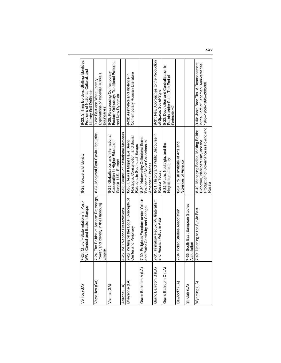| Venice (GA)           | 7-23: Church-State relations in Post-<br>WWII Central and Eastern Europe                  | 8-23: Space and Identity                                                                                                                                                                       | 9-23: Shifting Borders, Shifting Identities.<br>Problems of National, Cultural, and<br>Literary Self-Definition |
|-----------------------|-------------------------------------------------------------------------------------------|------------------------------------------------------------------------------------------------------------------------------------------------------------------------------------------------|-----------------------------------------------------------------------------------------------------------------|
| Versailles (GA)       | 7-24: The Politics of Access: Patronage,<br>Power, and Identity in the Habsburg<br>Empire | 8-24: Medieval East Slavic Linguistics                                                                                                                                                         | Explorations of Imperial Russia's<br>9-24: East and West: Literary<br>Boundaries                                |
| Vienna (GA)           |                                                                                           | 8-25: Globalization and International<br>Cooperation in Higher Education:<br>Russia-U.S.-Europe                                                                                                | Eastern Orthodoxy: Traditional Patterns<br>9-25: Reassessing Contemporary<br>and New Dynamics                   |
| Arizona (LA)          | 7-26: B&D Vendor Presentations                                                            | 8-26: Council of Institutional Members                                                                                                                                                         |                                                                                                                 |
| Cheyenne (LA)         | 7-28: Writing on the Edge: Concepts of<br>Center and Periphery                            | Nostalgia, Consumption, and Social<br>8-28: Life as It Might Have Been:<br>Relations in Southeast Europe                                                                                       | Contemporary Russian Literature<br>9-28: Aesthetics and Violence in                                             |
| Grand Ballroom A (LA) | 7-30: Religious Freedom under Yeltsin<br>and Putin: Continuity and Change                 | 8-30: Noteworthy Collectors: Some<br>Founders of Slavic Collections in<br>American Libraries                                                                                                   |                                                                                                                 |
| Grand Ballroom B (LA) | 7-31: Primakov Redux: Multilateralism<br>and Russian Policy in Asia                       | 8-31: History and Public Discourse in<br>Russia Today                                                                                                                                          | 9-31: New Approaches to the Production<br>of Space, Soviet-Style                                                |
| Grand Ballroom C (LA) |                                                                                           | 8-32: Music, Nostalgia, and the<br>Negotiation of Identity                                                                                                                                     | 9-32: Devolution and Centralization in<br>Russia under Putin: The End of<br>Federalism?                         |
| Sawtooth (LA)         | 7-34: Polish Studies Association                                                          | 8-34: Polish Institute of Arts and<br>Sciences of America                                                                                                                                      |                                                                                                                 |
| Sinclair (LA)         | 7-35: South East European Studies<br>Association                                          |                                                                                                                                                                                                |                                                                                                                 |
| Wyoming (LA)          | 7-40: Listening to the Slavic Past                                                        | 8-40: Managing Bodies, Making Politics:   9-40: Josip Broz Tito. A Reassessment<br>Production of Governance in Poland and 1945-1956-1995-2005/06<br>Biopower, Neoliberalism, and the<br>Russia | in the Light of Landmark Anniversaries                                                                          |

**xxv**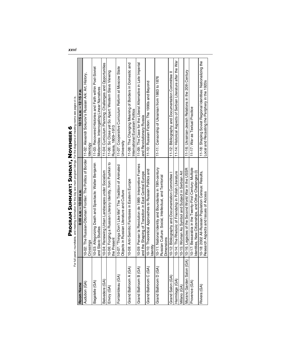|                               | PROGRAM SUMMARY: SUNDAY, NOVEMBER                                                                                                          | ¢                                                                                                              |
|-------------------------------|--------------------------------------------------------------------------------------------------------------------------------------------|----------------------------------------------------------------------------------------------------------------|
| For                           | full panel, roundtable, and meeting information for this day see main program listings. For the diagrams of meeting rooms see pages vi-ix. |                                                                                                                |
| Room Name                     | 8:00 A.M. - 10:00 A.M.                                                                                                                     | $10:15A.M. - 12:15P.M.$                                                                                        |
| Audubon (GA)                  | 10-02: The Russian-Ottoman Frontier: The Politics of Border<br>Crossings                                                                   | 11-02: Alexandr Sokurov's Russian Ark: Art, History,<br>deology                                                |
| Bagatelle (GA)                | 10-03: Allegorizing Death and Spectacle: Walter Benjamin<br>and Slavic Studies                                                             | 11-03: Recovered Histories and Faith within Post-Soviet<br>Modernities: Interrogating Linear Narratives        |
| Belvedere (GA)                | 10-04: Renewing Urban Landscapes under Socialism                                                                                           | 11-04: Curriculum Planning: Challenges and Opportunities                                                       |
| Envoy (GA)                    | 10-06: Forging a Russian Literary Identity, from Pushkin to<br>the Present                                                                 | 11-06: So Close yet So Apart: Western Slavs Viewing<br>Russia, 1809-1913                                       |
| Fontainbleau (GA)             | 10-07: "Things Don't Like Me": The Tradition of Animated<br>Objects in Russian Literature and Culture                                      | 11-07: Cooperative Curriculum Reform at Moscow State<br>University                                             |
| Grand Ballroom A (GA)         | 10-08: Anti-Semitic Fantasies in Eastern Europe                                                                                            | 11-08: The Changing Meaning of Borders in Domestic and<br>International Eurasian Politics                      |
| Grand Ballroom B (GA)         | 10-09: Penser la Revolution de 1989: Interpretive Frames<br>and the Shaping of Transition in East Central Europe                           | 11-09: The Case for the Liberal Alternative in Late Imperial<br>and Revolutionary Russia                       |
| Grand Ballroom C (GA)         | 10-10: Theoretical Approaches to Russian Politics and<br>ldentitv                                                                          | 11-10: Russian Fiction: The 1990s and Beyond                                                                   |
| Grand Ballroom D (GA)         | 10-11: National Identity and Boundaries in 19th-century<br>Russian Culture: Social, Intellectual, and Territorial<br><b>Dimensions</b>     | 11-11: Censorship of Ukrainian from 1863 to 1876                                                               |
| Grand Salon (GA)              | 10-12: Bibliography and Documentation Committee                                                                                            | 11-12: Bibliography and Documentation Committee II                                                             |
| Hermitage (GA)                | 10-14: The Rhetoric of Friendship in Polish Literature                                                                                     | 11-14: Historical Aspects of Serbian Literature after the War                                                  |
| Milano (GA)                   | 10-15: Woman As Symbol and Subject in Serbian Art                                                                                          |                                                                                                                |
| A)<br>Murano Garden Salon (G. | 10-16: Legacies of the Second World War in the USSR                                                                                        | 11-16: Ukrainian-Jewish Relations in the 20th Century                                                          |
| Provence (GA)                 | 10-17: Bessarabia in the Twenty-First Century: Multiple<br>Identities, New Citizenships, and Other Challenges (I)                          | 11-17: War as Textual Practice                                                                                 |
| Riviera (GA)                  | 10-18: 2002 All-Russian Population Census: Results,<br>Research Aspects and Issues of Access                                               | 11-18: Shaping Soviet Regional Identities: Nationalizing the<br>Local and Recasting the Periphery in the 1920s |
|                               |                                                                                                                                            |                                                                                                                |

# $\bullet$ Z f b **PROGRAM SUM**

**xxvi**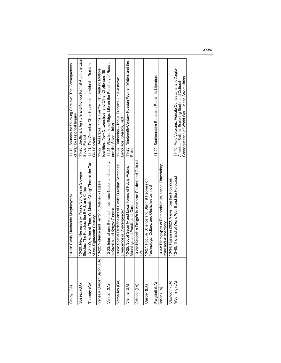| Savoy (GA)      | 10-19: Slavic Diachronic Morphosyntax                                                                                                               | 11-19: Sources for Studying Sarajevo: The Consequences<br>of War for Historical Inquiry                                                                    |
|-----------------|-----------------------------------------------------------------------------------------------------------------------------------------------------|------------------------------------------------------------------------------------------------------------------------------------------------------------|
| Sussex (GA)     | 10-20: New Research by Young Scholars in Slovene<br>Studies: The Kozolec, the EMU, and Clitics                                                      | 11-20: Unofficial Literature and Nonconformist Art in the Late<br>Soviet Period                                                                            |
| Uscany (GA)     | 10-21: O, Voice of Time, O, Metal's Clang! Time at the Turn   11-21: The Orthodox Church and the Individual in Russian<br>of the Eighteenth Century | Civil Society                                                                                                                                              |
|                 | Venezia Garden Salon (GA)   10-22: Violence and Terror in Bolshevik Russia                                                                          | 11-22: Bessarabia in the Twenty-First Century: Multiple<br>dentities, New Citizenships, and Other Challenges (II)                                          |
| Venice (GA)     | 10-23: Internal and External Influences: Nation and Identity<br>in Kazakh and Kyrgyz Cinema                                                         | 11-23: View from the Edge: Life on the Periphery of Russia<br>and the Soviet Union                                                                         |
| Versailles (GA) | 10-24: Spatial Redefinitions of Slavic Eurasian Territories:<br>Divergence or Convergence?                                                          | 11-24: Ruthenian – lingua Ruthena – ruska mova:<br>Language, Literacy, Text                                                                                |
| Vienna (GA)     | 10-25: Social Security and Local Forms of Public Action:<br>Meanings and Practices of Care                                                          | 11-25: Nineteenth-Century Russian Women Writers and the<br>Press                                                                                           |
| Arizona (LA)    | 10-26: Hungarian Emigrés in American Political and Cultural<br><u>efil</u>                                                                          |                                                                                                                                                            |
| Casper (LA)     | 10-27: Popular Science and Stalinist Repression:<br>Technology, Culture, and Obshchestvennost                                                       |                                                                                                                                                            |
| Flagstaff (LA)  |                                                                                                                                                     | 11-29: Southeastern European Romantic Literature                                                                                                           |
| daho (LA)       | 10-33: Hieroglyphs of Postsocialist Mundane: Uncertainty,<br>Irony and Authenticity                                                                 |                                                                                                                                                            |
| Sawtooth (LA)   | 10-34: Russia in 2020: Views from the Provinces                                                                                                     |                                                                                                                                                            |
| (AJ) puinok/V   | 10-40: The End of World War II and the Holocaust                                                                                                    | 11-40: Male Veterans, Female Combatants, and Anglo-<br>Consequences of World War II in the Soviet Union<br>American Sailors: Exploring Social and Cultural |
|                 |                                                                                                                                                     |                                                                                                                                                            |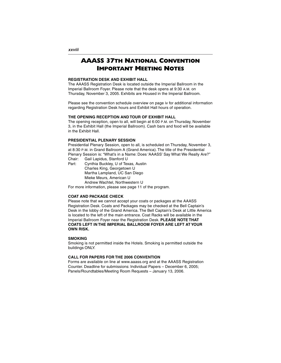#### **AAASS 37TH NATIONAL CONVENTION IMPORTANT MEETING NOTES**

#### **REGISTRATION DESK AND EXHIBIT HALL**

The AAASS Registration Desk is located outside the Imperial Ballroom in the Imperial Ballroom Foyer. Please note that the desk opens at 9:30 A.M. on Thursday, November 3, 2005. Exhibits are Housed in the Imperial Ballroom.

Please see the convention schedule overview on page iv for additional information regarding Registration Desk hours and Exhibit Hall hours of operation.

#### **THE OPENING RECEPTION AND TOUR OF EXHIBIT HALL**

The opening reception, open to all, will begin at 6:00 P.M. on Thursday, November 3, in the Exhibit Hall (the Imperial Ballroom). Cash bars and food will be available in the Exhibit Hall.

#### **PRESIDENTIAL PLENARY SESSION**

Presidential Plenary Session, open to all, is scheduled on Thursday, November 3, at 8:30 P.M. in Grand Ballroom A (Grand America). The title of the Presidential Plenary Session is: "What's in a Name: Does 'AAASS' Say What We Really Are?"

Chair: Gail Lapidus, Stanford U<br>Part: Cynthia Buckley, U of Tex Cynthia Buckley, U of Texas, Austin Charles King, Georgetown U Martha Lampland, UC San Diego Mieke Meurs, American U Andrew Wachtel, Northwestern U For more information, please see page 11 of the program.

#### **COAT AND PACKAGE CHECK**

Please note that we cannot accept your coats or packages at the AAASS Registration Desk. Coats and Packages may be checked at the Bell Captain's Desk in the lobby of the Grand America. The Bell Captain's Desk at Little America is located to the left of the main entrance. Coat Racks will be available in the Imperial Ballroom Foyer near the Registration Desk. **PLEASE NOTE THAT COATS LEFT IN THE IMPERIAL BALLROOM FOYER ARE LEFT AT YOUR OWN RISK.**

#### **SMOKING**

Smoking is not permitted inside the Hotels. Smoking is permitted outside the buildings ONLY.

#### **CALL FOR PAPERS FOR THE 2006 CONVENTION**

Forms are available on line at www.aaass.org and at the AAASS Registration Counter. Deadline for submissions: Individual Papers – December 6, 2005; Panels/Roundtables/Meeting Room Requests – January 13, 2006.

**xxviii**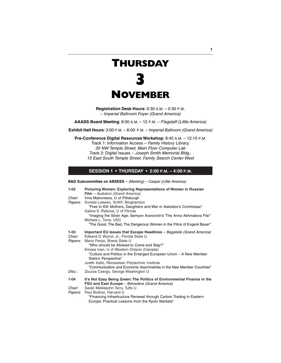## **THURSDAY**



**Registration Desk Hours**: 9:30 A.M. – 5:30 P.M. – Imperial Ballroom Foyer (Grand America)

**AAASS Board Meeting**: 8:00 A.M. – 12 P.M. – Flagstaff (Little America)

**Exhibit Hall Hours**: 3:00 P.M. – 8:00: P.M. – Imperial Ballroom (Grand America)

**Pre-Conference Digital Resources Workshop**: 8:45 A.M. – 12:15 P.M.

Track 1: Information Access – Family History Library, 35 NW Temple Street, Main Floor Computer Lab Track 2: Digital Issues – Joseph Smith Memorial Bldg., 15 East South Temple Street, Family Search Center West

#### **SESSION 1 • THURSDAY • 2:00 P.M. – 4:00 P.M.**

**B&D Subcommittee on ABSEES** – (Meeting) – Casper (Little America)

| 1-02           | Picturing Women: Exploring Representations of Women in Russian                                                           |
|----------------|--------------------------------------------------------------------------------------------------------------------------|
| Chair:         | Film - Audubon (Grand America)<br>Irina Makoveeva, U of Pittsburgh                                                       |
| <i>Papers:</i> | Donald Loewen, SUNY, Binghamton                                                                                          |
|                | "Free to Kill: Mothers, Daughters and War in Askoldov's Commissar"<br>Galina S. Rylkova, U of Florida                    |
|                | "Imaging the Silver Age: Semyon Aranovich's 'The Anna Akhmatova File'"<br>Michele L. Torre, USC                          |
|                | "The Good, The Bad, The Dangerous: Women in the Films of Evgenii Bauer"                                                  |
| 1-03<br>Chair: | Important EU Issues that Escape Headlines - Bagatelle (Grand America)<br>Edward D. Wynot, Jr., Florida State U           |
|                |                                                                                                                          |
| <i>Papers:</i> | Mario Fenyo, Bowie State U<br>"Who should be Allowed to Come and Stay?"                                                  |
|                | Emese Ivan, U of Western Ontario (Canada)                                                                                |
|                | "Culture and Politics in the Enlarged European Union – A New Member<br>State's Perspective"                              |
|                | Judith Kallo, Rensselaer Polytechnic Institute                                                                           |
|                | "Communication and Economic Asymmetries in the New Member Countries"                                                     |
| Disc.:         | Zsuzsa Csergo, George Washington U                                                                                       |
| $1 - 04$       | It's Not Easy Being Green: The Politics of Environmental Finance in the                                                  |
|                | FSU and East Europe - Belvedere (Grand America)                                                                          |
| Chair:         | Sarah Meiklejohn Terry, Tufts U                                                                                          |
| <i>Papers:</i> | Paul Bodnar, Harvard U                                                                                                   |
|                | "Financing Infrastructure Renewal through Carbon Trading in Eastern<br>Europe: Practical Lessons from the Kyoto Markets" |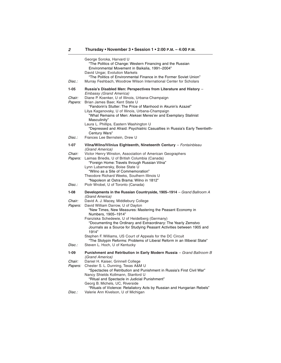| Disc.:   | George Soroka, Harvard U<br>"The Politics of Change: Western Financing and the Russian<br>Environmental Movement in Baikalia, 1991-2004"<br>David Ungar, Evolution Markets<br>"The Politics of Environmental Finance in the Former Soviet Union"<br>Murray Feshbach, Woodrow Wilson International Center for Scholars |
|----------|-----------------------------------------------------------------------------------------------------------------------------------------------------------------------------------------------------------------------------------------------------------------------------------------------------------------------|
|          |                                                                                                                                                                                                                                                                                                                       |
| $1 - 05$ | Russia's Disabled Men: Perspectives from Literature and History -<br><b>Embassy (Grand America)</b>                                                                                                                                                                                                                   |
| Chair:   | Diane P. Koenker, U of Illinois, Urbana-Champaign                                                                                                                                                                                                                                                                     |
| Papers:  | Brian James Baer, Kent State U<br>"Fandorin's Stutter: The Price of Manhood in Akunin's Azazel"                                                                                                                                                                                                                       |
|          | Lilya Kaganovsky, U of Illinois, Urbana-Champaign<br>"What Remains of Men: Aleksei Meres'ev and Exemplary Stalinist<br>Masculinity"                                                                                                                                                                                   |
|          | Laura L. Phillips, Eastern Washington U<br>"Depressed and Afraid: Psychiatric Casualties in Russia's Early Twentieth-<br>Century Wars"                                                                                                                                                                                |
| Disc.:   | Frances Lee Bernstein, Drew U                                                                                                                                                                                                                                                                                         |
| $1 - 07$ | Vilna/Wilno/Vilnius Eighteenth, Nineteenth Century - Fontainbleau<br>(Grand America)                                                                                                                                                                                                                                  |
| Chair:   | Victor Henry Winston, Association of American Geographers                                                                                                                                                                                                                                                             |
| Papers:  | Laimas Briedis, U of British Columbia (Canada)<br>"Foreign Home: Travels through Russian Vilna"                                                                                                                                                                                                                       |
|          | Lynn Lubamersky, Boise State U<br>"Wilno as a Site of Commemoration"                                                                                                                                                                                                                                                  |
|          | Theodore Richard Weeks, Southern Illinois U                                                                                                                                                                                                                                                                           |
| Disc.:   | "Napoleon at Ostra Brama: Wilno in 1812"<br>Piotr Wrobel, U of Toronto (Canada)                                                                                                                                                                                                                                       |
| $1-08$   | Developments in the Russian Countryside, 1905-1914 - Grand Ballroom A                                                                                                                                                                                                                                                 |
| Chair:   | (Grand America)<br>David A. J. Macey, Middlebury College                                                                                                                                                                                                                                                              |
| Papers:  | David William Darrow, U of Dayton                                                                                                                                                                                                                                                                                     |
|          | "New Times, New Measures: Mastering the Peasant Economy in<br>Numbers, 1905-1914"                                                                                                                                                                                                                                     |
|          | Franziska Schedewie, U of Heidelberg (Germany)                                                                                                                                                                                                                                                                        |
|          | "Documenting the Ordinary and Extraordinary: The Yearly Zemstvo<br>Journals as a Source for Studying Peasant Activities between 1905 and<br>1914"                                                                                                                                                                     |
|          | Stephen F. Williams, US Court of Appeals for the DC Circuit<br>"The Stolypin Reforms: Problems of Liberal Reform in an Illiberal State"                                                                                                                                                                               |
| Disc.:   | Steven L. Hoch, U of Kentucky                                                                                                                                                                                                                                                                                         |
| $1 - 09$ | Punishment and Retribution in Early Modern Russia - Grand Ballroom B<br>(Grand America)                                                                                                                                                                                                                               |
| Chair:   | Daniel H. Kaiser, Grinnell College                                                                                                                                                                                                                                                                                    |
| Papers:  | Chester S. L. Dunning, Texas A&M U<br>"Spectacles of Retribution and Punishment in Russia's First Civil War"                                                                                                                                                                                                          |
|          | Nancy Shields Kollmann, Stanford U<br>"Ritual and Spectacle in Judicial Punishment"                                                                                                                                                                                                                                   |
|          | Georg B. Michels, UC, Riverside                                                                                                                                                                                                                                                                                       |
| Disc.:   | "Rituals of Violence: Retaliatory Acts by Russian and Hungarian Rebels"<br>Valerie Ann Kivelson, U of Michigan                                                                                                                                                                                                        |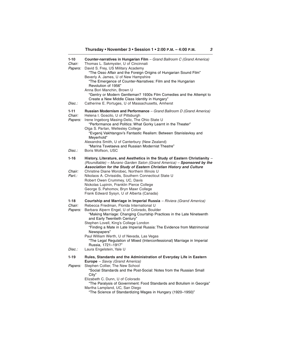| $1 - 10$<br>Chair:<br>Papers: | <b>Counter-narratives in Hungarian Film</b> - Grand Ballroom C (Grand America)<br>Thomas L. Sakmyster, U of Cincinnati<br>David S. Frey, US Military Academy<br>"The Osso Affair and the Foreign Origins of Hungarian Sound Film"<br>Beverly A. James, U of New Hampshire<br>"The Emergence of Counter-Narratives: Film and the Hungarian<br>Revolution of 1956"<br>Anna Bori Manchin, Brown U<br>"Gentry or Modern Gentleman? 1930s Film Comedies and the Attempt to<br>Create a New Middle Class Identity in Hungary"                                    |
|-------------------------------|------------------------------------------------------------------------------------------------------------------------------------------------------------------------------------------------------------------------------------------------------------------------------------------------------------------------------------------------------------------------------------------------------------------------------------------------------------------------------------------------------------------------------------------------------------|
| Disc.:                        | Catherine E. Portuges, U of Massachusetts, Amherst                                                                                                                                                                                                                                                                                                                                                                                                                                                                                                         |
| $1 - 11$<br>Chair:<br>Papers: | Russian Modernism and Performance - Grand Ballroom D (Grand America)<br>Helena I. Goscilo, U of Pittsburgh<br>Irene Ingeborg Masing-Delic, The Ohio State U<br>"Performance and Politics: What Gorky Learnt in the Theater"<br>Olga S. Partan, Wellesley College<br>"Evgenij Vakhtangov's Fantastic Realism: Between Stanislavksy and<br>Meyerhold"<br>Alexandra Smith, U of Canterbury (New Zealand)<br>"Marina Tsvetaeva and Russian Modernist Theatre"                                                                                                  |
| Disc.:                        | Boris Wolfson, USC                                                                                                                                                                                                                                                                                                                                                                                                                                                                                                                                         |
| $1 - 16$<br>Chair:<br>Part.:  | History, Literature, and Aesthetics in the Study of Eastern Christianity -<br>(Roundtable) - Murano Garden Salon (Grand America) - Sponsored by the<br>Association for the Study of Eastern Christian History and Culture<br>Christine Diane Worobec, Northern Illinois U<br>Nikolaos A. Chrissidis, Southern Connecticut State U<br>Robert Owen Crummey, UC, Davis<br>Nickolas Lupinin, Franklin Pierce College<br>George S. Pahomov, Bryn Mawr College<br>Frank Edward Sysyn, U of Alberta (Canada)                                                      |
| $1 - 18$<br>Chair:<br>Papers: | Courtship and Marriage in Imperial Russia - Riviera (Grand America)<br>Rebecca Friedman, Florida International U<br>Barbara Alpern Engel, U of Colorado, Boulder<br>"Making Marriage: Changing Courtship Practices in the Late Nineteenth<br>and Early Twentieth Century"<br>Stephen Lovell, King's College London<br>"Finding a Mate in Late Imperial Russia: The Evidence from Matrimonial<br>Newspapers"<br>Paul William Werth, U of Nevada, Las Vegas<br>"The Legal Regulation of Mixed (Interconfessional) Marriage in Imperial<br>Russia, 1721-1917" |
| Disc.:                        | Laura Engelstein, Yale U                                                                                                                                                                                                                                                                                                                                                                                                                                                                                                                                   |
| 1-19<br>Papers:               | Rules, Standards and the Administration of Everyday Life in Eastern<br>Europe - Savoy (Grand America)<br>Stephen Collier, The New School<br>"Social Standards and the Post-Social: Notes from the Russian Small<br>City"<br>Elizabeth C. Dunn, U of Colorado<br>"The Paralysis of Government: Food Standards and Botulism in Georgia"<br>Martha Lampland, UC, San Diego<br>"The Science of Standardizing Wages in Hungary (1920–1950)"                                                                                                                     |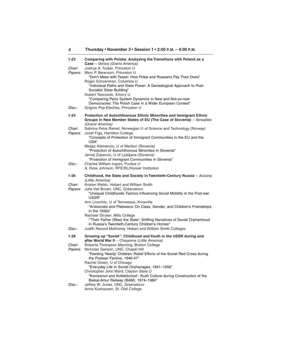| $1 - 23$                 | Comparing with Polska: Analyzing the Transitions with Poland as a<br>Case - Venice (Grand America)                                                                                        |
|--------------------------|-------------------------------------------------------------------------------------------------------------------------------------------------------------------------------------------|
| Chair:<br>Papers:        | Joshua A. Tucker, Princeton U<br>Marc P. Berenson, Princeton U<br>"Don't Mess with Taxes!: How Poles and Russians Pay Their Dues"                                                         |
|                          | Roger Schoenman, Columbia U<br>"Individual Paths and State Power: A Genealogical Approach to Post-<br>Socialist State Building"<br>Hubert Tworzecki, Emory U                              |
| Disc.:                   | "Comparing Party System Dynamics in New and Not-so-new<br>Democracies: The Polish Case in a Wider European Context"<br>Grigore Pop-Eleches, Princeton U                                   |
| $1 - 24$                 | Protection of Autochthonous Ethnic Minorities and Immigrant Ethnic<br>Groups in New Member States of EU (The Case of Slovenia) - Versailles                                               |
| Chair:<br><i>Papers:</i> | (Grand America)<br>Sabrina Petra Ramet, Norwegian U of Science and Technology (Norway)<br>Jozef Figa, Hamilton College                                                                    |
|                          | "Concepts of Protection of Immigrant Communities in the EU and the<br>USA"                                                                                                                |
|                          | Matjaz Klemencic, U of Maribor (Slovenia)<br>"Protection of Autochthonous Minorities in Slovenia"<br>Jernej Zupancic, U of Ljubljana (Slovenia)                                           |
| Disc.:                   | "Protection of Immigrant Communities in Slovenia"<br>Charles William Ingrao, Purdue U                                                                                                     |
|                          | A. Ross Johnson, RFE/RL/Hoover Institution                                                                                                                                                |
|                          |                                                                                                                                                                                           |
| $1 - 26$                 | Childhood, the State and Society in Twentieth-Century Russia – Arizona<br>(Little America)                                                                                                |
| Chair:<br>Papers:        | Kristen Welsh, Hobart and William Smith<br>Julie Vail Brown, UNC, Greensboro<br>"Unequal Childhoods: Factors Influencing Social Mobility in the Post-war<br>USSR"                         |
|                          | Ann Livschitz, U of Tennessee, Knoxville<br>"Aristocrats and Plebeians: On Class, Gender, and Children's Friendships<br>in the 1930s"                                                     |
|                          | Rachael Stryker, Mills College<br>"Their Father (Was) the State': Shifting Narratives of Social Orphanhood<br>in Russia's Twentieth-Century Children's Homes"                             |
| Disc.:                   | Judith Record McKinney, Hobart and William Smith Colleges                                                                                                                                 |
| $1 - 28$                 | Growing up "Soviet": Childhood and Youth in the USSR during and<br>after World War II - Cheyenne (Little America)                                                                         |
| Chair:<br>Papers:        | Roberta Thompson Manning, Boston College<br>Nicholas Ganson, UNC, Chapel Hill<br>"Feeding 'Needy' Children: Relief Efforts of the Soviet Red Cross during<br>the Postwar Famine, 1946-47" |
|                          | Rachel Green, U of Chicago<br>"Everyday Life in Soviet Orphanages, 1941-1956"<br>Christopher John Ward, Clayton State U                                                                   |
| Disc.:                   | "Komsomol and Kollektivnost': Youth Culture during Construction of the<br>Baikal-Amur Railway (BAM), 1974-1984"<br>Jeffrey W. Jones, UNC, Greensboro                                      |

**4**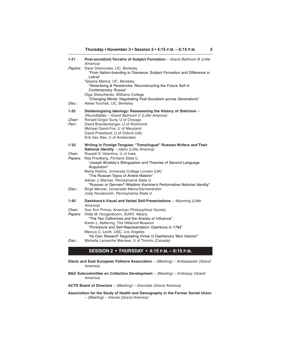| $1 - 31$                 | Post-social(ist) Terrains of Subject Formation - Grand Ballroom B (Little<br>America)                                                                                                                              |
|--------------------------|--------------------------------------------------------------------------------------------------------------------------------------------------------------------------------------------------------------------|
| Papers:                  | Dace Dzenovska, UC, Berkeley<br>"From Nation-branding to Tolerance: Subject Formation and Difference in<br>Latvia"<br>Tatyana Mamut, UC, Berkeley<br>"Advertising & Perestroika: Reconstructing the Future Self in |
| Disc.:                   | Contemporary Russia"<br>Olga Shevchenko, Williams College<br>"Changing Minds: Negotiating Post-Socialism across Generations"<br>Alexei Yurchak, UC, Berkeley                                                       |
|                          |                                                                                                                                                                                                                    |
| 1-32<br>Chair:<br>Part.: | Deideologizing Ideology: Reassessing the History of Stalinism -<br>(Roundtable) - Grand Ballroom C (Little America)<br>Ronald Grigor Suny, U of Chicago<br>David Brandenberger, U of Richmond                      |
|                          | Michael David-Fox, U of Maryland<br>David Priestland, U of Oxford (UK)<br>Erik Van Ree, U of Amsterdam                                                                                                             |
| 1-33                     | Writing in Foreign Tongues: "Translingual" Russian Writers and Their<br>National Identity - Idaho (Little America)                                                                                                 |
| Chair:                   | Russell S. Valentino, U of Iowa                                                                                                                                                                                    |
| Papers:                  | Nila Friedberg, Portland State U<br>"Joseph Brodsky's Bilingualism and Theories of Second Language<br>Acquisition"                                                                                                 |
|                          | Maria Rubins, University College London (UK)<br>"The Russian Topos of Andrei Makine"                                                                                                                               |
|                          | Adrian J. Wanner, Pennsylvania State U<br>"Russian or German? Wladimir Kaminer's Performative National Identity"                                                                                                   |
| Disc.:                   | Birgit Menzel, Universitat Mainz/Germersheim<br>Josip Novakovich, Pennsylvania State U                                                                                                                             |
| 1-40                     | Dashkova's Visual and Verbal Self-Presentations - Wyoming (Little<br>America)                                                                                                                                      |
| Chair:<br>Papers:        | Sue Ann Prince, American Philosophical Society<br>Hilde M. Hoogenboom, SUNY, Albany<br>"The Two Catherines and the Anxiety of Influence"<br>Karen L. Kettering, The Hillwood Museum                                |
|                          | "Portraiture and Self-Representation: Dashkova in 1784"<br>Marcus C. Levitt, USC, Los Angeles                                                                                                                      |
| Disc.:                   | "Its Own Reward? Negotiating Virtue in Dashkova's 'Mon histoire"<br>Michelle Lamarche Marrese, U of Toronto (Canada)                                                                                               |

#### **SESSION 2 • THURSDAY • 4:15 P.M. – 6:15 P.M.**

- **Slavic and East European Folklore Association** (Meeting) Ambassador (Grand America)
- **B&D Subcommittee on Collection Development** (Meeting) Embassy (Grand America)

#### **ACTR Board of Directors** – (Meeting) – Grenoble (Grand America)

#### **Association for the Study of Health and Demography in the Former Soviet Union** – (Meeting) – Vienna (Grand America)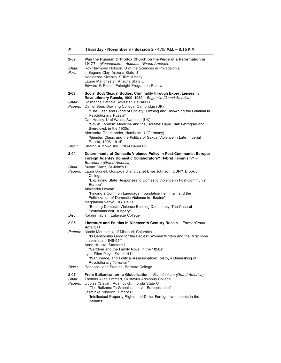| 6                             | Thursday • November 3 • Session 2 • 4:15 P.M. - 6:15 P.M.                                                                                                                                                                                                                                                                     |
|-------------------------------|-------------------------------------------------------------------------------------------------------------------------------------------------------------------------------------------------------------------------------------------------------------------------------------------------------------------------------|
| 2-02                          | Was the Russian Orthodox Church on the Verge of a Reformation in<br>1917? - (Roundtable) - Audubon (Grand America)                                                                                                                                                                                                            |
| Chair:<br>Part.:              | Roy Raymond Robson, U of the Sciences in Philadelphia<br>J. Eugene Clay, Arizona State U<br>Nadieszda Kizenko, SUNY, Albany<br>Laurie Manchester, Arizona State U<br>Edward E. Roslof, Fulbright Program in Russia                                                                                                            |
| 2-03                          | Social Body/Sexual Bodies: Criminality through Expert Lenses in                                                                                                                                                                                                                                                               |
| Chair:<br>Papers:             | Revolutionary Russia, 1900–1930 - Bagatelle (Grand America)<br>Roshanna Patricia Sylvester, DePaul U<br>Daniel Beer, Downing College, Cambridge (UK)<br>"The Flesh and Blood of Society': Owning and Disowning the Criminal in<br>Revolutionary Russia"                                                                       |
|                               | Dan Healey, U of Wales, Swansea (UK)<br>"Soviet Forensic Medicine and the 'Routine' Rape Trial: Petrograd and<br>Sverdlovsk in the 1920s"<br>Alexandra Oberlaender, Humboldt U (Germany)                                                                                                                                      |
| Disc.:                        | "Gender, Class, and the Politics of Sexual Violence in Late Imperial<br>Russia, 1905-1914"<br>Sharon A. Kowalsky, UNC-Chapel Hill                                                                                                                                                                                             |
| 2-04                          | Determinants of Domestic Violence Policy in Post-Communist Europe:                                                                                                                                                                                                                                                            |
|                               | Foreign Agents? Domestic Collaborators? Hybrid Feminism? -<br><b>Belvedere (Grand America)</b>                                                                                                                                                                                                                                |
| <i>Chair:</i>                 | Susan Glanz, St John's U                                                                                                                                                                                                                                                                                                      |
| Papers:                       | Laura Brunell, Gonzaga U and Janet Elise Johnson, CUNY, Brooklyn<br>College<br>"Explaining State Responses to Domestic Violence in Post-Communist                                                                                                                                                                             |
|                               | Europe"                                                                                                                                                                                                                                                                                                                       |
|                               | Alexandra Hrycak<br>"Finding a Common Language: Foundation Feminism and the<br>Politicization of Domestic Violence in Ukraine"                                                                                                                                                                                                |
|                               | Magdalena Vanya, UC, Davis<br>"Beating Domestic Violence-Building Democracy: The Case of<br>Postcommunist Hungary"                                                                                                                                                                                                            |
| Disc.:                        | Katalin Fabian, Lafayette College                                                                                                                                                                                                                                                                                             |
| 2-06                          | Literature and Politics in Nineteenth-Century Russia - Envoy (Grand                                                                                                                                                                                                                                                           |
| Papers:                       | America)<br>Nicole Monnier, U of Missouri, Columbia<br>"Is Censorship Good for the Ladies? Women Writers and the 'Mrachnoe<br>semiletie, 1848-55"<br>Anne Hruska, Stanford U                                                                                                                                                  |
|                               | "Serfdom and the Family Novel in the 1850s"<br>Lynn Ellen Patyk, Stanford U<br>"War, Peace, and Political Assassination: Tolstoy's Unmasking of                                                                                                                                                                               |
| Disc.:                        | Revolutionary Terrorism"<br>Rebecca Jane Stanton, Barnard College                                                                                                                                                                                                                                                             |
| $2 - 07$<br>Chair:<br>Papers: | From Balkanization to Globalization - Fontainbleau (Grand America)<br>Thomas Allan Emmert, Gustavus Adolphus College<br>Ljubisa (Stevan) Adamovich, Florida State U<br>"The Balkans: To Globalization via Europeization"<br>Jasminka Ninkovic, Emory U<br>"Intellectual Property Rights and Direct Foreign Investments in the |
|                               | Balkans"                                                                                                                                                                                                                                                                                                                      |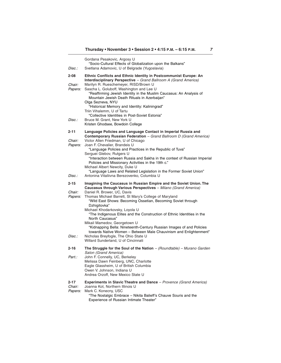| <i>Disc.:</i>             | Gordana Pesakovic, Argosy U<br>"Socio-Cultural Effects of Globalization upon the Balkans"<br>Svetlana Adamovic, U of Belgrade (Yugoslavia)                                                                                                                                                        |
|---------------------------|---------------------------------------------------------------------------------------------------------------------------------------------------------------------------------------------------------------------------------------------------------------------------------------------------|
| $2 - 08$                  | Ethnic Conflicts and Ethnic Identity in Postcommunist Europe: An                                                                                                                                                                                                                                  |
| Chair:<br><i>Papers:</i>  | Interdisciplinary Perspective - Grand Ballroom A (Grand America)<br>Marilyn R. Rueschemeyer, RISD/Brown U<br>Sascha L. Goluboff, Washington and Lee U<br>"Reaffirming Jewish Identity in the Muslim Caucasus: An Analysis of<br>Mountain Jewish Death Rituals in Azerbaijan"<br>Olga Sezneva, NYU |
|                           | "Historical Memory and Identity: Kaliningrad"<br>Triin Vihalemm, U of Tartu                                                                                                                                                                                                                       |
| <i>Disc.:</i>             | "Collective Identities in Post-Soviet Estonia"<br>Bruce M. Grant, New York U<br>Kristen Ghodsee, Bowdoin College                                                                                                                                                                                  |
| 2-11                      | Language Policies and Language Contact in Imperial Russia and<br>Contemporary Russian Federation - Grand Ballroom D (Grand America)                                                                                                                                                               |
| Chair:<br><i>Papers:</i>  | Victor Allen Friedman, U of Chicago<br>Joan F. Chevalier, Brandeis U                                                                                                                                                                                                                              |
|                           | "Language Policies and Practices in the Republic of Tuva"<br>Serguei Glebov, Rutgers U                                                                                                                                                                                                            |
|                           | "Interaction between Russia and Sakha in the context of Russian Imperial<br>Policies and Missionary Activities in the 19th c."<br>Michael Albert Newcity, Duke U                                                                                                                                  |
| Disc.:                    | "Language Laws and Related Legislation in the Former Soviet Union"<br>Antonina Vitaliivna Berezovenko, Columbia U                                                                                                                                                                                 |
| $2 - 15$                  | Imagining the Caucasus in Russian Empire and the Soviet Union. The<br>Caucasus through Various Perspectives - Milano (Grand America)                                                                                                                                                              |
| Chair:<br><i>Papers:</i>  | Daniel R. Brower, UC, Davis<br>Thomas Michael Barrett, St Mary's College of Maryland<br>"Wild East Shows: Becoming Ossetian, Becoming Soviet through                                                                                                                                              |
|                           | Dzhigitovka"<br>Michael Khodarkovsky, Loyola U<br>"The Indigenous Elites and the Construction of Ethnic Identities in the<br>North Caucasus"                                                                                                                                                      |
|                           | Mikail Mamedov, Georgetown U<br>"Kidnapping Bella: Nineteenth-Century Russian Images of and Policies<br>towards Native Women - Between Male Chauvinism and Enlightenment"                                                                                                                         |
| Disc.:                    | Nicholas Breyfogle, The Ohio State U<br>Willard Sunderland, U of Cincinnati                                                                                                                                                                                                                       |
| 2-16                      | The Struggle for the Soul of the Nation $-(Roundtable) - Murano Garden$<br>Salon (Grand America)                                                                                                                                                                                                  |
| Part.:                    | John F. Connelly, UC, Berkeley<br>Melissa Dawn Feinberg, UNC, Charlotte<br>Eagle Glassheim, U of British Columbia<br>Owen V. Johnson, Indiana U<br>Andrea Orzoff, New Mexico State U                                                                                                              |
| 2-17<br>Chair:<br>Papers: | Experiments in Slavic Theatre and Dance - Provence (Grand America)<br>Joanna Kot, Northern Illinois U<br>Mark C. Konecny, USC<br>"The Nostalgic Embrace - Nikita Balieff's Chauve Souris and the<br>Experience of Russian Intimate Theater"                                                       |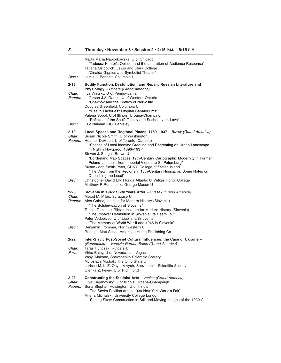| Disc.:                    | Marta Maria Napiorkowska, U of Chicago<br>"Tadeusz Kantor's Objects and the Liberation of Audience Response"<br>Tatiana Osipovich, Lewis and Clark College<br>"Zinaida Gippius and Symbolist Theater"<br>Jamie L. Bennett, Columbia U                                                                                                                                                                                 |
|---------------------------|-----------------------------------------------------------------------------------------------------------------------------------------------------------------------------------------------------------------------------------------------------------------------------------------------------------------------------------------------------------------------------------------------------------------------|
| $2 - 18$                  | Bodily Function, Dysfunction, and Repair: Russian Literature and<br><b>Physiology</b> - Riviera (Grand America)                                                                                                                                                                                                                                                                                                       |
| Chair:<br>Papers:         | Ilya Vinitsky, U of Pennsylvania<br>Jefferson J.A. Gatrall, U of Western Ontario<br>"Chekhov and the Poetics of Nervosity"<br>Douglas Greenfield, Columbia U<br>"Health Factories': Utopian Sanatoriums"<br>Valeria Sobol, U of Illinois, Urbana-Champaign<br>"Reflexes of the Soul? Tolstoy and Sechenov on Love"                                                                                                    |
| Disc.:                    | Eric Naiman, UC, Berkeley                                                                                                                                                                                                                                                                                                                                                                                             |
| 2-19<br>Chair:<br>Papers: | Local Spaces and Regional Places, 1759–1937 – Savoy (Grand America)<br>Susan Nicole Smith, U of Washington<br>Heather DeHaan, U of Toronto (Canada)<br>"Spaces of Local Identity: Creating and Recreating an Urban Landscape<br>in Nizhnii Novgorod, 1896-1937"<br>Steven J. Seegel, Brown U                                                                                                                          |
|                           | "Borderland Map Spaces: 19th-Century Cartographic Modernity in Former<br>Poland-Lithuania from Imperial Vienna to St. Petersburg"<br>Susan Joan Smith-Peter, CUNY, College of Staten Island<br>"The View from the Regions in 18th-Century Russia, or, Some Notes on<br>Describing the Local"                                                                                                                          |
| Disc.:                    | Christopher David Ely, Florida Atlantic U, Wilkes Honor College<br>Matthew P. Romaniello, George Mason U                                                                                                                                                                                                                                                                                                              |
| 2-20<br>Chair:<br>Papers: | Slovenia in 1945: Sixty Years After - Sussex (Grand America)<br>Metod M. Milac, Syracuse U<br>Ales Gabric, Institute for Modern History (Slovenia)<br>"The Bolshevization of Slovenia"<br>Tadeja Tominsek Rihtar, Institute for Modern History (Slovenia)<br>"The Postwar Retribution in Slovenia: Its Death Toll"<br>Peter Vodopivec, U of Ljubljana (Slovenia)<br>"The Memory of World War II and 1945 in Slovenia" |
| Disc.:                    | Benjamin Frommer, Northwestern U<br>Rudolph Matt Susel, American Home Publishing Co.                                                                                                                                                                                                                                                                                                                                  |
| $2 - 22$                  | Inter-Slavic Post-Soviet Cultural Influences: the Case of Ukraine -<br>(Roundtable) – Venezia Garden Salon (Grand America)                                                                                                                                                                                                                                                                                            |
| Chair:<br>Part.:          | Taras Hunczak, Rutgers U<br>Virko Baley, U of Nevada, Las Vegas<br>Vasyl Makhno, Shevchenko Scientific Society<br>Myroslava Mudrak, The Ohio State U<br>Larissa M. L. Z. Onyshkevych, Shevchenko Scientific Society<br>Olenka Z. Pevny, U of Richmond                                                                                                                                                                 |
| 2-23<br>Chair:<br>Papers: | <b>Constructing the Stalinist Arts</b> - Venice (Grand America)<br>Lilya Kaganovsky, U of Illinois, Urbana-Champaign<br>Sona Stephan Hoisington, U of Illinois<br>"The Soviet Pavilion at the 1939 New York World's Fair"<br>Milena Michalski, University College London<br>"Seeing Sites: Construction in Still and Moving Images of the 1930s"                                                                      |

**8**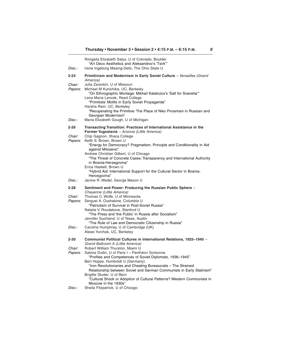| Disc.:                   | Rimgaila Elizabeth Salys, U of Colorado, Boulder<br>"Art Deco Aesthetics and Aleksandrov's 'Tsirk'"<br>Irene Ingeborg Masing-Delic, The Ohio State U                                      |
|--------------------------|-------------------------------------------------------------------------------------------------------------------------------------------------------------------------------------------|
| 2-24                     | Primitivism and Modernism in Early Soviet Culture - Versailles (Grand                                                                                                                     |
| Chair:<br>Papers:        | America)<br>Julia Zarankin, U of Missouri<br>Michael M Kunichika, UC, Berkeley<br>"On Ethnographic Montage: Mikhail Kalatozov's 'Salt for Svanetia"                                       |
|                          | Lena Maria Lencek, Reed College<br>"Primitists' Motifs in Early Soviet Propaganda"<br>Harsha Ram, UC, Berkeley<br>"Recuperating the Primitive: The Place of Niko Pirosmani in Russian and |
| Disc.:                   | Georgian Modernism"<br>Maria Elizabeth Gough, U of Michigan                                                                                                                               |
| 2-26                     | Transacting Transition: Practices of International Assistance in the<br>Former Yugoslavia - Arizona (Little America)                                                                      |
| Chair:<br>Papers:        | Chip Gagnon, Ithaca College<br>Keith S. Brown, Brown U<br>"Energy for Democracy? Pragmatism, Principle and Conditionality in Aid<br>against Milosevic"                                    |
|                          | Andrew Christian Gilbert, U of Chicago<br>"The Threat of Concrete Cases: Transparency and International Authority<br>in Bosnia-Herzegovina"                                               |
|                          | Erica Haskell, Brown U<br>"Hybrid Aid: International Support for the Cultural Sector in Bosnia-<br>Hercegovina"                                                                           |
| Disc.:                   | Janine R. Wedel, George Mason U                                                                                                                                                           |
| 2-28                     | Sentiment and Power: Producing the Russian Public Sphere -<br>Cheyenne (Little America)                                                                                                   |
| Chair:<br><i>Papers:</i> | Thomas C. Wolfe, U of Minnesota<br>Serguei A. Oushakine, Columbia U                                                                                                                       |
|                          | "Patriotism of Survival in Post-Soviet Russia"<br>Natalia V. Roudakova, Stanford U<br>"The Press and 'the Public' in Russia after Socialism"                                              |
|                          | Jennifer Suchland, U of Texas, Austin<br>"The Rule of Law and Democratic Citizenship in Russia"                                                                                           |
| Disc.:                   | Caroline Humphrey, U of Cambridge (UK)<br>Alexei Yurchak, UC, Berkeley                                                                                                                    |
| 2-30                     | Communist Political Cultures in International Relations, 1925-1940 -<br>Grand Ballroom A (Little America)                                                                                 |
| Chair:                   | Robert William Thurston, Miami U                                                                                                                                                          |
| <i>Papers:</i>           | Sabine Dullin, U of Paris I - Panthéon Sorbonne<br>"Profiles and Competences of Soviet Diplomats, 1936-1945"<br>Bert Hoppe, Humboldt U (Germany)                                          |
|                          | "Iron Revolutionaries and Cheating Bureaucrats - The Strained<br>Relationship between Soviet and German Communists in Early Stalinism"                                                    |
|                          | Brigitte Studer, U of Bern<br>"Cultural Shock or Adoption of Cultural Patterns? Western Communists in                                                                                     |
| Disc.:                   | Moscow in the 1930s"<br>Sheila Fitzpatrick, U of Chicago                                                                                                                                  |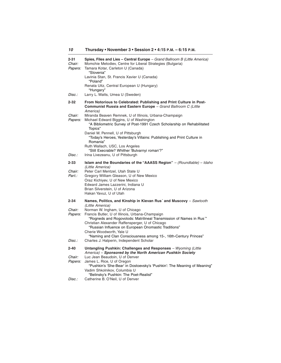| 2-31<br>Chair:<br>Papers: | Spies, Files and Lies - Central Europe - Grand Ballroom B (Little America)<br>Momchie Metodiev, Centre for Liberal Strategies (Bulgaria)<br>Tamara Kotar, Carleton U (Canada)<br>"Slovenia"<br>Lavinia Stan, St. Francis Xavier U (Canada)<br>"Poland"<br>Renata Uitz, Central European U (Hungary)<br>"Hungary"                                                                                      |
|---------------------------|-------------------------------------------------------------------------------------------------------------------------------------------------------------------------------------------------------------------------------------------------------------------------------------------------------------------------------------------------------------------------------------------------------|
| Disc.:                    | Larry L. Watts, Umea U (Sweden)                                                                                                                                                                                                                                                                                                                                                                       |
| 2-32                      | From Notorious to Celebrated: Publishing and Print Culture in Post-<br><b>Communist Russia and Eastern Europe</b> – Grand Ballroom C (Little<br>America)                                                                                                                                                                                                                                              |
| Chair:<br>Papers:         | Miranda Beaven Remnek, U of Illinois, Urbana-Champaign<br>Michael Edward Biggins, U of Washington<br>"A Bibliometric Survey of Post-1991 Czech Scholarship on Rehabilitated<br>Topics"<br>Daniel M. Pennell, U of Pittsburgh<br>"Today's Heroes, Yesterday's Villains: Publishing and Print Culture in<br>Romania"<br>Ruth Wallach, USC, Los Angeles<br>"Still Execrable? Whither 'Bulvarnyi roman'?" |
| Disc.:                    | Irina Livezeanu, U of Pittsburgh                                                                                                                                                                                                                                                                                                                                                                      |
| 2-33<br>Chair:<br>Part.:  | <b>Islam and the Boundaries of the "AAASS Region"</b> $-$ (Roundtable) $-$ Idaho<br>(Little America)<br>Peter Carl Mentzel, Utah State U<br>Gregory William Gleason, U of New Mexico<br>Oraz Kichiyev, U of New Mexico<br>Edward James Lazzerini, Indiana U<br>Brian Silverstein, U of Arizona<br>Hakan Yavuz, U of Utah                                                                              |
| $2 - 34$                  | Names, Politics, and Kinship in Kievan Rus' and Muscovy – Sawtooth<br>(Little America)                                                                                                                                                                                                                                                                                                                |
| Chair:<br><i>Papers:</i>  | Norman W. Ingham, U of Chicago<br>Francis Butler, U of Illinois, Urbana-Champaign<br>"Rogneds and Rogovolods: Matrilineal Transmission of Names in Rus"<br>Christian Alexander Raffensperger, U of Chicago<br>"Russian Influence on European Onomastic Traditions"<br>Cherie Woodworth, Yale U<br>"Naming and Clan Consciousness among 15-, 16th-Century Princes"                                     |
| Disc.:                    | Charles J. Halperin, Independent Scholar                                                                                                                                                                                                                                                                                                                                                              |
| 2-40<br>Chair:<br>Papers: | Untangling Pushkin: Challenges and Responses - Wyoming (Little<br>America) - Sponsored by the North American Pushkin Society<br>Luc Jean Beaudoin, U of Denver<br>James L. Rice, U of Oregon<br>"Pushkin's 'She-Bear' in Dostoevsky's 'Pushkin': The Meaning of Meaning"<br>Vadim Shkolnikov, Columbia U<br>"Belinsky's Pushkin: The Poet-Realist"                                                    |
| Disc.:                    | Catherine B. O'Neil, U of Denver                                                                                                                                                                                                                                                                                                                                                                      |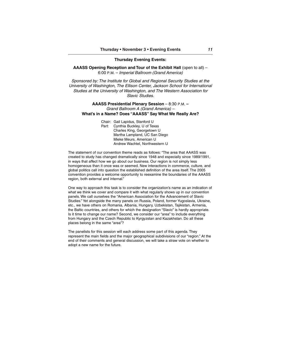#### **Thursday Evening Events:**

**AAASS Opening Reception and Tour of the Exhibit Hall (open to all) –** 6:00 P.M. – Imperial Ballroom (Grand America)

Sponsored by: The Institute for Global and Regional Security Studies at the University of Washington, The Ellison Center, Jackson School for International Studies at the University of Washington, and The Western Association for Slavic Studies.

#### **AAASS Presidential Plenary Session** – 8:30 P.M. **–** Grand Ballroom A (Grand America) – **What's in a Name? Does "AAASS" Say What We Really Are?**

Chair: Gail Lapidus, Stanford U Part: Cynthia Buckley, U of Texas

Charles King, Georgetown U Martha Lampland, UC San Diego Mieke Meurs, American U Andrew Wachtel, Northwestern U

The statement of our convention theme reads as follows: "The area that AAASS was created to study has changed dramatically since 1948 and especially since 1989/1991, in ways that affect how we go about our business. Our region is not simply less homogeneous than it once was or seemed. New interactions in commerce, culture, and global politics call into question the established definition of the area itself. The 2005 convention provides a welcome opportunity to reexamine the boundaries of the AAASS region, both external and internal."

One way to approach this task is to consider the organization's name as an indication of what we think we cover and compare it with what regularly shows up in our convention panels. We call ourselves the "American Association for the Advancement of Slavic Studies." Yet alongside the many panels on Russia, Poland, former Yugoslavia, Ukraine, etc., we have others on Romania, Albania, Hungary, Uzbekistan, Tajikistan, Armenia, the Baltic countries, and others for which the designation "Slavic" is hardly appropriate. Is it time to change our name? Second, we consider our "area" to include everything from Hungary and the Czech Republic to Kyrgyzstan and Kazakhstan. Do all these places belong in the same "area"?

The panelists for this session will each address some part of this agenda. They represent the main fields and the major geographical subdivisions of our "region." At the end of their comments and general discussion, we will take a straw vote on whether to adopt a new name for the future.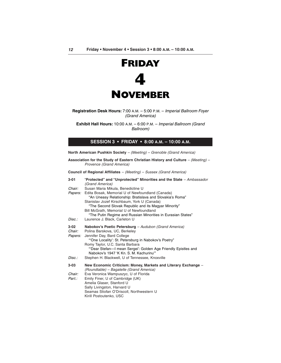

**Registration Desk Hours:** 7:00 A.M. – 5:00 P.M. – Imperial Ballroom Foyer (Grand America)

**Exhibit Hall Hours:** 10:00 A.M. – 6:00 P.M. – Imperial Ballroom (Grand Ballroom)

## **SESSION 3 • FRIDAY • 8:00 A.M. – 10:00 A.M.**

**North American Pushkin Society** – (Meeting) – Grenoble (Grand America)

**Association for the Study of Eastern Christian History and Culture** – (Meeting) – Provence (Grand America)

**Council of Regional Affiliates** – (Meeting) – Sussex (Grand America)

| 3-01                             | "Protected" and "Unprotected" Minorities and the State - Ambassador<br>(Grand America)                                                                                                                                                                                                                                          |
|----------------------------------|---------------------------------------------------------------------------------------------------------------------------------------------------------------------------------------------------------------------------------------------------------------------------------------------------------------------------------|
| Chair:                           | Susan Maria Mikula, Benedictine U                                                                                                                                                                                                                                                                                               |
| <i>Papers:</i>                   | Edita Bosak, Memorial U of Newfoundland (Canada)<br>"An Uneasy Relationship: Bratislava and Slovakia's Roma"<br>Stanislav Jozef Kirschbaum, York U (Canada)<br>"The Second Slovak Republic and its Magyar Minority"<br>Bill McGrath, Memorial U of Newfoundland<br>"The Putin Regime and Russian Minorities in Eurasian States" |
| Disc.:                           | Laurence J. Black, Carleton U                                                                                                                                                                                                                                                                                                   |
| 3-02<br>Chair:<br><i>Papers:</i> | Nabokov's Poetic Petersburg - Audubon (Grand America)<br>Polina Barskova, UC, Berkeley<br>Jennifer Day, Bard College<br>"One Locality': St. Petersburg in Nabokov's Poetry"<br>Romy Taylor, U.C. Santa Barbara<br>"Dear Stefan-I mean Sergei': Golden Age Friendly Epistles and<br>Nabokov's 1947 'K Kn, S, M, Kachurinu'"      |
| Disc.:                           | Stephen H. Blackwell, U of Tennessee, Knoxville                                                                                                                                                                                                                                                                                 |
| 3-03                             | New Economic Criticism: Money, Markets and Literary Exchange -<br>(Roundtable) - Bagatelle (Grand America)                                                                                                                                                                                                                      |
| Chair:                           | Eva Veronica Wampuszyc, U of Florida                                                                                                                                                                                                                                                                                            |
| Part.:                           | Emily Finer, U of Cambridge (UK)<br>Amelia Glaser, Stanford U<br>Sally Livingston, Harvard U<br>Seamas Stiofan O'Driscoll, Northwestern U<br>Kirill Postoutenko, USC                                                                                                                                                            |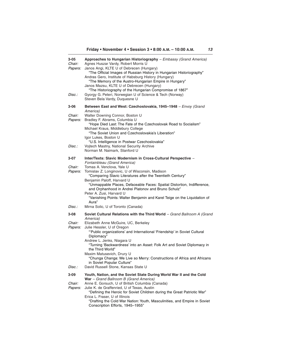| 3-05<br>Chair:<br>Papers:          | Approaches to Hungarian Historiography - Embassy (Grand America)<br>Agnes Huszar Vardy, Robert Morris U<br>Janos Angi, KLTE U of Debrecen (Hungary)<br>"The Official Images of Russian History in Hungarian Historiography"<br>Andras Gero, Institute of Habsburg History (Hungary)<br>"The Memory of the Austro-Hungarian Empire in Hungary"<br>Janos Mazsu, KLTE U of Debrecen (Hungary)<br>"The Historiography of the Hungarian Compromise of 1867"                |
|------------------------------------|-----------------------------------------------------------------------------------------------------------------------------------------------------------------------------------------------------------------------------------------------------------------------------------------------------------------------------------------------------------------------------------------------------------------------------------------------------------------------|
| Disc.:                             | Gyorgy G. Peteri, Norwegian U of Science & Tech (Norway)<br>Steven Bela Vardy, Duquesne U                                                                                                                                                                                                                                                                                                                                                                             |
| 3-06                               | Between East and West: Czechoslovakia, 1945–1948 – Envoy (Grand                                                                                                                                                                                                                                                                                                                                                                                                       |
| Chair:<br><i>Papers:</i>           | America)<br>Walter Downing Connor, Boston U<br>Bradley F. Abrams, Columbia U<br>"Hope Died Last: The Fate of the Czechoslovak Road to Socialism"<br>Michael Kraus, Middlebury College<br>"The Soviet Union and Czechoslovakia's Liberation"<br>Igor Lukes, Boston U                                                                                                                                                                                                   |
| Disc.:                             | "U.S. Intelligence in Postwar Czechoslovakia"<br>Vojtech Mastny, National Security Archive<br>Norman M. Naimark, Stanford U                                                                                                                                                                                                                                                                                                                                           |
| 3-07                               | Inter/Texts: Slavic Modernism in Cross-Cultural Perspective -<br>Fontainbleau (Grand America)                                                                                                                                                                                                                                                                                                                                                                         |
| Chair:<br>Papers:                  | Tomas A. Venclova, Yale U<br>Tomislav Z. Longinovic, U of Wisconsin, Madison<br>"Comparing Slavic Literatures after the Twentieth Century"<br>Benjamin Paloff, Harvard U<br>"Unmappable Places, Defaceable Faces: Spatial Distortion, Indifference,<br>and Orphanhood in Andrei Platonov and Bruno Schulz"<br>Peter A. Zusi, Harvard U<br>"Vanishing Points: Walter Benjamin and Karel Teige on the Liquidation of<br>Aura"                                           |
| Disc.:                             | Mirna Solic, U of Toronto (Canada)                                                                                                                                                                                                                                                                                                                                                                                                                                    |
| 3-08                               | Soviet Cultural Relations with the Third World – Grand Ballroom A (Grand<br>America)                                                                                                                                                                                                                                                                                                                                                                                  |
| Chair:<br><i>Papers:</i><br>Disc.: | Elizabeth Anne McGuire, UC, Berkeley<br>Julie Hessler, U of Oregon<br>"Public organizations' and International 'Friendship' in Soviet Cultural<br>Diplomacy"<br>Andrew L. Jenks, Niagara U<br>"Turning 'Backwardness' into an Asset: Folk Art and Soviet Diplomacy in<br>the Third World"<br>Maxim Matusevich, Drury U<br>"Chunga Changa: We Live so Merry: Constructions of Africa and Africans<br>in Soviet Popular Culture"<br>David Russell Stone, Kansas State U |
| 3-09                               | Youth, Nation, and the Soviet State During World War II and the Cold                                                                                                                                                                                                                                                                                                                                                                                                  |
| Chair:<br>Papers:                  | War - Grand Ballroom B (Grand America)<br>Anne E. Gorsuch, U of British Columbia (Canada)<br>Julie K. de Graffenried, U of Texas, Austin<br>"Defining the Heroic for Soviet Children during the Great Patriotic War"<br>Erica L. Fraser, U of Illinois<br>"Drafting the Cold War Nation: Youth, Masculinities, and Empire in Soviet<br>Conscription Efforts, 1945-1955"                                                                                               |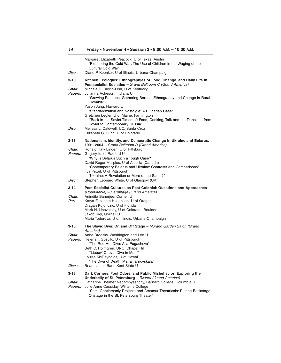| Disc.:                          | Margaret Elizabeth Peacock, U of Texas, Austin<br>"Pioneering the Cold War: The Use of Children in the Waging of the<br>Cultural Cold War"<br>Diane P. Koenker, U of Illinois, Urbana-Champaign                                                                                                                                                                                                  |
|---------------------------------|--------------------------------------------------------------------------------------------------------------------------------------------------------------------------------------------------------------------------------------------------------------------------------------------------------------------------------------------------------------------------------------------------|
| 3-10                            | Kitchen Ecologies: Ethnographies of Food, Change, and Daily Life in<br>Postsocialist Societies - Grand Ballroom C (Grand America)                                                                                                                                                                                                                                                                |
| Chair:<br>Papers:               | Michele R. Rivkin-Fish, U of Kentucky<br>Julianna Acheson, Indiana U<br>"Growing Potatoes, Gathering Berries: Ethnography and Change in Rural<br>Slovakia"<br>Yuson Jung, Harvard U<br>"Standardization and Nostalgia: A Bulgarian Case"<br>Gretchen Legler, U of Maine, Farmington<br>"Back in the Soviet Times': Food, Cooking, Talk and the Transition from<br>Soviet to Contemporary Russia" |
| Disc.:                          | Melissa L. Caldwell, UC, Santa Cruz<br>Elizabeth C. Dunn, U of Colorado                                                                                                                                                                                                                                                                                                                          |
| 3-11                            | Nationalism, Identity, and Democratic Change in Ukraine and Belarus,<br>1991-2004 - Grand Ballroom D (Grand America)                                                                                                                                                                                                                                                                             |
| Chair:<br>Papers:               | Ronald Haly Linden, U of Pittsburgh<br>Grigory loffe, Radford U<br>"Why is Belarus Such a Tough Case?"<br>David Roger Marples, U of Alberta (Canada)<br>"Contemporary Belarus and Ukraine: Contrasts and Comparisons"<br>Ilya Prizel, U of Pittsburgh<br>"Ukraine: A Revolution or More of the Same?"                                                                                            |
| Disc.:                          | Stephen Leonard White, U of Glasgow (UK)                                                                                                                                                                                                                                                                                                                                                         |
| 3-14<br><i>Chair:</i><br>Part.: | Post-Socialist Cultures as Post-Colonial: Questions and Approaches -<br>(Roundtable) - Hermitage (Grand America)<br>Anindita Banerjee, Cornell U<br>Katya Elizabeth Hokanson, U of Oregon<br>Dragan Kujundzic, U of Florida<br>Mark N. Lipovetsky, U of Colorado, Boulder<br>Jakob Rigi, Cornell U<br>Maria Todorova, U of Illinois, Urbana-Champaign                                            |
| 3-16                            | The Slavic Diva: On and Off Stage - Murano Garden Salon (Grand<br>America)                                                                                                                                                                                                                                                                                                                       |
| <i>Chair:</i><br><i>Papers:</i> | Anna Brodsky, Washington and Lee U<br>Helena I. Goscilo, U of Pittsburgh<br>"The Red-Hot Diva: Alla Pugacheva"<br>Beth C. Holmgren, UNC, Chapel Hill<br>"Liubov' Orlova: Diva in Mufti"<br>Louise McReynolds, U of Hawai'i<br>"The Diva of Death: Maria Tarnovskaia"                                                                                                                             |
| Disc.:                          | Brian James Baer, Kent State U                                                                                                                                                                                                                                                                                                                                                                   |
| 3-18<br>Chair:<br>Papers:       | Dark Corners, Foul Odors, and Public Misbehavior: Exploring the<br>Underbelly of St. Petersburg - Riviera (Grand America)<br>Catharine Theimer Nepomnyashchy, Barnard College, Columbia U<br>Julie Anne Cassiday, Williams College<br>"Semi-Gentlemanly Projects and Amateur Theatricals: Putting Backstage<br>Onstage in the St. Petersburg Theater"                                            |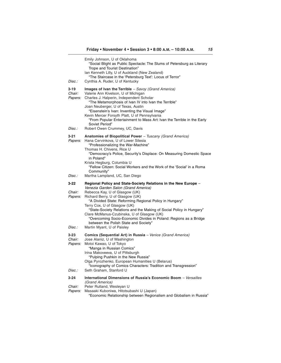| Disc.:                              | Emily Johnson, U of Oklahoma<br>"Social Blight as Public Spectacle: The Slums of Petersburg as Literary<br>Trope and Tourist Destination"<br>Ian Kenneth Lilly, U of Auckland (New Zealand)<br>"The Staircase in the 'Petersburg Text': Locus of Terror"<br>Cynthia A. Ruder, U of Kentucky                                                                                                                                               |
|-------------------------------------|-------------------------------------------------------------------------------------------------------------------------------------------------------------------------------------------------------------------------------------------------------------------------------------------------------------------------------------------------------------------------------------------------------------------------------------------|
| 3-19<br>Chair:<br><i>Papers:</i>    | Images of Ivan the Terrible $-$ Savoy (Grand America)<br>Valerie Ann Kivelson, U of Michigan<br>Charles J. Halperin, Independent Scholar<br>"The Metamorphosis of Ivan IV into Ivan the Terrible"<br>Joan Neuberger, U of Texas, Austin<br>"Eisenstein's Ivan: Inventing the Visual Image"<br>Kevin Mercer Forsyth Platt, U of Pennsylvania<br>"From Popular Entertainment to Mass Art: Ivan the Terrible in the Early<br>Soviet Period"  |
| Disc.:                              | Robert Owen Crummey, UC, Davis                                                                                                                                                                                                                                                                                                                                                                                                            |
| 3-21<br><i>Papers:</i>              | Anatomies of Biopolitical Power – Tuscany (Grand America)<br>Hana Cervinkova, U of Lower Silesia<br>"Professionalizing the War-Machine"<br>Thomas H. Chivens, Rice U<br>"Democracy's Police, Security's Displace: On Measuring Domestic Space<br>in Poland"                                                                                                                                                                               |
| Disc.:                              | Krista Hegburg, Columbia U<br>"Fellow Citizen: Social Workers and the Work of the 'Social' in a Roma<br>Community"<br>Martha Lampland, UC, San Diego                                                                                                                                                                                                                                                                                      |
| 3-22                                | Regional Policy and State-Society Relations in the New Europe -                                                                                                                                                                                                                                                                                                                                                                           |
| Chair:<br><i>Papers:</i>            | Venezia Garden Salon (Grand America)<br>Rebecca Kay, U of Glasgow (UK)<br>Richard Berry, U of Glasgow (UK)<br>"A Divided State: Reforming Regional Policy in Hungary"<br>Terry Cox, U of Glasgow (UK)<br>"State-Society Relations and the Making of Social Policy in Hungary"<br>Clare McManus-Czubinska, U of Glasgow (UK)<br>"Overcoming Socio-Economic Divides in Poland: Regions as a Bridge<br>between the Polish State and Society" |
| Disc.:                              | Martin Myant, U of Paisley                                                                                                                                                                                                                                                                                                                                                                                                                |
| 3-23<br>Chair:<br>Papers:<br>Disc.: | <b>Comics (Sequential Art) in Russia</b> – Venice (Grand America)<br>Jose Alaniz, U of Washington<br>Motoi Kawao, U of Tokyo<br>"Manga in Russian Comics"<br>Irina Makoveeva, U of Pittsburgh<br>"Pulping Pushkin in the New Russia"<br>Olga Pyrozhenko, European Humanities U (Belarus)<br>"Iconography of Comics Characters: Tradition and Transgression"<br>Seth Graham, Stanford U                                                    |
|                                     |                                                                                                                                                                                                                                                                                                                                                                                                                                           |
| 3-24                                | International Dimensions of Russia's Economic Boom - Versailles<br>(Grand America)                                                                                                                                                                                                                                                                                                                                                        |
| Chair:<br><i>Papers:</i>            | Peter Rutland, Wesleyan U<br>Masaaki Kuboniwa, Hitotsubashi U (Japan)                                                                                                                                                                                                                                                                                                                                                                     |

"Economic Relationship between Regionalism and Globalism in Russia"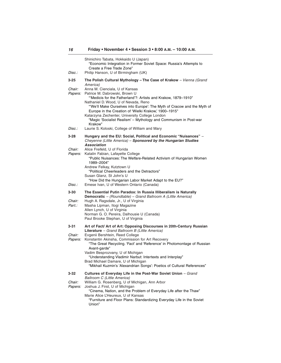| Disc.:         | Shinichiro Tabata, Hokkaido U (Japan)<br>"Economic Integration in Former Soviet Space: Russia's Attempts to<br>Create a Free Trade Zone"<br>Philip Hanson, U of Birmingham (UK)  |
|----------------|----------------------------------------------------------------------------------------------------------------------------------------------------------------------------------|
| 3-25           | The Polish Cultural Mythology - The Case of Krakow - Vienna (Grand                                                                                                               |
|                | America)                                                                                                                                                                         |
| Chair:         | Anna M. Cienciala, U of Kansas                                                                                                                                                   |
| Papers:        | Patrice M. Dabrowski, Brown U<br>"Medicis for the Fatherland'?: Artists and Krakow, 1879-1910"                                                                                   |
|                | Nathaniel D. Wood, U of Nevada, Reno                                                                                                                                             |
|                | "We'll Make Ourselves into Europe': The Myth of Cracow and the Myth of<br>Europe in the Creation of 'Wielki Krakow,' 1900-1915"                                                  |
|                | Katarzyna Zechenter, University College London<br>"Magic 'Socialist Realism' – Mythology and Communism in Post-war<br>Krakow"                                                    |
| Disc.:         | Laurie S. Koloski, College of William and Mary                                                                                                                                   |
| 3-28           | Hungary and the EU: Social, Political and Economic "Nuisances" -<br>Cheyenne (Little America) - Sponsored by the Hungarian Studies<br>Association                                |
| Chair:         | Alice Freifeld, U of Florida                                                                                                                                                     |
| Papers:        | Katalin Fabian, Lafayette College<br>"Public Nuisances: The Welfare-Related Activism of Hungarian Women<br>1989-2004"                                                            |
|                | Andrew Felkay, Kutztown U<br>"Political Cheerleaders and the Detractors"                                                                                                         |
|                | Susan Glanz, St John's U                                                                                                                                                         |
|                | "How Did the Hungarian Labor Market Adapt to the EU?"                                                                                                                            |
| Disc.:         | Emese Ivan, U of Western Ontario (Canada)                                                                                                                                        |
| 3-30<br>Chair: | The Essential Putin Paradox: In Russia Illiberalism is Naturally<br><b>Democratic</b> - (Roundtable) - Grand Ballroom A (Little America)<br>Hugh A. Ragsdale, Jr., U of Virginia |
| Part.:         | Masha Lipman, Itogi Magazine                                                                                                                                                     |
|                | Allen Lynch, U of Virginia                                                                                                                                                       |
|                | Norman G. O. Pereira, Dalhousie U (Canada)<br>Paul Brooke Stephan, U of Virginia                                                                                                 |
|                |                                                                                                                                                                                  |
| 3-31           | Art of Fact/ Art of Art: Opposing Discourses in 20th-Century Russian<br>Literature - Grand Ballroom B (Little America)                                                           |
| Chair:         | Evgenii Bershtein, Reed College                                                                                                                                                  |
| Papers:        | Konstantin Akinsha, Commission for Art Recovery<br>"The Great Recycling. 'Fact' and 'Reference' in Photomontage of Russian<br>Avant-garde"                                       |
|                | Vadim Besprozvany, U of Michigan<br>"Understanding Vladimir Narbut: Intertexts and Interplay"                                                                                    |
|                | Brad Michael Damare, U of Michigan<br>"Mikhail Kuzmin's 'Alexandrian Songs': Poetics of Cultural References"                                                                     |
| 3-32           | Cultures of Everyday Life in the Post-War Soviet Union - Grand<br>Ballroom C (Little America)                                                                                    |
| Chair:         | William G. Rosenberg, U of Michigan, Ann Arbor<br>Joshua J. First, U of Michigan                                                                                                 |
| <i>Papers:</i> | "Cinema, Nation, and the Problem of Everyday Life after the Thaw"                                                                                                                |
|                | Marie Alice L'Heureux, U of Kansas                                                                                                                                               |
|                | "Furniture and Floor Plans: Standardizing Everyday Life in the Soviet<br>Union"                                                                                                  |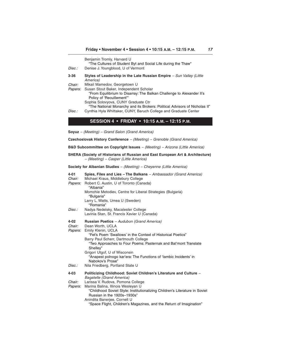|                                         | Benjamin Tromly, Harvard U<br>"The Cultures of Student Byt and Social Life during the Thaw"                                                                                                                                                                                                      |
|-----------------------------------------|--------------------------------------------------------------------------------------------------------------------------------------------------------------------------------------------------------------------------------------------------------------------------------------------------|
| Disc.:                                  | Denise J. Youngblood, U of Vermont                                                                                                                                                                                                                                                               |
| $3 - 36$                                | Styles of Leadership in the Late Russian Empire - Sun Valley (Little<br>America)                                                                                                                                                                                                                 |
| <i>Chair:</i><br>Papers:                | Mikail Mamedov, Georgetown U<br>Susan Stout Baker, Independent Scholar<br>"From Equilibrium to Disarray: The Balkan Challenge to Alexander II's<br>Policy of 'Recuillement"<br>Sophia Solovyova, CUNY Graduate Ctr<br>"The National Monarchy and its Brokers: Political Advisors of Nicholas II" |
| Disc.:                                  | Cynthia Hyla Whittaker, CUNY, Baruch College and Graduate Center                                                                                                                                                                                                                                 |
|                                         | SESSION 4 • FRIDAY • 10:15 A.M. - 12:15 P.M.                                                                                                                                                                                                                                                     |
|                                         | <b>Soyuz</b> – (Meeting) – Grand Salon (Grand America)                                                                                                                                                                                                                                           |
|                                         | Czechoslovak History Conference - (Meeting) - Grenoble (Grand America)                                                                                                                                                                                                                           |
|                                         | <b>B&amp;D Subcommittee on Copyright Issues</b> $-$ (Meeting) $-$ Arizona (Little America)                                                                                                                                                                                                       |
|                                         | SHERA (Society of Historians of Russian and East European Art & Architecture)<br>- (Meeting) - Casper (Little America)                                                                                                                                                                           |
|                                         | Society for Albanian Studies - (Meeting) - Cheyenne (Little America)                                                                                                                                                                                                                             |
| 4-01<br><i>Chair:</i><br><i>Papers:</i> | Spies, Files and Lies - The Balkans - Ambassador (Grand America)<br>Michael Kraus, Middlebury College<br>Robert C. Austin, U of Toronto (Canada)<br>"Albania"<br>Momchie Metodiev, Centre for Liberal Strategies (Bulgaria)                                                                      |
|                                         | "Bulgaria"<br>Larry L. Watts, Umea U (Sweden)<br>"Romania"                                                                                                                                                                                                                                       |
| Disc.:                                  | Nadya Nedelsky, Macalester College<br>Lavinia Stan, St. Francis Xavier U (Canada)                                                                                                                                                                                                                |
| $4 - 02$<br>Chair:<br><i>Papers:</i>    | <b>Russian Poetics</b> - Audubon (Grand America)<br>Dean Worth, UCLA<br>Emily Klenin, UCLA<br>"Fet's Poem 'Swallows' in the Context of Historical Poetics"                                                                                                                                       |
|                                         | Barry Paul Scherr, Dartmouth College<br>"Two Approaches to Four Poems: Pasternak and Bal'mont Translate<br>Shelley"<br>Grigori Utgof, U of Wisconsin<br>"Anapest polnogo kar'era: The Functions of 'lambic Incidents' in                                                                         |
| Disc.:                                  | Nabokov's Prose'<br>Nila Friedberg, Portland State U                                                                                                                                                                                                                                             |
| $4 - 03$<br>Chair:<br>Papers:           | Politicizing Childhood: Soviet Children's Literature and Culture -<br>Bagatelle (Grand America)<br>Larissa V. Rudova, Pomona College<br>Marina Balina, Illinois Wesleyan U<br>"Childhood Soviet Style: Institutionalizing Children's Literature in Soviet                                        |
|                                         | Russian in the 1920s-1930s"<br>Anindita Banerjee, Cornell U                                                                                                                                                                                                                                      |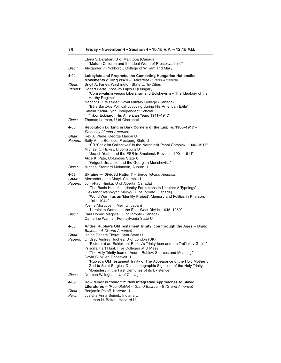| <i>Disc.:</i>                              | Elena V. Baraban, U of Manitoba (Canada)<br>"Mature Children and the Ideal World of Prostokvashino"<br>Alexander V. Prokhorov, College of William and Mary                                                                                                                                                                                                                                                                                                                                                                                                                                                                                                             |
|--------------------------------------------|------------------------------------------------------------------------------------------------------------------------------------------------------------------------------------------------------------------------------------------------------------------------------------------------------------------------------------------------------------------------------------------------------------------------------------------------------------------------------------------------------------------------------------------------------------------------------------------------------------------------------------------------------------------------|
| 4-04                                       | Lobbyists and Prophets, the Competing Hungarian Nationalist                                                                                                                                                                                                                                                                                                                                                                                                                                                                                                                                                                                                            |
| Chair:<br><i>Papers:</i>                   | Movements during WWII - Belvedere (Grand America)<br>Brigit A. Farley, Washington State U, Tri-Cities<br>Robert Barta, Kossuth Lajos U (Hungary)<br>"Conservatism versus Liberalism and Bolshevism - The Ideology of the<br>Horthy Regime"<br>Nandor F. Dreisziger, Royal Military College (Canada)<br>"Béla Bartók's Political Lobbying during His American Exile"<br>Katalin Kadar-Lynn, Independent Scholar<br>"Tibor Eckhardt: His American Years 1941-1947"                                                                                                                                                                                                       |
| Disc.:                                     | Thomas Lorman, U of Cincinnati                                                                                                                                                                                                                                                                                                                                                                                                                                                                                                                                                                                                                                         |
| 4-05<br>Chair:<br><i>Papers:</i>           | Revolution Lurking in Dark Corners of the Empire, 1900-1917 -<br><b>Embassy (Grand America)</b><br>Rex A. Wade, George Mason U<br>Sally Anne Boniece, Frostburg State U<br>"SR 'Socialist Collectives' in the Nerchinsk Penal Complex, 1906-1917"<br>Michael C. Hickey, Bloomsburg U<br>"Jewish Youth and the PSR in Smolensk Province, 1901-1914"<br>Alice K. Pate, Columbus State U<br>"Grigorii Uratadze and the Georgian Mensheviks"                                                                                                                                                                                                                               |
| <i>Disc.:</i>                              | Michael Stanford Melancon, Auburn U                                                                                                                                                                                                                                                                                                                                                                                                                                                                                                                                                                                                                                    |
| 4-06<br>Chair:<br>Papers:<br>Disc.:        | <b>Ukraine - Divided Nation?</b> - Envoy (Grand America)<br>Alexander John Motyl, Columbia U<br>John-Paul Himka, U of Alberta (Canada)<br>"The Basic Historical Identity Formations in Ukraine: A Typology"<br>Oleksandr Ivanovych Melnyk, U of Toronto (Canada)<br>"World War II as an 'Identity Project': Memory and Politics in Kherson,<br>1941-1944"<br>Yoshie Mitsuyoshi, Meiji U (Japan)<br>"Ukrainian Women in the East-West Divide, 1945-1950"<br>Paul Robert Magocsi, U of Toronto (Canada)                                                                                                                                                                  |
|                                            | Catherine Wanner, Pennsylvania State U                                                                                                                                                                                                                                                                                                                                                                                                                                                                                                                                                                                                                                 |
| 4-08<br>Chair:<br><i>Papers:</i><br>Disc.: | Andrei Rublev's Old Testament Trinity Icon through the Ages - Grand<br><b>Ballroom A (Grand America)</b><br>Isolde Renate Thyret, Kent State U<br>Lindsey Audrey Hughes, U of London (UK)<br>"Picture at an Exhibition: Rublev's Trinity Icon and the Tret'iakov Galler"<br>Priscilla Hart Hunt, Five Colleges at U Mass<br>"The Holy Trinity Icon of Andrei Rublev: Sources and Meaning"<br>David B. Miller, Roosevelt U<br>"Rublev's Old Testament Trinity or The Appearance of the Holy Mother of<br>God to Saint Sergius: Dual Iconographic Signifiers of the Holy Trinity<br>Monastery in the First Centuries of its Existence"<br>Norman W. Ingham, U of Chicago |
| 4-09                                       | How Minor is "Minor"?: New Integrative Approaches to Slavic                                                                                                                                                                                                                                                                                                                                                                                                                                                                                                                                                                                                            |
| Chair:<br>Part.:                           | Literatures - (Roundtable) - Grand Ballroom B (Grand America)<br>Benjamin Paloff, Harvard U<br>Justyna Anna Beinek, Indiana U<br>Jonathan H. Bolton, Harvard U                                                                                                                                                                                                                                                                                                                                                                                                                                                                                                         |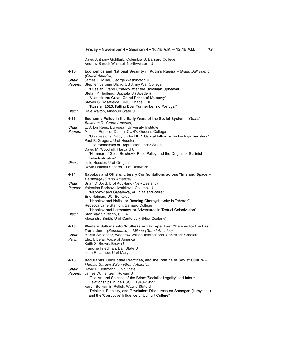|                   | David Anthony Goldfarb, Columbia U, Barnard College<br>Andrew Baruch Wachtel, Northwestern U                                                                                                        |
|-------------------|-----------------------------------------------------------------------------------------------------------------------------------------------------------------------------------------------------|
| 4-10              | Economics and National Security in Putin's Russia – Grand Ballroom C<br>(Grand America)                                                                                                             |
| Chair:<br>Papers: | James R. Millar, George Washington U<br>Stephen Jerome Blank, US Army War College<br>"Russian Grand Strategy after the Ukrainian Upheaval"                                                          |
|                   | Stefan P. Hedlund, Uppsala U (Sweden)<br>"Vladimir the Great: Grand Prince of Muscovy"<br>Steven S. Rosefielde, UNC, Chapel Hill                                                                    |
| Disc.:            | "Russian 2025: Falling Ever Further behind Portugal"<br>Dale Walton, Missouri State U                                                                                                               |
| 4-11              | Economic Policy in the Early Years of the Soviet System - Grand<br><b>Ballroom D (Grand America)</b>                                                                                                |
| Chair:<br>Papers: | E. Arfon Rees, European University Institute<br>Michael Repplier Dohan, CUNY, Queens College<br>"Concessions Policy under NEP: Capital Inflow or Technology Transfer?"                              |
|                   | Paul R. Gregory, U of Houston<br>"The Economics of Repression under Stalin"<br>David M. Woodruff, Harvard U                                                                                         |
|                   | "Hammer of Gold: Bolshevik Price Policy and the Origins of Stalinist<br>Industrialization"                                                                                                          |
| Disc.:            | Julie Hessler, U of Oregon<br>David Randall Shearer, U of Delaware                                                                                                                                  |
| 4-14              | Nabokov and Others: Literary Confrontations across Time and Space -<br>Hermitage (Grand America)                                                                                                    |
| Chair:<br>Papers: | Brian D Boyd, U of Auckland (New Zealand)<br>Valentina Borisova Izmirlieva, Columbia U<br>"Nabokov and Casanova, or Lolita and Zaire"                                                               |
|                   | Eric Naiman, UC, Berkeley<br>"Nabokov and Nafisi, or Reading Chernyshevsky in Teheran"<br>Rebecca Jane Stanton, Barnard College                                                                     |
| Disc.:            | "Nabokov and Lermontov, or Adventures in Textual Colonization"<br>Stanislav Shvabrin, UCLA<br>Alexandra Smith, U of Canterbury (New Zealand)                                                        |
| 4-15              | Western Balkans into Southeastern Europe: Last Chances for the Last<br><b>Transition</b> - (Roundtable) - Milano (Grand America)                                                                    |
| Chair:<br>Part.:  | Martin Sletzinger, Woodrow Wilson International Center for Scholars<br>Elez Biberaj, Voice of America<br>Keith S. Brown, Brown U<br>Francine Friedman, Ball State U<br>John R. Lampe, U of Maryland |
| 4-16              | Bad Habits, Corruptive Practices, and the Politics of Soviet Culture -<br>Murano Garden Salon (Grand America)                                                                                       |
| Chair:<br>Papers: | David L. Hoffmann, Ohio State U<br>James W. Heinzen, Rowan U<br>"The Art and Science of the Bribe: 'Socialist Legality' and Informal<br>Relationships in the USSR, 1940-1955"                       |
|                   | Aaron Benyamin Retish, Wayne State U<br>"Drinking, Ethnicity, and Revolution: Discourses on Samogon (kumyshka)<br>and the 'Corruptive' Influence of Udmurt Culture"                                 |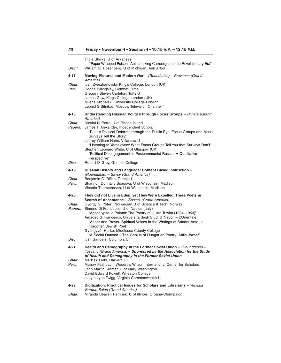| Disc.:                              | Tricia Starks, U of Arkansas<br>"Paper Wrapped Poison': Anti-smoking Campaigns of the Revolutionary Era"<br>William G. Rosenberg, U of Michigan, Ann Arbor                                                                                                                                                                                                                                                                                                                                                                                                                                                             |
|-------------------------------------|------------------------------------------------------------------------------------------------------------------------------------------------------------------------------------------------------------------------------------------------------------------------------------------------------------------------------------------------------------------------------------------------------------------------------------------------------------------------------------------------------------------------------------------------------------------------------------------------------------------------|
| 4-17                                | Moving Pictures and Modern War $-$ (Roundtable) – Provence (Grand                                                                                                                                                                                                                                                                                                                                                                                                                                                                                                                                                      |
| <i>Chair:</i><br>Part.:             | America)<br>Ivan Zverzhanovski, King's College, London (UK)<br>Dodge Billingsley, Combat Films<br>Gregory Steven Carleton, Tufts U<br>James Gow, Kings College London (UK)<br>Milena Michalski, University College London<br>Leonid S Sitnikov, Moscow Television Channel 1                                                                                                                                                                                                                                                                                                                                            |
| 4-18                                | Understanding Russian Politics through Focus Groups - Riviera (Grand<br>America)                                                                                                                                                                                                                                                                                                                                                                                                                                                                                                                                       |
| <i>Chair:</i><br><i>Papers:</i>     | Nicolai N. Petro, U of Rhode Island<br>James T. Alexander, Independent Scholar<br>"Putin's Political Reforms through the Public Eye: Focus Groups and Mass<br>Surveys Tell the Story"<br>Jeffrey William Hahn, Villanova U<br>"Listening to Yaroslavtsy: What Focus Groups Tell You that Surveys Don't"<br>Stephen Leonard White, U of Glasgow (UK)<br>"Political Disengagement in Postcommunist Russia: A Qualitative<br>Perspective"                                                                                                                                                                                 |
| Disc.:                              | Robert D. Grey, Grinnell College                                                                                                                                                                                                                                                                                                                                                                                                                                                                                                                                                                                       |
| 4-19<br>Chair:<br>Part.:            | Russian History and Language: Content Based Instruction -<br>(Roundtable) – Savoy (Grand America)<br>Benjamin G. Rifkin, Temple U<br>Shannon Donnally Spasova, U of Wisconsin, Madison<br>Victoria Thorstensson, U of Wisconsin, Madison                                                                                                                                                                                                                                                                                                                                                                               |
| 4-20<br>Chair:<br>Papers:<br>Disc.: | They did not Live in Eden, yet They Were Expelled; Three Poets in<br>Search of Acceptance - Sussex (Grand America)<br>Gyorgy G. Peteri, Norwegian U of Science & Tech (Norway)<br>Simone Di Francesco, U of Naples (Italy)<br>"Apocalypse in Poland: The Poetry of Julian Tuwim (1894–1953)"<br>Amadeo di Francesco, Università degli Studi di Napoli - L'Orientale<br>"Anger and Prayer: Spiritual Voices in the Writings of Sándor Antal, a<br>Forgotten Jewish Poet"<br>Gyöngyvér Harkó, Middlesex County College<br>"A Social Outcast - The Genius of Hungarian Poetry: Attila József"<br>Ivan Sanders, Columbia U |
|                                     |                                                                                                                                                                                                                                                                                                                                                                                                                                                                                                                                                                                                                        |
| 4-21<br>Chair:<br>Part.:            | Health and Demography in the Former Soviet Union - (Roundtable) -<br>Tuscany (Grand America) – Sponsored by the Association for the Study<br>of Health and Demography in the Former Soviet Union<br>Mark G. Field, Harvard U<br>Murray Feshbach, Woodrow Wilson International Center for Scholars<br>John Martin Kramer, U of Mary Washington<br>David Edward Powell, Wheaton College<br>Judyth Lynn Twigg, Virginia Commonwealth U                                                                                                                                                                                    |
| 4-22                                | Digitization: Practical Issues for Scholars and Librarians – Venezia<br>Garden Salon (Grand America)                                                                                                                                                                                                                                                                                                                                                                                                                                                                                                                   |

Chair: Miranda Beaven Remnek, U of Illinois, Urbana-Champaign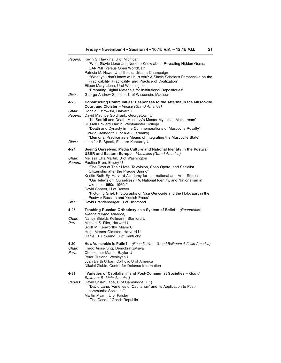| <i>Papers:</i>                                    | Kevin S. Hawkins, U of Michigan<br>"What Slavic Librarians Need to Know about Revealing Hidden Gems:<br>OAI-PMH versus Open WorldCat"<br>Patricia M. Hswe, U of Illinois, Urbana-Champaign<br>"What you don't know will hurt you': A Slavic Scholar's Perspective on the<br>Practicability, Practicality, and Practice of Digitization"<br>Eileen Mary Llona, U of Washington<br>"Preparing Digital Materials for Institutional Repositories"                                                                                                                                                                                                                                 |
|---------------------------------------------------|-------------------------------------------------------------------------------------------------------------------------------------------------------------------------------------------------------------------------------------------------------------------------------------------------------------------------------------------------------------------------------------------------------------------------------------------------------------------------------------------------------------------------------------------------------------------------------------------------------------------------------------------------------------------------------|
| Disc.:                                            | George Andrew Spencer, U of Wisconsin, Madison                                                                                                                                                                                                                                                                                                                                                                                                                                                                                                                                                                                                                                |
| 4-23<br>Chair:<br><i>Papers:</i>                  | <b>Constructing Communities: Responses to the Afterlife in the Muscovite</b><br>Court and Cloister - Venice (Grand America)<br>Donald Ostrowski, Harvard U<br>David Maurice Goldfrank, Georgetown U<br>"Nil Sorskii and Death: Muscovy's Master Mystic as Mainstream"<br>Russell Edward Martin, Westminster College<br>"Death and Dynasty in the Commemorations of Muscovite Royalty"<br>Ludwig Steindorff, U of Kiel (Germany)<br>"Memorial Practice as a Means of Integrating the Muscovite State"                                                                                                                                                                          |
| Disc.:                                            | Jennifer B. Spock, Eastern Kentucky U                                                                                                                                                                                                                                                                                                                                                                                                                                                                                                                                                                                                                                         |
| 4-24<br><i>Chair:</i><br><i>Papers:</i><br>Disc.: | Seeing Ourselves: Media Culture and National Identity in the Postwar<br><b>USSR and Eastern Europe</b> - Versailles (Grand America)<br>Melissa Ellis Martin, U of Washington<br>Paulina Bren, Emory U<br>"The Days of Their Lives: Television, Soap Opera, and Socialist<br>Citizenship after the Prague Spring"<br>Kristin Roth-Ey, Harvard Academy for International and Area Studies<br>"Our Television, Ourselves? TV, National Identity, and Nationalism in<br>Ukraine, 1950s-1960s"<br>David Shneer, U of Denver<br>"Picturing Grief: Photographs of Nazi Genocide and the Holocaust in the<br>Postwar Russian and Yiddish Press"<br>David Brandenberger, U of Richmond |
| 4-25                                              | Teaching Russian Orthodoxy as a System of Belief $-$ (Roundtable) $-$                                                                                                                                                                                                                                                                                                                                                                                                                                                                                                                                                                                                         |
| Chair:<br>Part.:                                  | Vienna (Grand America)<br>Nancy Shields Kollmann, Stanford U<br>Michael S. Flier, Harvard U<br>Scott M. Kenworthy, Miami U<br>Hugh Mercer Olmsted, Harvard U<br>Daniel B. Rowland, U of Kentucky                                                                                                                                                                                                                                                                                                                                                                                                                                                                              |
| 4-30<br>Chair:<br>Part.:                          | How Vulnerable is Putin? $-$ (Roundtable) $-$ Grand Ballroom A (Little America)<br>Fredo Arias-King, Demokratizatsiya<br>Christopher Marsh, Baylor U<br>Peter Rutland, Wesleyan U<br>Joan Barth Urban, Catholic U of America<br>Nikolai Zlobin, Center for Defense Information                                                                                                                                                                                                                                                                                                                                                                                                |
| 4-31<br><i>Papers:</i>                            | "Varieties of Capitalism" and Post-Communist Societies - Grand<br>Ballroom B (Little America)<br>David Stuart Lane, U of Cambridge (UK)<br>"David Lane, 'Varieties of Capitalism' and its Application to Post-<br>communist Societies"<br>Martin Myant, U of Paisley<br>"The Case of Czech Republic"                                                                                                                                                                                                                                                                                                                                                                          |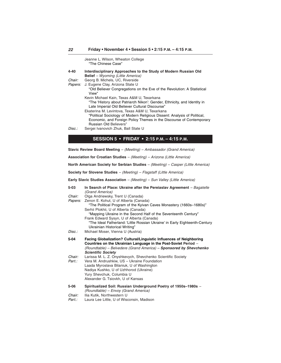|         | Jeanne L. Wilson, Wheaton College<br>"The Chinese Case"                                                                    |
|---------|----------------------------------------------------------------------------------------------------------------------------|
| 4-40    | Interdisciplinary Approaches to the Study of Modern Russian Old<br><b>Belief</b> – Wyoming (Little America)                |
| Chair:  | Georg B. Michels, UC, Riverside                                                                                            |
| Papers: | J. Eugene Clay, Arizona State U                                                                                            |
|         | "Old Believer Congregations on the Eve of the Revolution: A Statistical<br>View"                                           |
|         | Kevin Michael Kain, Texas A&M U, Texarkana                                                                                 |
|         | "The 'History about Patriarch Nikon': Gender, Ethnicity, and Identity in<br>Late Imperial Old Believer Cultural Discourse" |
|         | Ekaterina M. Levintova, Texas A&M U, Texarkana                                                                             |
|         | "Political Sociology of Modern Religious Dissent: Analysis of Political,                                                   |
|         | Economic, and Foreign Policy Themes in the Discourse of Contemporary<br>Russian Old Believers"                             |
| Disc.:  | Sergei Ivanovich Zhuk, Ball State U                                                                                        |

# **SESSION 5 • FRIDAY • 2:15 P.M. – 4:15 P.M.**

**Slavic Review Board Meeting** – (Meeting) – Ambassador (Grand America)

**Association for Croatian Studies** – (Meeting) – Arizona (Little America)

**North American Society for Serbian Studies** – (Meeting) – Casper (Little America)

**Society for Slovene Studies** – (Meeting) – Flagstaff (Little America)

**Early Slavic Studies Association** – (Meeting) – Sun Valley (Little America)

| $5 - 03$         | In Search of Place: Ukraine after the Pereiaslav Agreement - Bagatelle<br>(Grand America)                                                                                                                                                                           |
|------------------|---------------------------------------------------------------------------------------------------------------------------------------------------------------------------------------------------------------------------------------------------------------------|
| Chair:           | Olga Andriewsky, Trent U (Canada)                                                                                                                                                                                                                                   |
| Papers:          | Zenon E. Kohut, U of Alberta (Canada)                                                                                                                                                                                                                               |
|                  | "The Political Program of the Kyivan Caves Monastery (1660s–1680s)"                                                                                                                                                                                                 |
|                  | Serhii Plokhii, U of Alberta (Canada)<br>"Mapping Ukraine in the Second Half of the Seventeenth Century"                                                                                                                                                            |
|                  | Frank Edward Sysyn, U of Alberta (Canada)                                                                                                                                                                                                                           |
|                  | "The Ideal Fatherland: 'Little Rossian Ukraine' in Early Eighteenth-Century<br>Ukrainian Historical Writing"                                                                                                                                                        |
| Disc.:           | Michael Moser, Vienna U (Austria)                                                                                                                                                                                                                                   |
| 5-04             | Facing Globalization? Cultural/Linguistic Influences of Neighboring<br>Countries on the Ukrainian Language in the Post-Soviet Period -<br>(Roundtable) - Belvedere (Grand America) - Sponsored by Shevchenko<br><b>Scientific Society</b>                           |
| Chair:<br>Part.: | Larissa M. L. Z. Onyshkevych, Shevchenko Scientific Society<br>Vera M. Andrushkiw, US - Ukraine Foundation<br>Laada Myroslava Bilaniuk, U of Washington<br>Nadiya Kushko, U of Uzhhorod (Ukraine)<br>Yury Shevchuk, Columbia U<br>Alexander G. Tsiovkh, U of Kansas |
| $5 - 06$         | Spiritualized Soil: Russian Underground Poetry of 1950s-1980s -<br>(Roundtable) - Envoy (Grand America)                                                                                                                                                             |
| Chair:           | Ilia Kutik, Northwestern U                                                                                                                                                                                                                                          |
| Part.:           | Laura Lee Little, U of Wisconsin, Madison                                                                                                                                                                                                                           |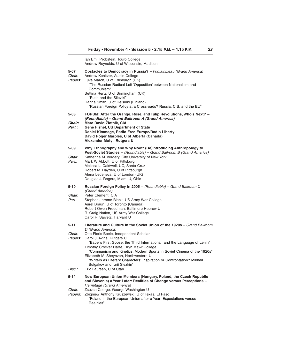Ian Emil Probstein, Touro College Andrew Reynolds, U of Wisconsin, Madison **5-07 Obstacles to Democracy in Russia?** – Fontainbleau (Grand America) Chair: Andrew Konitzer, Austin College Papers: Luke March, U of Edinburgh (UK) "The Russian Radical Left 'Opposition' between Nationalism and Communism" Bettina Renz, U of Birmingham (UK) "Putin and the Siloviki" Hanna Smith, U of Helsinki (Finland) "Russian Foreign Policy at a Crossroads? Russia, CIS, and the EU" **5-08 FORUM: After the Orange, Rose, and Tulip Revolutions, Who's Next? – (Roundtable) – Grand Ballroom A (Grand America) Chair: Marc David Zlotnik, CIA Part.: Gene Fishel, US Department of State Daniel Kimmage, Radio Free Europe/Radio Liberty David Roger Marples, U of Alberta (Canada) Alexander Motyl, Rutgers U 5-09 Why Ethnography and Why Now? (Re)Introducing Anthropology to Post-Soviet Studies** – (Roundtable) – Grand Ballroom B (Grand America) Chair: Katherine M. Verdery, City University of New York Part.: Mark W Abbott, U of Pittsburgh Melissa L. Caldwell, UC, Santa Cruz Robert M. Hayden, U of Pittsburgh Alena Ledeneva, U of London (UK) Douglas J. Rogers, Miami U, Ohio **5-10 Russian Foreign Policy in 2005** – (Roundtable) – Grand Ballroom C (Grand America) Chair: Peter Clement, CIA Part.: Stephen Jerome Blank, US Army War College Aurel Braun, U of Toronto (Canada) Robert Owen Freedman, Baltimore Hebrew U R. Craig Nation, US Army War College Carol R. Saivetz, Harvard U **5-11 Literature and Culture in the Soviet Union of the 1920s** – Grand Ballroom D (Grand America) Chair: Otto Floris Boele, Independent Scholar Papers: Carol J. Avins, Rutgers U "Babel's First Goose, the Third International, and the Language of Lenin" Timothy Crocker Harte, Bryn Mawr College "Communism and Kinetics: Modern Sports in Soviet Cinema of the 1920s" Elizabeth M. Sheynzon, Northwestern U "Writers as Literary Characters: Inspiration or Confrontation? Mikhail Bulgakov and Iurii Slezkin" Disc.: Eric Laursen, U of Utah **5-14 New European Union Members (Hungary, Poland, the Czech Republic and Slovenia) a Year Later: Realities of Change versus Perceptions** – Hermitage (Grand America) Chair: Zsuzsa Csergo, George Washington U Papers: Zbigniew Anthony Kruszewski, U of Texas, El Paso "Poland in the European Union after a Year: Expectations versus Realities"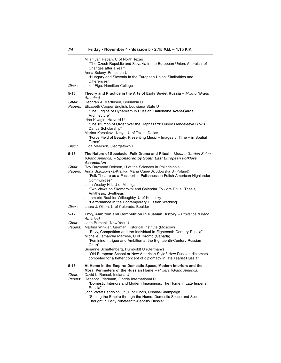|                          | Milan Jan Reban, U of North Texas<br>"The Czech Republic and Slovakia in the European Union: Appraisal of<br>Changes after a Year"<br>Anna Seleny, Princeton U<br>"Hungary and Slovenia in the European Union: Similarities and<br>Differences"                                                                                                                                                                                                                                      |
|--------------------------|--------------------------------------------------------------------------------------------------------------------------------------------------------------------------------------------------------------------------------------------------------------------------------------------------------------------------------------------------------------------------------------------------------------------------------------------------------------------------------------|
| Disc.:                   | Jozef Figa, Hamilton College                                                                                                                                                                                                                                                                                                                                                                                                                                                         |
| 5-15                     | Theory and Practice in the Arts of Early Soviet Russia - Milano (Grand                                                                                                                                                                                                                                                                                                                                                                                                               |
| Chair:<br>Papers:        | America)<br>Deborah A. Martinsen, Columbia U<br>Elizabeth Cooper English, Louisiana State U<br>"The Origins of Dynamism in Russian 'Rationalist' Avant-Garde<br>Architecture"<br>Irina Klyagin, Harvard U<br>"The Triumph of Order over the Haphazard: Liubov Mendeleeva Blok's<br>Dance Scholarship"<br>Marina Korsakova-Kreyn, U of Texas, Dallas<br>"Force Field of Beauty: Presenting Music - Images of Time - in Spatial                                                        |
| Disc.:                   | Terms"<br>Olga Meerson, Georgetown U                                                                                                                                                                                                                                                                                                                                                                                                                                                 |
| 5-16                     | The Nature of Spectacle: Folk Drama and Ritual - Murano Garden Salon<br>(Grand America) - Sponsored by South East European Folklore<br><b>Association</b>                                                                                                                                                                                                                                                                                                                            |
| Chair:<br>Papers:        | Roy Raymond Robson, U of the Sciences in Philadelphia<br>Anna Brzozowska-Kraijka, Maria Curie-Sklodowska U (Poland)<br>"Folk Theatre as a Passport to Polishness in Polish-American Highlander<br>Communities"<br>John Wesley Hill, U of Michigan<br>"Two Views on Skomorokhi and Calendar Folklore Ritual: Thesis,<br>Antithesis, Synthesis"<br>Jeanmarie Rouhier-Willoughby, U of Kentucky<br>"Performance in the Contemporary Russian Wedding"                                    |
| Disc.:                   | Laura J. Olson, U of Colorado, Boulder                                                                                                                                                                                                                                                                                                                                                                                                                                               |
| 5-17                     | Envy, Ambition and Competition in Russian History - Provence (Grand<br>America)                                                                                                                                                                                                                                                                                                                                                                                                      |
| Chair:<br>Papers:        | Jane Burbank, New York U<br>Martina Winkler, German Historical Institute (Moscow)<br>"Envy, Competition and the Individual in Eighteenth-Century Russia"<br>Michelle Lamarche Marrese, U of Toronto (Canada)<br>"Feminine Intrigue and Ambition at the Eighteenth-Century Russian<br>Court"<br>Susanne Schattenberg, Humboldt U (Germany)<br>"Old European School or New American Style? How Russian diplomats<br>competed for a better concept of diplomacy in late Tsarist Russia" |
| 5-18                     | At Home in the Empire: Domestic Space, Modern Interiors and the<br>Moral Perimeters of the Russian Home - Riviera (Grand America)                                                                                                                                                                                                                                                                                                                                                    |
| Chair:<br><i>Papers:</i> | David L. Ransel, Indiana U<br>Rebecca Friedman, Florida International U<br>"Domestic Interiors and Modern Imaginings: The Home in Late Imperial<br>Russia"<br>John Wyatt Randolph, Jr., U of Illinois, Urbana-Champaign                                                                                                                                                                                                                                                              |
|                          | "Seeing the Empire through the Home: Domestic Space and Social                                                                                                                                                                                                                                                                                                                                                                                                                       |

Thought in Early Nineteenth-Century Russia"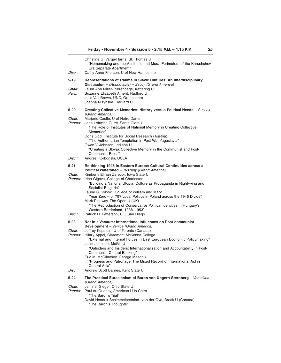| Disc.:                           | Christine G. Varga-Harris, St. Thomas U<br>"Homemaking and the Aesthetic and Moral Perimeters of the Khrushchev-<br>Era Separate Apartment"<br>Cathy Anne Frierson, U of New Hampshire                                                                                                                                                                                                                                                                                                                                                                                 |
|----------------------------------|------------------------------------------------------------------------------------------------------------------------------------------------------------------------------------------------------------------------------------------------------------------------------------------------------------------------------------------------------------------------------------------------------------------------------------------------------------------------------------------------------------------------------------------------------------------------|
| 5-19<br><i>Chair:</i><br>Part.:  | Representations of Trauma in Slavic Cultures: An Interdisciplinary<br>Discussion - (Roundtable) - Savoy (Grand America)<br>Laura Ann Miller-Purrenhage, Kettering U<br>Suzanne Elizabeth Ament, Radford U<br>Julie Vail Brown, UNC, Greensboro<br>Joanna Nizynska, Harvard U                                                                                                                                                                                                                                                                                           |
| 5-20<br>Chair:<br>Papers:        | Creating Collective Memories: History versus Political Needs - Sussex<br>(Grand America)<br>Marjorie Castle, U of Notre Dame<br>Jane Leftwich Curry, Santa Clara U<br>"The Role of Institutes of National Memory in Creating Collective<br>Memories"<br>Doris Godl, Institute for Social Research (Austria)<br>"The Authoritarian Temptation in Post-War Yugoslavia"<br>Owen V. Johnson, Indiana U<br>"Creating a Slovak Collective Memory in the Communist and Post-<br><b>Communist Press"</b>                                                                       |
| Disc.:                           | Andrzej Korbonski, UCLA                                                                                                                                                                                                                                                                                                                                                                                                                                                                                                                                                |
| 5-21<br>Chair:<br><i>Papers:</i> | Re-thinking 1945 in Eastern Europe: Cultural Continuities across a<br>Political Watershed - Tuscany (Grand America)<br>Kimberly Elman Zarecor, Iowa State U<br>Irina Gigova, College of Charleston<br>"Building a National Utopia: Culture as Propaganda in Right-wing and<br>Socialist Bulgaria"<br>Laurie S. Koloski, College of William and Mary<br>"Year Zero - or 79? Local Politics in Poland across the 1945 Divide"<br>Mark Pittaway, The Open U (UK)<br>"The Reproduction of Conservative Political Identities in Hungary's<br>Western Borderland, 1938-1953" |
| Disc.:                           | Patrick H. Patterson, UC, San Diego                                                                                                                                                                                                                                                                                                                                                                                                                                                                                                                                    |
| 5-23<br>Chair:<br><i>Papers:</i> | Not in a Vacuum: International Influences on Post-communist<br>Development - Venice (Grand America)<br>Jeffrey Kopstein, U of Toronto (Canada)<br>Hilary Appel, Claremont McKenna College<br>"External and Internal Forces in East European Economic Policymaking"<br>Juliet Johnson, McGill U<br>"Outsiders and Insiders: Internationalization and Accountability in Post-<br>Communist Central Banking"<br>Eric M. McGlinchey, George Mason U<br>"Progress and Patronage: The Mixed Record of International Aid in<br>Central Asia"                                  |
| Disc.:                           | Andrew Scott Barnes, Kent State U                                                                                                                                                                                                                                                                                                                                                                                                                                                                                                                                      |
| 5-24<br>Chair:<br><i>Papers:</i> | The Practical Eurasianism of Baron von Ungern-Sternberg - Versailles<br>(Grand America)<br>Jennifer Siegel, Ohio State U<br>Paul du Quenoy, American U in Cairo<br>"The Baron's Trial"<br>David Hendrik Schimmelpenninck van der Oye, Brock U (Canada)                                                                                                                                                                                                                                                                                                                 |

"The Baron's Thoughts"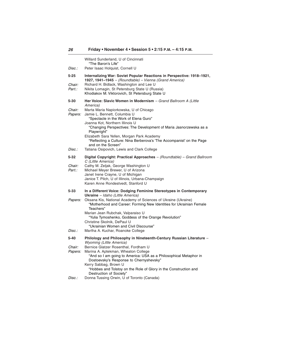|                                    | Willard Sunderland, U of Cincinnati<br>"The Baron's Life"                                                                                                                                                                                                                                                                                                                                                                                      |
|------------------------------------|------------------------------------------------------------------------------------------------------------------------------------------------------------------------------------------------------------------------------------------------------------------------------------------------------------------------------------------------------------------------------------------------------------------------------------------------|
| Disc.:                             | Peter Isaac Holquist, Cornell U                                                                                                                                                                                                                                                                                                                                                                                                                |
| 5-25<br>Chair:<br>Part.:           | Internalizing War: Soviet Popular Reactions in Perspective: 1918-1921,<br>1927, 1941-1945 - (Roundtable) - Vienna (Grand America)<br>Richard H. Bidlack, Washington and Lee U<br>Nikita Lomagin, St Petersburg State U (Russia)<br>Khodiakov M. Viktorovich, St Petersburg State U                                                                                                                                                             |
| 5-30                               | Her Voice: Slavic Women in Modernism - Grand Ballroom A (Little                                                                                                                                                                                                                                                                                                                                                                                |
| <i>Chair:</i><br>Papers:<br>Disc.: | America)<br>Marta Maria Napiorkowska, U of Chicago<br>Jamie L. Bennett, Columbia U<br>"Spectacle in the Work of Elena Guro"<br>Joanna Kot, Northern Illinois U<br>"Changing Perspectives: The Development of Maria Jasnorzewska as a<br>Playwright"<br>Elizabeth Sara Yellen, Morgan Park Academy<br>"Reflecting a Culture: Nina Berberova's 'The Accompanist' on the Page<br>and on the Screen"<br>Tatiana Osipovich, Lewis and Clark College |
|                                    |                                                                                                                                                                                                                                                                                                                                                                                                                                                |
| 5-32<br>Chair:<br>Part.:           | Digital Copyright: Practical Approaches - (Roundtable) - Grand Ballroom<br>C (Little America)<br>Cathy M. Zeljak, George Washington U<br>Michael Meyer Brewer, U of Arizona<br>Janet Irene Crayne, U of Michigan<br>Janice T. Pilch, U of Illinois, Urbana-Champaign<br>Karen Anne Rondestvedt, Stanford U                                                                                                                                     |
| 5-33                               | In a Different Voice: Dodging Feminine Stereotypes in Contemporary                                                                                                                                                                                                                                                                                                                                                                             |
| <i>Papers:</i>                     | <b>Ukraine</b> - Idaho (Little America)<br>Oksana Kis, National Academy of Sciences of Ukraine (Ukraine)<br>"Motherhood and Career: Forming New Identities for Ukrainian Female<br>Teachers"<br>Marian Jean Rubchak, Valparaiso U<br>"Yulia Tymoshenko, Goddess of the Orange Revolution"<br>Christine Skolnik, DePaul U<br>"Ukrainian Women and Civil Discourse"                                                                              |
| Disc.:                             | Martha A. Kuchar, Roanoke College                                                                                                                                                                                                                                                                                                                                                                                                              |
| 5-40                               | Philology and Philosophy in Nineteenth-Century Russian Literature -<br><b>Wyoming (Little America)</b>                                                                                                                                                                                                                                                                                                                                         |
| Chair:<br>Papers:                  | Bernice Glatzer Rosenthal, Fordham U<br>Marina A. Aptekman, Wheaton College<br>"And so I am going to America: USA as a Philosophical Metaphor in<br>Dostoevsky's Response to Chernyshevsky"<br>Kerry Sabbag, Brown U<br>"Hobbes and Tolstoy on the Role of Glory in the Construction and<br>Destruction of Society"                                                                                                                            |
| Disc.:                             | Donna Tussing Orwin, U of Toronto (Canada)                                                                                                                                                                                                                                                                                                                                                                                                     |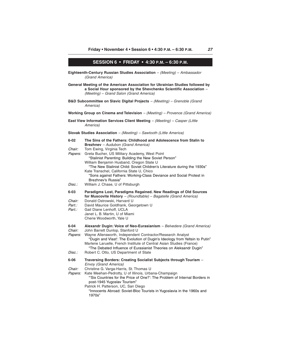## **SESSION 6 • FRIDAY • 4:30 P.M. – 6:30 P.M.**

- **Eighteenth-Century Russian Studies Association** (Meeting) Ambassador (Grand America)
- **General Meeting of the American Association for Ukrainian Studies followed by a Social Hour sponsored by the Shevchenko Scientific Association** – (Meeting) – Grand Salon (Grand America)
- **B&D Subcommittee on Slavic Digital Projects** (Meeting) Grenoble (Grand America)

**Working Group on Cinema and Television** – (Meeting) – Provence (Grand America)

**East View Information Services Client Meeting** – (Meeting) – Casper (Little America)

#### **Slovak Studies Association** – (Meeting) – Sawtooth (Little America)

| $6 - 02$                      | The Sins of the Fathers: Childhood and Adolescence from Stalin to<br><b>Brezhnev</b> - Audubon (Grand America)                                                                                                                                                                                                                                                                                                                            |
|-------------------------------|-------------------------------------------------------------------------------------------------------------------------------------------------------------------------------------------------------------------------------------------------------------------------------------------------------------------------------------------------------------------------------------------------------------------------------------------|
| Chair:<br>Papers:<br>Disc.:   | Tom Ewing, Virginia Tech<br>Greta Bucher, US Military Academy, West Point<br>"Stalinist Parenting: Building the New Soviet Person"<br>William Benjamin Husband, Oregon State U<br>"The New Stalinist Child: Soviet Children's Literature during the 1930s"<br>Kate Transchel, California State U, Chico<br>"Sons against Fathers: Working-Class Deviance and Social Protest in<br>Brezhnev's Russia"<br>William J. Chase, U of Pittsburgh |
| $6 - 03$                      | Paradigms Lost, Paradigms Regained. New Readings of Old Sources                                                                                                                                                                                                                                                                                                                                                                           |
| Chair:<br>Part.:<br>Part.:    | for Muscovite History $-$ (Roundtable) $-$ Bagatelle (Grand America)<br>Donald Ostrowski, Harvard U<br>David Maurice Goldfrank, Georgetown U<br>Gail Diane Lenhoff, UCLA<br>Janet L. B. Martin, U of Miami<br>Cherie Woodworth, Yale U                                                                                                                                                                                                    |
| $6 - 04$<br>Chair:<br>Papers: | Alexandr Dugin: Voice of Neo-Eurasianism - Belvedere (Grand America)<br>John Barrett Dunlop, Stanford U<br>Wayne Allensworth, Independent Contractor/Research Analyst<br>"Dugin and Vlast': The Evolution of Dugin's Ideology from Yeltsin to Putin"<br>Marlene Laruelle, French Institute of Central Asian Studies (France)<br>"The Debated Influence of Eurasianist Theories on Aleksandr Dugin"                                        |
| Disc.:                        | Robert C. Otto, US Department of State                                                                                                                                                                                                                                                                                                                                                                                                    |
| $6 - 06$                      | Traversing Borders: Creating Socialist Subjects through Tourism -<br><b>Envoy (Grand America)</b>                                                                                                                                                                                                                                                                                                                                         |
| Chair:<br>Papers:             | Christine G. Varga-Harris, St. Thomas U<br>Kate Meehan-Pedrotty, U of Illinois, Urbana-Champaign<br>"Six Countries for the Price of One?': The Problem of Internal Borders in<br>post-1945 Yugoslav Tourism"<br>Patrick H. Patterson, UC, San Diego<br>"Innocents Abroad: Soviet-Bloc Tourists in Yugoslavia in the 1960s and<br>1970s"                                                                                                   |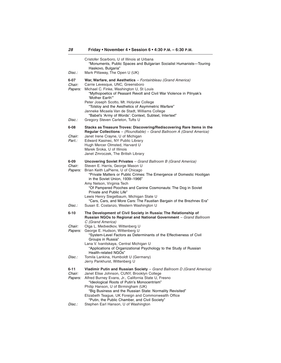| Disc.:                           | Cristofer Scarboro, U of Illinois at Urbana<br>"Monuments, Public Spaces and Bulgarian Socialist Humanists-Touring<br>Haskovo, Bulgaria"<br>Mark Pittaway, The Open U (UK)                                                                                                                                                                                                                                                                                                                                |
|----------------------------------|-----------------------------------------------------------------------------------------------------------------------------------------------------------------------------------------------------------------------------------------------------------------------------------------------------------------------------------------------------------------------------------------------------------------------------------------------------------------------------------------------------------|
| 6-07<br>Chair:<br>Papers:        | War, Warfare, and Aesthetics - Fontainbleau (Grand America)<br>Carrie Levesque, UNC, Greensboro<br>Michael C. Finke, Washington U, St Louis<br>"Mythopoetics of Peasant Revolt and Civil War Violence in Pilnyak's<br>'Mother Earth'"<br>Peter Joseph Scotto, Mt. Holyoke College<br>"Tolstoy and the Aesthetics of Asymmetric Warfare"<br>Janneke Micaela Van de Stadt, Williams College<br>"Babel's 'Army of Words': Context, Subtext, Intertext"                                                       |
| Disc.:                           | Gregory Steven Carleton, Tufts U                                                                                                                                                                                                                                                                                                                                                                                                                                                                          |
| 6-08<br>Chair:<br>Part.:         | Stacks as Treasure Troves: Discovering/Rediscovering Rare Items in the<br>Regular Collections - (Roundtable) - Grand Ballroom A (Grand America)<br>Janet Irene Crayne, U of Michigan<br>Edward Kasinec, NY Public Library<br>Hugh Mercer Olmsted, Harvard U<br>Marek Sroka, U of Illinois<br>Janet Zmroczek, The British Library                                                                                                                                                                          |
| 6-09<br>Chair:<br>Papers:        | <b>Uncovering Soviet Privates</b> - Grand Ballroom B (Grand America)<br>Steven E. Harris, George Mason U<br>Brian Keith LaPierre, U of Chicago<br>"Private Matters or Public Crimes: The Emergence of Domestic Hooligan<br>in the Soviet Union, 1939-1966"<br>Amy Nelson, Virginia Tech<br>"Of Pampered Pooches and Canine Cosmonauts: The Dog in Soviet<br>Private and Public Life"<br>Lewis Henry Siegelbaum, Michigan State U<br>"Cars, Cars, and More Cars: The Faustian Bargain of the Brezhnev Era" |
| Disc.:                           | Susan E. Costanzo, Western Washington U                                                                                                                                                                                                                                                                                                                                                                                                                                                                   |
| 6-10<br>Chair:<br><i>Papers:</i> | The Development of Civil Society in Russia: The Relationship of<br>Russian NGOs to Regional and National Government - Grand Ballroom<br>C (Grand America)<br>Olga L. Medvedkov, Wittenberg U<br>George E. Hudson, Wittenberg U<br>"System-Level Factors as Determinants of the Effectiveness of Civil<br>Groups in Russia"<br>Lana V. Ivanitskaya, Central Michigan U<br>"Applications of Organizational Psychology to the Study of Russian<br>Health-related NGOs"                                       |
| Disc.:                           | Tomila Lankina, Humboldt U (Germany)<br>Jerry Pankhurst, Wittenberg U                                                                                                                                                                                                                                                                                                                                                                                                                                     |
| 6-11<br>Chair:<br>Papers:        | Vladimir Putin and Russian Society - Grand Ballroom D (Grand America)<br>Janet Elise Johnson, CUNY, Brooklyn College<br>Alfred Burney Evans, Jr., California State U, Fresno<br>"Ideological Roots of Putin's Monocentrism"<br>Philip Hanson, U of Birmingham (UK)<br>"Big Business and the Russian State: Normality Revisited"<br>Elizabeth Teague, UK Foreign and Commonwealth Office<br>"Putin, the Public Chamber, and Civil Society"                                                                 |
| Disc.:                           | Stephen Earl Hanson, U of Washington                                                                                                                                                                                                                                                                                                                                                                                                                                                                      |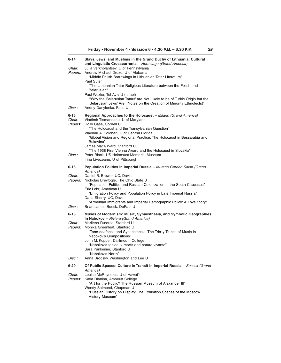| 6-14                     | Slavs, Jews, and Muslims in the Grand Duchy of Lithuania: Cultural<br>and Linguistic Crosscurrents - Hermitage (Grand America)                                                                                       |
|--------------------------|----------------------------------------------------------------------------------------------------------------------------------------------------------------------------------------------------------------------|
| Chair:<br><i>Papers:</i> | Julia Verkholantsev, U of Pennsylvania<br>Andrew Michael Drozd, U of Alabama<br>"Middle Polish Borrowings in Lithuanian Tatar Literature"                                                                            |
|                          | <b>Paul Suter</b><br>"The Lithuanian Tatar Religious Literature between the Polish and<br>Belarusian"                                                                                                                |
| Disc.:                   | Paul Wexler, Tel-Aviv U (Israel)<br>"Why the 'Belarusian Tatars' are Not Likely to be of Turkic Origin but the<br>'Belarusian Jews' Are. (Notes on the Creation of Minority Ethnolects)"<br>Andriy Danylenko, Pace U |
| 6-15                     | Regional Approaches to the Holocaust - Milano (Grand America)                                                                                                                                                        |
| Chair:<br><i>Papers:</i> | Vladimir Tismaneanu, U of Maryland<br>Holly Case, Cornell U<br>"The Holocaust and the Transylvanian Question"                                                                                                        |
|                          | Vladimir A. Solonari, U of Central Florida<br>"Global Vision and Regional Practice: The Holocaust in Bessarabia and<br>Bukovina"                                                                                     |
|                          | James Mace Ward, Stanford U                                                                                                                                                                                          |
| Disc.:                   | "The 1938 First Vienna Award and the Holocaust in Slovakia"<br>Peter Black, US Holocaust Memorial Museum<br>Irina Livezeanu, U of Pittsburgh                                                                         |
| 6-16                     | Population Politics in Imperial Russia - Murano Garden Salon (Grand                                                                                                                                                  |
| Chair:<br><i>Papers:</i> | America)<br>Daniel R. Brower, UC, Davis<br>Nicholas Breyfogle, The Ohio State U<br>"Population Politics and Russian Colonization in the South Caucasus"<br>Eric Lohr, American U                                     |
|                          | "Emigration Policy and Population Policy in Late Imperial Russia"<br>Dana Sherry, UC, Davis                                                                                                                          |
| Disc.:                   | "Armenian Immigrants and Imperial Demographic Policy: A Love Story"<br>Brian James Boeck, DePaul U                                                                                                                   |
| 6-18                     | Muses of Modernism: Music, Synaesthesia, and Symbolic Geographies<br>in Nabokov - Riviera (Grand America)                                                                                                            |
| Chair:                   | Marilena Ruscica, Stanford U                                                                                                                                                                                         |
| Papers:                  | Monika Greenleaf, Stanford U<br>"Tone-deafness and Synaesthesia: The Tricky Traces of Music in<br>Nabokov's Compositions"                                                                                            |
|                          | John M. Kopper, Dartmouth College<br>"Nabokov's tableaux morts and nature vivante"<br>Sara Pankenier, Stanford U                                                                                                     |
|                          | "Nabokov's North"                                                                                                                                                                                                    |
| Disc.:                   | Anna Brodsky, Washington and Lee U                                                                                                                                                                                   |
| 6-20                     | Of Public Spaces: Culture in Transit in Imperial Russia - Sussex (Grand<br>America)                                                                                                                                  |
| Chair:                   | Louise McReynolds, U of Hawai'i                                                                                                                                                                                      |
| Papers:                  | Katia Dianina, Amherst College<br>"Art for the Public? The Russian Museum of Alexander III"                                                                                                                          |
|                          | Wendy Salmond, Chapman U<br>"Russian History on Display: The Exhibition Spaces of the Moscow<br>History Museum"                                                                                                      |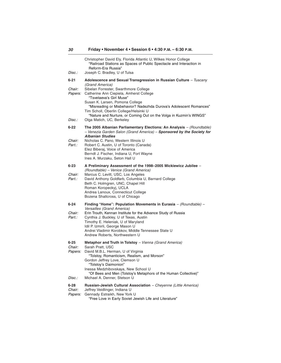| Disc.:                                  | Christopher David Ely, Florida Atlantic U, Wilkes Honor College<br>"Railroad Stations as Spaces of Public Spectacle and Interaction in<br>Reform-Era Russia"<br>Joseph C. Bradley, U of Tulsa                                                                                                                                                                                                                                |
|-----------------------------------------|------------------------------------------------------------------------------------------------------------------------------------------------------------------------------------------------------------------------------------------------------------------------------------------------------------------------------------------------------------------------------------------------------------------------------|
| 6-21<br><i>Chair:</i><br><i>Papers:</i> | Adolescence and Sexual Transgression in Russian Culture - Tuscany<br>(Grand America)<br>Sibelan Forrester, Swarthmore College<br>Catherine Ann Ciepiela, Amherst College<br>"Tsvetaeva's Girl Muse"<br>Susan K. Larsen, Pomona College<br>"Misreading or Misbehavior? Nadezhda Durova's Adolescent Romances"<br>Tim Scholl, Oberlin College/Helsinki U<br>"Nature and Nurture, or Coming Out on the Volga in Kuzmin's WINGS" |
| Disc.:                                  | Olga Matich, UC, Berkeley                                                                                                                                                                                                                                                                                                                                                                                                    |
| 6-22<br><i>Chair:</i><br>Part.:         | The 2005 Albanian Parliamentary Elections: An Analysis - (Roundtable)<br>- Venezia Garden Salon (Grand America) - Sponsored by the Society for<br><b>Albanian Studies</b><br>Nicholas C. Pano, Western Illinois U<br>Robert C. Austin, U of Toronto (Canada)<br>Elez Biberaj, Voice of America<br>Berndt J. Fischer, Indiana U, Fort Wayne<br>Ines A. Murzaku, Seton Hall U                                                  |
| 6-23<br>Chair:<br>Part.:                | A Preliminary Assessment of the 1998-2005 Mickiewicz Jubilee -<br>(Roundtable) - Venice (Grand America)<br>Marcus C. Levitt, USC, Los Angeles<br>David Anthony Goldfarb, Columbia U, Barnard College<br>Beth C. Holmgren, UNC, Chapel Hill<br>Roman Koropeckyj, UCLA<br>Andrea Lanoux, Connecticut College<br>Bozena Shallcross, U of Chicago                                                                                |
| 6-24                                    | Finding "Home": Population Movements in Eurasia $-$ (Roundtable) $-$                                                                                                                                                                                                                                                                                                                                                         |
| Chair:<br>Part.:                        | Versailles (Grand America)<br>Erin Trouth, Kennan Institute for the Advance Study of Russia<br>Cynthia J. Buckley, U of Texas, Austin<br>Timothy E. Heleniak, U of Maryland<br>Idil P. Izmirli, George Mason U<br>Andrei Vladimir Korobkov, Middle Tennessee State U<br>Andrew Roberts, Northwestern U                                                                                                                       |
| 6-25<br>Chair:<br>Papers:               | Metaphor and Truth in Tolstoy - Vienna (Grand America)<br>Sarah Pratt, USC<br>David M.B.L. Herman, U of Virginia<br>"Tolstoy, Romanticism, Realism, and Morson"<br>Gordon Jeffrey Love, Clemson U<br>"Iolstoy's Daimonion'<br>Inessa Medzhibovskaya, New School U<br>"Of Bees and Men (Tolstoy's Metaphors of the Human Collective)"                                                                                         |
| Disc.:                                  | Michael A. Denner, Stetson U                                                                                                                                                                                                                                                                                                                                                                                                 |
| 6-28<br>Chair:<br><i>Papers:</i>        | Russian-Jewish Cultural Association - Cheyenne (Little America)<br>Jeffrey Veidlinger, Indiana U<br>Gennady Estraikh, New York U<br>"Free Love in Early Soviet Jewish Life and Literature"                                                                                                                                                                                                                                   |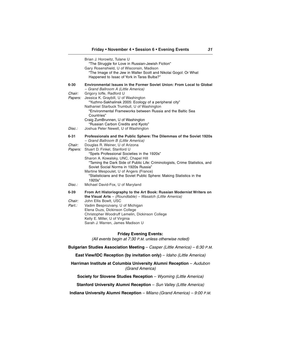|                | Brian J. Horowitz, Tulane U<br>"The Struggle for Love in Russian-Jewish Fiction"<br>Gary Rosenshield, U of Wisconsin, Madison<br>"The Image of the Jew in Walter Scott and Nikolai Gogol: Or What<br>Happened to Issac of York in Taras Bulba?" |
|----------------|-------------------------------------------------------------------------------------------------------------------------------------------------------------------------------------------------------------------------------------------------|
| 6-30           | Environmental Issues in the Former Soviet Union: From Local to Global                                                                                                                                                                           |
| Chair:         | - Grand Ballroom A (Little America)<br>Grigory loffe, Radford U                                                                                                                                                                                 |
| <i>Papers:</i> | Jessica K. Graybill, U of Washington                                                                                                                                                                                                            |
|                | "Yuzhno-Sakhalinsk 2005: Ecology of a peripheral city"<br>Nathaniel Starbuck Trumbull, U of Washington                                                                                                                                          |
|                | "Environmental Frameworks between Russia and the Baltic Sea<br>Countries"                                                                                                                                                                       |
|                | Craig ZumBrunnen, U of Washington                                                                                                                                                                                                               |
| Disc.:         | "Russian Carbon Credits and Kyoto"<br>Joshua Peter Newell, U of Washington                                                                                                                                                                      |
|                |                                                                                                                                                                                                                                                 |
| 6-31           | Professionals and the Public Sphere: The Dilemmas of the Soviet 1920s<br>- Grand Ballroom B (Little America)                                                                                                                                    |
| Chair:         | Douglas R. Weiner, U of Arizona                                                                                                                                                                                                                 |
| Papers:        | Stuart D. Finkel, Stanford U<br>"Spets Professional Societies in the 1920s"                                                                                                                                                                     |
|                | Sharon A. Kowalsky, UNC, Chapel Hill                                                                                                                                                                                                            |
|                | "Taming the Dark Side of Public Life: Criminologists, Crime Statistics, and<br>Soviet Social Norms in 1920s Russia"                                                                                                                             |
|                | Martine Mespoulet, U of Angers (France)<br>"Statisticians and the Soviet Public Sphere: Making Statistics in the                                                                                                                                |
| Disc.:         | 1920s"<br>Michael David-Fox, U of Maryland                                                                                                                                                                                                      |
| 6-39           | From Art Historiography to the Art Book: Russian Modernist Writers on                                                                                                                                                                           |
|                | the Visual Arts $-$ (Roundtable) $-$ Wasatch (Little America)                                                                                                                                                                                   |
| Chair:         | John Ellis Bowlt, USC                                                                                                                                                                                                                           |
| Part.:         | Vadim Besprozvany, U of Michigan<br>Elena Duzs, Dickinson College                                                                                                                                                                               |
|                | Christopher Woodruff Lemelin, Dickinson College                                                                                                                                                                                                 |
|                | Kelly E. Miller, U of Virginia                                                                                                                                                                                                                  |
|                | Sarah J. Warren, James Madison U                                                                                                                                                                                                                |

### **Friday Evening Events:**

(All events begin at 7:30 <sup>P</sup>.<sup>M</sup>. unless otherwise noted)

**Bulgarian Studies Association Meeting** – Casper (Little America) – 6:30 <sup>P</sup>.M.

**East View/IDC Reception (by invitation only)** - Idaho (Little America)

Harriman Institute at Columbia University Alumni Reception - Audubon (Grand America)

**Society for Slovene Studies Reception** - Wyoming (Little America)

**Stanford University Alumni Reception** - Sun Valley (Little America)

**Indiana University Alumni Reception** – Milano (Grand America) – 9:00 <sup>P</sup>.M.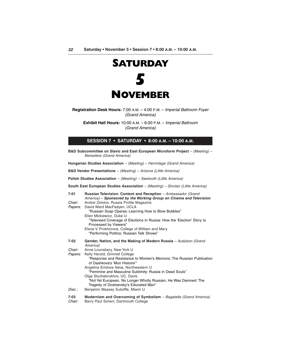

**Registration Desk Hours:** 7:00 A.M. – 4:00 P.M. – Imperial Ballroom Foyer (Grand America)

**Exhibit Hall Hours:** 10:00 A.M. – 6:00 P.M. – Imperial Ballroom (Grand America)

#### **SESSION 7 • SATURDAY • 8:00 A.M. – 10:00 A.M.**

**B&D Subcommittee on Slavic and East European Microform Project** – (Meeting) – Belvedere (Grand America)

**Hungarian Studies Association** – (Meeting) – Hermitage (Grand America)

**B&D Vendor Presentations** – (Meeting) – Arizona (Little America)

**Polish Studies Association** – (Meeting) – Sawtooth (Little America)

**South East European Studies Association** – (Meeting) – Sinclair (Little America)

| 7-01           | Russian Television: Content and Reception - Ambassador (Grand                                                                             |
|----------------|-------------------------------------------------------------------------------------------------------------------------------------------|
| Chair:         | America) – Sponsored by the Working Group on Cinema and Television                                                                        |
| <i>Papers:</i> | Andrei Zolotov, Russia Profile Magazine<br>David Ward MacFadyen, UCLA                                                                     |
|                | "Russian Soap Operas: Learning How to Blow Bubbles"                                                                                       |
|                | Ellen Mickiewicz, Duke U                                                                                                                  |
|                | "Televised Coverage of Elections in Russia: How the 'Election' Story Is<br>Processed by Viewers"                                          |
|                | Elena V. Prokhorova, College of William and Mary                                                                                          |
|                | "Performing Politics: Russian Talk Shows"                                                                                                 |
| 7-02           | Gender, Nation, and the Making of Modern Russia - Audubon (Grand<br>America)                                                              |
| Chair:         | Anne Lounsbery, New York U                                                                                                                |
| <i>Papers:</i> | Kelly Herold, Grinnell College                                                                                                            |
|                | "Response and Resistance to Women's Memoirs: The Russian Publication<br>of Dashkova's 'Mon Histoire'"                                     |
|                | Angelina Emilova Ilieva, Northwestern U                                                                                                   |
|                | "Feminine and Masculine Sublimity: Russia in Dead Souls"                                                                                  |
|                | Olga Stuchebrukhov, UC, Davis<br>"Not Yet European, No Longer Wholly Russian, He Was Damned: The<br>Tragedy of Dostoevsky's Educated Man" |
| Disc.:         | Benjamin Massey Sutcliffe, Miami U                                                                                                        |
| 7-03<br>Chair: | Modernism and Overcoming of Symbolism - Bagatelle (Grand America)<br>Barry Paul Scherr, Dartmouth College                                 |
|                |                                                                                                                                           |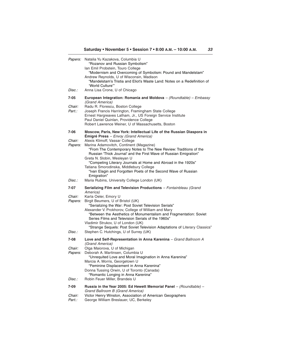| Papers:                                    | Natalia Yu Kazakova, Columbia U<br>"Rozanov and Russian Symbolism"<br>Ian Emil Probstein, Touro College<br>"Modernism and Overcoming of Symbolism: Pound and Mandelstam"<br>Andrew Reynolds, U of Wisconsin, Madison<br>"Mandelstam's Tristia and Eliot's Waste Land: Notes on a Redefinition of<br>"World Culture"                                                                                                                                                                                                                                                                                                     |
|--------------------------------------------|-------------------------------------------------------------------------------------------------------------------------------------------------------------------------------------------------------------------------------------------------------------------------------------------------------------------------------------------------------------------------------------------------------------------------------------------------------------------------------------------------------------------------------------------------------------------------------------------------------------------------|
| Disc.:                                     | Anna Lisa Crone, U of Chicago                                                                                                                                                                                                                                                                                                                                                                                                                                                                                                                                                                                           |
| 7-05<br>Chair:<br>Part.:                   | European Integration: Romania and Moldova $-$ (Roundtable) $-$ Embassy<br>(Grand America)<br>Radu R. Florescu, Boston College<br>Joseph Francis Harrington, Framingham State College<br>Ernest Hargreaves Latham, Jr., US Foreign Service Institute<br>Paul Daniel Quinlan, Providence College<br>Robert Lawrence Weiner, U of Massachusetts, Boston                                                                                                                                                                                                                                                                    |
| 7-06<br>Chair:<br>Papers:<br><i>Disc.:</i> | Moscow, Paris, New York: Intellectual Life of the Russian Diaspora in<br><b>Émigré Press</b> – Envoy (Grand America)<br>Alexis Klimoff, Vassar College<br>Marina Adamovitch, Continent (Magazine)<br>"From The Contemporary Notes to The New Review: Traditions of the<br>Russian 'Thick Journal' and the First Wave of Russian Emigration"<br>Greta N. Slobin, Wesleyan U<br>"Competing Literary Journals at Home and Abroad in the 1920s"<br>Tatiana Smorodinska, Middlebury College<br>"Ivan Elagin and Forgotten Poets of the Second Wave of Russian<br>Emigration"<br>Maria Rubins, University College London (UK) |
| 7-07<br>Chair:<br>Papers:<br>Disc.:        | Serializing Film and Television Productions - Fontainbleau (Grand<br>America)<br>Karla Oeler, Emory U<br>Birgit Beumers, U of Bristol (UK)<br>"Serializing the War: Post Soviet Television Serials"<br>Alexander V. Prokhorov, College of William and Mary<br>"Between the Aesthetics of Monumentalism and Fragmentation: Soviet<br>Series Films and Television Serials of the 1960s"<br>Vladimir Strukov, U of London (UK)<br>"Strange Sequels: Post Soviet Television Adaptations of Literary Classics"<br>Stephen C. Hutchings, U of Surrey (UK)                                                                     |
| 7-08                                       | Love and Self-Representation in Anna Karenina - Grand Ballroom A                                                                                                                                                                                                                                                                                                                                                                                                                                                                                                                                                        |
| Chair:<br>Papers:<br>Disc.:                | (Grand America)<br>Olga Maiorova, U of Michigan<br>Deborah A. Martinsen, Columbia U<br>"Unrequited Love and Moral Imagination in Anna Karenina"<br>Marcia A. Morris, Georgetown U<br>"Feminine Displacement in Anna Karenina"<br>Donna Tussing Orwin, U of Toronto (Canada)<br>"Romantic Longing in Anna Karenina"<br>Robin Feuer Miller, Brandeis U                                                                                                                                                                                                                                                                    |
| 7-09                                       | Russia in the Year 2005: Ed Hewett Memorial Panel $-$ (Roundtable) $-$                                                                                                                                                                                                                                                                                                                                                                                                                                                                                                                                                  |
| Chair:<br>Part.:                           | Grand Ballroom B (Grand America)<br>Victor Henry Winston, Association of American Geographers<br>George William Breslauer, UC, Berkeley                                                                                                                                                                                                                                                                                                                                                                                                                                                                                 |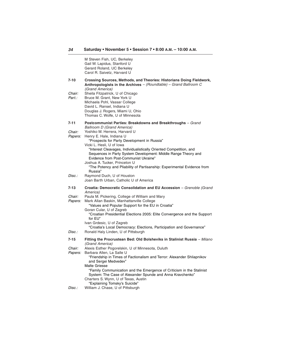M Steven Fish, UC, Berkeley Gail W. Lapidus, Stanford U Gerard Roland, UC Berkeley Carol R. Saivetz, Harvard U **7-10 Crossing Sources, Methods, and Theories: Historians Doing Fieldwork, Anthropologists in the Archives** – (Roundtable) – Grand Ballroom C (Grand America) Chair: Sheila Fitzpatrick, U of Chicago Part.: Bruce M. Grant, New York U Michaela Pohl, Vassar College David L. Ransel, Indiana U Douglas J. Rogers, Miami U, Ohio Thomas C. Wolfe, U of Minnesota **7-11 Postcommunist Parties: Breakdowns and Breakthroughs** – Grand Ballroom D (Grand America) Chair: Yoshiko M. Herrera, Harvard U Papers: Henry E. Hale, Indiana U "Prospects for Party Development in Russia" Vicki L. Hesli, U of Iowa "Interest Cleavages, Individualistically Oriented Competition, and Sequences in Party System Development: Middle Range Theory and Evidence from Post-Communist Ukraine" Joshua A. Tucker, Princeton U "The Potency and Pliability of Partisanship: Experimental Evidence from Russia" Disc.: Raymond Duch, U of Houston Joan Barth Urban, Catholic U of America **7-13 Croatia: Democratic Consolidation and EU Accession** – Grenoble (Grand America) Chair: Paula M. Pickering, College of William and Mary<br>Papers: Mark Allan Baskin, Manhattanville College Mark Allan Baskin, Manhattanville College "Values and Popular Support for the EU in Croatia" Goran Cular, U of Zagreb "Croatian Presidential Elections 2005: Elite Convergence and the Support for EU" Ivan Grdesic, U of Zagreb "Croatia's Local Democracy: Elections, Participation and Governance" Disc.: Ronald Haly Linden, U of Pittsburgh **7-15 Fitting the Procrustean Bed: Old Bolsheviks in Stalinist Russia** – Milano (Grand America) Chair: Alexis Esther Pogorelskin, U of Minnesota, Duluth Papers: Barbara Allen, La Salle U "Friendship in Times of Factionalism and Terror: Alexander Shliapnikov and Sergei Medvedev" Malte Griesse "Family Communication and the Emergence of Criticism in the Stalinist System: The Case of Alexander Spunde and Anna Kravchenko" Charters S. Wynn, U of Texas, Austin "Explaining Tomsky's Suicide" Disc.: William J. Chase, U of Pittsburgh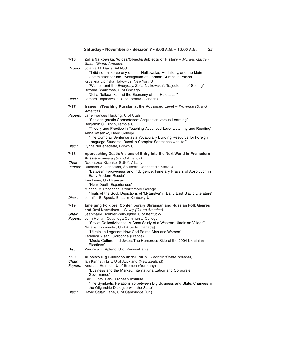| 7-16                      | Zofia Nalkowska: Voices/Objects/Subjects of History - Murano Garden<br>Salon (Grand America)                                                                                                                                                                                                                                                                                                                                |
|---------------------------|-----------------------------------------------------------------------------------------------------------------------------------------------------------------------------------------------------------------------------------------------------------------------------------------------------------------------------------------------------------------------------------------------------------------------------|
| Papers:                   | Jolanta M. Davis, AAASS<br>"I did not make up any of this': Nalkowska, Medaliony, and the Main<br>Commission for the Investigation of German Crimes in Poland"<br>Krystyna Lipinska Illakowicz, New York U<br>"Women and the Everyday: Zofia Nalkowska's Trajectories of Seeing"<br>Bozena Shallcross, U of Chicago                                                                                                         |
| Disc.:                    | "Zofia Nalkowska and the Economy of the Holocaust"<br>Tamara Trojanowska, U of Toronto (Canada)                                                                                                                                                                                                                                                                                                                             |
| 7-17                      | <b>Issues in Teaching Russian at the Advanced Level</b> - Provence (Grand<br>America)                                                                                                                                                                                                                                                                                                                                       |
| Papers:                   | Jane Frances Hacking, U of Utah<br>"Sociopragmatic Competence: Acquisition versus Learning"<br>Benjamin G. Rifkin, Temple U                                                                                                                                                                                                                                                                                                 |
|                           | "Theory and Practice in Teaching Advanced-Level Listening and Reading"<br>Anna Yatsenko, Reed College<br>"The Complex Sentence as a Vocabulary Building Resource for Foreign                                                                                                                                                                                                                                                |
| Disc.:                    | Language Students: Russian Complex Sentences with 'to'"<br>Lynne deBenedette, Brown U                                                                                                                                                                                                                                                                                                                                       |
| 7-18                      | Approaching Death: Visions of Entry into the Next World in Premodern                                                                                                                                                                                                                                                                                                                                                        |
| Chair:<br>Papers:         | <b>Russia</b> – Riviera (Grand America)<br>Nadieszda Kizenko, SUNY, Albany<br>Nikolaos A. Chrissidis, Southern Connecticut State U<br>"Between Forgiveness and Indulgence: Funerary Prayers of Absolution in<br>Early Modern Russia"<br>Eve Levin, U of Kansas<br>"Near Death Experiences"                                                                                                                                  |
| Disc.:                    | Michael A. Pesenson, Swarthmore College<br>"Trials of the Soul: Depictions of 'Mytarstva' in Early East Slavic Literature"<br>Jennifer B. Spock, Eastern Kentucky U                                                                                                                                                                                                                                                         |
| 7-19                      | <b>Emerging Folklore: Contemporary Ukrainian and Russian Folk Genres</b>                                                                                                                                                                                                                                                                                                                                                    |
| Chair:<br>Papers:         | and Oral Narratives - Savoy (Grand America)<br>Jeanmarie Rouhier-Willoughby, U of Kentucky<br>John Holian, Cuyahoga Community College<br>"Soviet Collectivization: A Case Study of a Western Ukrainian Village"<br>Natalie Kononenko, U of Alberta (Canada)<br>"Ukrainian Legends: How God Paired Men and Women"<br>Federica Visani, Sorbonne (France)<br>"Media Culture and Jokes: The Humorous Side of the 2004 Ukrainian |
| Disc.:                    | Elections"<br>Veronica E. Aplenc, U of Pennsylvania                                                                                                                                                                                                                                                                                                                                                                         |
| 7-20<br>Chair:<br>Papers: | Russia's Big Business under Putin - Sussex (Grand America)<br>Ian Kenneth Lilly, U of Auckland (New Zealand)<br>Andreas Heinrich, U of Bremen (Germany)<br>"Business and the Market. Internationalization and Corporate<br>Governance"<br>Kari Liuhto, Pan-European Institute<br>"The Symbiotic Relationship between Big Business and State. Changes in<br>the Oligarchic Dialogue with the State"                          |
| Disc.:                    | David Stuart Lane, U of Cambridge (UK)                                                                                                                                                                                                                                                                                                                                                                                      |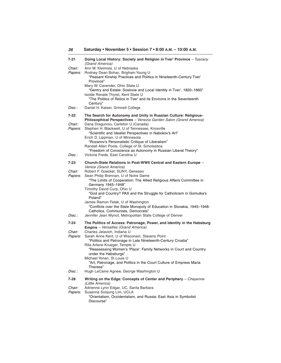| 7-21                            | Doing Local History: Society and Religion in Tver' Province - Tuscany<br>(Grand America)                                                                                                                                                                                                |
|---------------------------------|-----------------------------------------------------------------------------------------------------------------------------------------------------------------------------------------------------------------------------------------------------------------------------------------|
| Chair:<br>Papers:               | Ann M. Kleimola, U of Nebraska<br>Rodney Dean Bohac, Brigham Young U<br>"Peasant Kinship Practices and Politics in Nineteenth-Century Tver"<br>Province"                                                                                                                                |
|                                 | Mary W. Cavender, Ohio State U<br>"Gentry and Estate: Soslovie and Local Identity in Tver', 1820-1860"                                                                                                                                                                                  |
|                                 | Isolde Renate Thyret, Kent State U<br>"The Politics of Relics in Tver' and its Environs in the Seventeenth<br>Century"                                                                                                                                                                  |
| Disc.:                          | Daniel H. Kaiser, Grinnell College                                                                                                                                                                                                                                                      |
| 7-22                            | The Search for Autonomy and Unity in Russian Culture: Religious-<br>Philosophical Perspectives - Venezia Garden Salon (Grand America)                                                                                                                                                   |
| <i>Chair:</i><br><i>Papers:</i> | Dana Dragunoiu, Carleton U (Canada)<br>Stephen H. Blackwell, U of Tennessee, Knoxville<br>"Scientific and Idealist Perspectives in Nabokov's Art"<br>Erich D. Lippman, U of Minnesota                                                                                                   |
|                                 | "Rozanov's Personalistic Critique of Liberalism"<br>Randall Allen Poole, College of St. Scholastica                                                                                                                                                                                     |
| Disc.:                          | "Freedom of Conscience as Autonomy in Russian Liberal Theory"<br>Victoria Frede, East Carolina U                                                                                                                                                                                        |
| 7-23                            | Church-State Relations in Post-WWII Central and Eastern Europe -<br>Venice (Grand America)                                                                                                                                                                                              |
| Chair:<br><i>Papers:</i>        | Robert F. Goeckel, SUNY, Geneseo<br>Sean Philip Brennan, U of Notre Dame<br>"The Limits of Cooperation: The Allied Religious Affairs Committee in<br>Germany 1945-1948"<br>Timothy David Curp, Ohio U<br>"God and Country? PAX and the Struggle for Catholicism in Gomulka's<br>Poland" |
|                                 | James Ramon Felak, U of Washington<br>"Conflicts over the State Monopoly of Education in Slovakia, 1945-1948:<br>Catholics, Communists, Democrats"                                                                                                                                      |
| Disc.:                          | Jennifer Jean Wynot, Metropolitan State College of Denver                                                                                                                                                                                                                               |
| 7-24                            | The Politics of Access: Patronage, Power, and Identity in the Habsburg<br><b>Empire</b> – Versailles (Grand America)                                                                                                                                                                    |
| Chair:<br><i>Papers:</i>        | Charles Jelavich, Indiana U<br>Sarah Anne Kent, U of Wisconsin, Stevens Point<br>"Politics and Patronage in Late Nineteenth-Century Croatia"                                                                                                                                            |
|                                 | Rita Arlene Krueger, Temple U<br>"Reassessing Women's 'Place': Family Networks in Court and Country<br>under the Habsburgs"                                                                                                                                                             |
|                                 | Michael Yonan, St Louis U<br>"Art, Patronage, and Politics in the Court Culture of Empress Maria<br>Theresa"                                                                                                                                                                            |
| Disc.:                          | Hugh LeCaine Agnew, George Washington U                                                                                                                                                                                                                                                 |
| 7-28                            | Writing on the Edge: Concepts of Center and Periphery - Cheyenne<br>(Little America)                                                                                                                                                                                                    |
| Chair:<br>Papers:               | Adrienne Lynn Edgar, UC, Santa Barbara<br>Susanna Soojung Lim, UCLA                                                                                                                                                                                                                     |
|                                 | "Orientalism, Occidentalism, and Russia: East Asia in Symbolist                                                                                                                                                                                                                         |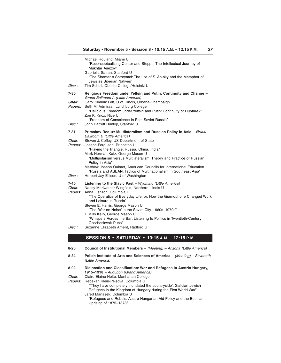| 8-34                             | Polish Institute of Arts and Sciences of America - (Meeting) - Sawtooth                                                                                                                                                                                                                                                                                           |
|----------------------------------|-------------------------------------------------------------------------------------------------------------------------------------------------------------------------------------------------------------------------------------------------------------------------------------------------------------------------------------------------------------------|
| 8-26                             | <b>Council of Institutional Members</b> – (Meeting) – Arizona (Little America)                                                                                                                                                                                                                                                                                    |
|                                  | SESSION 8 • SATURDAY • 10:15 A.M. - 12:15 P.M.                                                                                                                                                                                                                                                                                                                    |
| Disc.:                           | Steven E. Harris, George Mason U<br>"The 'War on Noise' in the Soviet City, 1960s-1970s"<br>T. Mills Kelly, George Mason U<br>"Whispers Across the Bar: Listening to Politics in Twentieth-Century<br>Czechoslovak Pubs"<br>Suzanne Elizabeth Ament, Radford U                                                                                                    |
| 7-40<br>Chair:<br><i>Papers:</i> | <b>Listening to the Slavic Past</b> – Wyoming (Little America)<br>Nancy Meriwether Wingfield, Northern Illinois U<br>Anna Fishzon, Columbia U<br>"The Operatics of Everyday Life, or, How the Gramophone Changed Work<br>and Leisure in Russia"                                                                                                                   |
| Disc.:                           | "Playing the Triangle: Russia, China, India"<br>Mark Norman Katz, George Mason U<br>"Multipolarism versus Multilateralism: Theory and Practice of Russian<br>Policy in Asia"<br>Matthew Joseph Ouimet, American Councils for International Education<br>"Russia and ASEAN: Tactics of Multinationalism in Southeast Asia"<br>Herbert Jay Ellison, U of Washington |
| 7-31<br>Chair:<br>Papers:        | Primakov Redux: Multilateralism and Russian Policy in Asia - Grand<br><b>Ballroom B (Little America)</b><br>Steven J. Coffey, US Department of State<br>Joseph Ferguson, Princeton U                                                                                                                                                                              |
| Disc.:                           | "Religious Freedom under Yeltsin and Putin: Continuity or Rupture?"<br>Zoe K. Knox, Rice U<br>"Freedom of Conscience in Post-Soviet Russia"<br>John Barrett Dunlop, Stanford U                                                                                                                                                                                    |
| 7-30<br><i>Chair:</i><br>Papers: | Religious Freedom under Yeltsin and Putin: Continuity and Change -<br>Grand Ballroom A (Little America)<br>Carol Skalnik Leff, U of Illinois, Urbana-Champaign<br>Beth M. Admiraal, Lynchburg College                                                                                                                                                             |
| Disc.:                           | Michael Rouland, Miami U<br>"Reconceptualizing Center and Steppe: The Intellectual Journey of<br>Mukhtar Auezov"<br>Gabriella Safran, Stanford U<br>"The Shaman's Shtreymel: The Life of S. An-sky and the Metaphor of<br>Jews as Siberian Natives"<br>Tim Scholl, Oberlin College/Helsinki U                                                                     |

- (Little America)
- **8-02 Dislocation and Classification: War and Refugees in Austria-Hungary, 1915–1918** – Audubon (Grand America) Chair: Claire Elaine Nolte, Manhattan College

- Papers: Rebekah Klein-Pejsova, Columbia U "'They have completely inundated the countryside': Galician Jewish Refugees in the Kingdom of Hungary during the First World War" Jared Manasek, Columbia U
	- "Refugees and Rebels: Austro-Hungarian Aid Policy and the Bosnian Uprising of 1875–1878"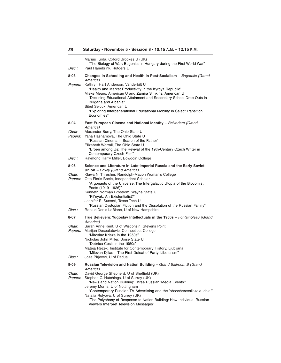| Disc.:                          | Marius Turda, Oxford Brookes U (UK)<br>"The Biology of War: Eugenics in Hungary during the First World War"<br>Paul Hanebrink, Rutgers U                                                                                                                                                                                                                                                                             |
|---------------------------------|----------------------------------------------------------------------------------------------------------------------------------------------------------------------------------------------------------------------------------------------------------------------------------------------------------------------------------------------------------------------------------------------------------------------|
| 8-03                            | Changes in Schooling and Health in Post-Socialism - Bagatelle (Grand<br>America)                                                                                                                                                                                                                                                                                                                                     |
| <i>Papers:</i>                  | Kathryn Hart Anderson, Vanderbilt U<br>"Health and Market Productivity in the Kyrgyz Republic"<br>Mieke Meurs, American U and Zamira Simkins, American U<br>"Declining Educational Attainment and Secondary School Drop Outs in<br>Bulgaria and Albania"<br>Sibel Selcuk, American U<br>"Exploring Intergenerational Educational Mobility in Select Transition<br>Economies"                                         |
| 8-04                            | East European Cinema and National Identity - Belvedere (Grand<br>America)                                                                                                                                                                                                                                                                                                                                            |
| <i>Chair:</i><br><i>Papers:</i> | Alexander Burry, The Ohio State U<br>Yana Hashamova, The Ohio State U<br>"Russian Cinema in Search of the Father"<br>Elizabeth Worrall, The Ohio State U<br>"Erben among Us: The Revival of the 19th-Century Czech Writer in<br>Contemporary Czech Film"                                                                                                                                                             |
| Disc.:                          | Raymond Harry Miller, Bowdoin College                                                                                                                                                                                                                                                                                                                                                                                |
| 8-06                            | Science and Literature in Late-imperial Russia and the Early Soviet<br>Union - Envoy (Grand America)                                                                                                                                                                                                                                                                                                                 |
| Chair:<br>Papers:               | Klawa N. Thresher, Randolph-Macon Woman's College<br>Otto Floris Boele, Independent Scholar<br>"Argonauts of the Universe: The Intergalactic Utopia of the Biocomist<br>Poets (1919-1926)"<br>Kenneth Norman Brostrom, Wayne State U<br>"Pil'nyak: An Existentialist?"<br>Jennifer E. Sunseri, Texas Tech U<br>"Russian Dystopian Fiction and the Dissolution of the Russian Family"                                 |
| Disc.:                          | Ronald Denis LeBlanc, U of New Hampshire                                                                                                                                                                                                                                                                                                                                                                             |
| 8-07                            | True Believers: Yugoslav Intellectuals in the 1950s - Fontainbleau (Grand<br>America)                                                                                                                                                                                                                                                                                                                                |
| <i>Chair:</i><br><i>Papers:</i> | Sarah Anne Kent, U of Wisconsin, Stevens Point<br>Marijan Despalatovic, Connecticut College<br>"Miroslav Krleza in the 1950s"<br>Nicholas John Miller, Boise State U<br>"Dobrica Cosic in the 1950s"<br>Mateja Rezek, Institute for Contemporary History, Ljubljana<br>"Milovan Djilas - The First Defeat of Party 'Liberalism'"                                                                                     |
| Disc.:                          | Joze Pirjevec, U of Padua                                                                                                                                                                                                                                                                                                                                                                                            |
| 8-09                            | Russian Television and Nation Building - Grand Ballroom B (Grand<br>America)                                                                                                                                                                                                                                                                                                                                         |
| Chair:<br>Papers:               | David George Shepherd, U of Sheffield (UK)<br>Stephen C. Hutchings, U of Surrey (UK)<br>"News and Nation Building: Three Russian 'Media Events"<br>Jeremy Morris, U of Nottingham<br>"Contemporary Russian TV Advertising and the 'obshcherossiiskaia ideia"<br>Natalia Rulyova, U of Surrey (UK)<br>"The Polyphony of Response to Nation Building: How Individual Russian<br>Viewers Interpret Television Messages" |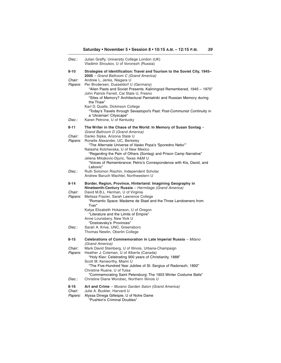| Disc.:            | Julian Graffy, University College London (UK)<br>Vladimir Stroukov, U of Voronezh (Russia)                                                                                                                                                                                                                                                                           |
|-------------------|----------------------------------------------------------------------------------------------------------------------------------------------------------------------------------------------------------------------------------------------------------------------------------------------------------------------------------------------------------------------|
| 8-10              | Strategies of Identification: Travel and Tourism to the Soviet City, 1945-<br>2005 - Grand Ballroom C (Grand America)                                                                                                                                                                                                                                                |
| Chair:<br>Papers: | Andrew L. Jenks, Niagara U<br>Per Brodersen, Dusseldorf U (Germany)<br>"Alien Pasts and Soviet Presents. Kaliningrad Remembered, 1945 - 1970"<br>John Patrick Farrell, Cal State U, Fresno<br>"Sites of Memory? Architectural Pamiatniki and Russian Memory during<br>the Thaw"                                                                                      |
| Disc.:            | Karl D. Qualls, Dickinson College<br>"Today's Travels through Sevastopol's Past: Post-Communist Continuity in<br>a 'Ukrainian' Cityscape"<br>Karen Petrone, U of Kentucky                                                                                                                                                                                            |
| 8-11              | The Writer in the Chaos of the World: In Memory of Susan Sontag -<br>Grand Ballroom D (Grand America)                                                                                                                                                                                                                                                                |
| Chair:<br>Papers: | Danko Sipka, Arizona State U<br>Ronelle Alexander, UC, Berkeley<br>"The Alternate Universe of Vasko Popa's 'Sporedno Nebo""<br>Natasha Kolchevska, U of New Mexico<br>"Regarding the Pain of Others (Sontag) and Prison Camp Narrative"<br>Jelena Milojkovic-Djuric, Texas A&M U<br>"Voices of Remembrance: Petric's Correspondence with Kis, David, and<br>Lebovic" |
| Disc.:            | Ruth Solomon Rischin, Independent Scholar<br>Andrew Baruch Wachtel, Northwestern U                                                                                                                                                                                                                                                                                   |
| 8-14              | Border, Region, Province, Hinterland: Imagining Geography in<br>Nineteenth-Century Russia - Hermitage (Grand America)                                                                                                                                                                                                                                                |
|                   |                                                                                                                                                                                                                                                                                                                                                                      |
| Chair:<br>Papers: | David M.B.L. Herman, U of Virginia<br>Melissa Frazier, Sarah Lawrence College<br>"Romantic Space: Madame de Stael and the Three Landowners from<br>Tver"<br>Katya Elizabeth Hokanson, U of Oregon<br>"Literature and the Limits of Empire"<br>Anne Lounsbery, New York U                                                                                             |
| Disc.:            | "Dostoevsky's Provinces"<br>Sarah A. Krive, UNC, Greensboro<br>Thomas Newlin, Oberlin College                                                                                                                                                                                                                                                                        |
| 8-15              | Celebrations of Commemoration in Late Imperial Russia - Milano                                                                                                                                                                                                                                                                                                       |
| Chair:<br>Papers: | (Grand America)<br>Mark David Steinberg, U of Illinois, Urbana-Champaign<br>Heather J. Coleman, U of Alberta (Canada)<br>"Holy Kiev: Celebrating 900 years of Christianity, 1888"<br>Scott M. Kenworthy, Miami U<br>"The Five-Hundred Year Jubilee of St. Sergius of Radonezh, 1892"<br>Christine Ruane, U of Tulsa                                                  |
| Disc.:            | "Commemorating Saint Petersburg: The 1903 Winter Costume Balls"<br>Christine Diane Worobec, Northern Illinois U                                                                                                                                                                                                                                                      |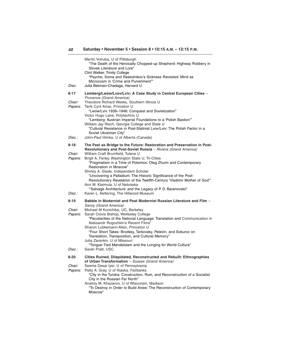| Martin Votruba, U of Pittsburgh<br>"The Death of the Heroically Chopped-up Shepherd: Highway Robbery in<br>Slovak Literature and Lore"<br>Clint Walker, Trinity College<br>"Psyche, Soma and Raskolnikov's Sickness Revisited: Mind as<br>Microcosm in 'Crime and Punishment'"<br>Julia Bekman-Chadaga, Harvard U                                                                                                                                                    |
|----------------------------------------------------------------------------------------------------------------------------------------------------------------------------------------------------------------------------------------------------------------------------------------------------------------------------------------------------------------------------------------------------------------------------------------------------------------------|
| Lemberg/Lwów/Lvov/Lviv: A Case Study in Central European Cities -                                                                                                                                                                                                                                                                                                                                                                                                    |
| Provence (Grand America)<br>Theodore Richard Weeks, Southern Illinois U<br>Tarik Cyril Amar, Princeton U<br>"Lwów/Lviv 1939-1946: Conquest and Sovietization"<br>Victor Hugo Lane, Polytechnic U<br>"Lemberg: Austrian Imperial Foundations to a 'Polish Bastion'"<br>William Jay Risch, Georgia College and State U<br>"Cultural Resistance in Post-Stalinist Lvov/Lviv: The Polish Factor in a<br>Soviet Ukrainian City"<br>John-Paul Himka, U of Alberta (Canada) |
|                                                                                                                                                                                                                                                                                                                                                                                                                                                                      |
| The Past as Bridge to the Future: Restoration and Preservation in Post-<br>Revolutionary and Post-Soviet Russia - Riviera (Grand America)<br>William Craft Brumfield, Tulane U<br>Brigit A. Farley, Washington State U, Tri-Cities<br>"Pragmatism in a Time of Polemics: Oleg Zhurin and Contemporary<br>Restoration in Moscow"<br>Shirley A. Glade, Independent Scholar<br>"Uncovering a Palladium: The Historic Significance of the Post-                          |
| Revolutionary Revelation of the Twelfth-Century 'Vladimir Mother of God"<br>Ann M. Kleimola, U of Nebraska<br>"Salvage Architecture' and the Legacy of P. D. Baranovskii"<br>Karen L. Kettering, The Hillwood Museum                                                                                                                                                                                                                                                 |
| Babble in Modernist and Post Modernist Russian Literature and Film -                                                                                                                                                                                                                                                                                                                                                                                                 |
| Savoy (Grand America)                                                                                                                                                                                                                                                                                                                                                                                                                                                |
| Michael M Kunichika, UC, Berkeley                                                                                                                                                                                                                                                                                                                                                                                                                                    |
| Sarah Clovis Bishop, Wellesley College<br>"Peculiarities of the National Language: Translation and Communication in<br>Aleksandr Rogozhkin's Recent Films"<br>Sharon Lubkemann-Allen, Princeton U<br>"Four Short Takes: Brodsky, Tarkovsky, Pelevin, and Sokurov on<br>Translation, Transposition, and Cultural Memory"<br>Julia Zarankin, U of Missouri<br>"Tongue-Tied Mandelstam and the Longing for World Culture"                                               |
| Sarah Pratt, USC                                                                                                                                                                                                                                                                                                                                                                                                                                                     |
| Cities Ruined, Dilapidated, Reconstructed and Rebuilt: Ethnographies<br>of Urban Transformation - Sussex (Grand America)<br>Seema Desai Iyer, U of Pennsylvania<br>Patty A. Gray, U of Alaska, Fairbanks<br>"City in the Tundra: Construction, Ruin, and Reconstruction of a Socialist<br>City in the Russian Far North"<br>Anatoly M. Khazanov, U of Wisconsin, Madison<br>"To Destroy in Order to Build Anew: The Reconstruction of Contemporary<br>Moscow"        |
|                                                                                                                                                                                                                                                                                                                                                                                                                                                                      |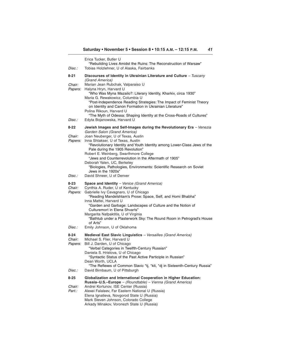| Disc.:                                  | Erica Tucker, Butler U<br>"Rebuilding Lives Amidst the Ruins: The Reconstruction of Warsaw"<br>Tobias Holzlehner, U of Alaska, Fairbanks                                                                                                                                                                                                                                                                                                       |
|-----------------------------------------|------------------------------------------------------------------------------------------------------------------------------------------------------------------------------------------------------------------------------------------------------------------------------------------------------------------------------------------------------------------------------------------------------------------------------------------------|
| 8-21                                    | Discourses of Identity in Ukrainian Literature and Culture - Tuscany<br>(Grand America)                                                                                                                                                                                                                                                                                                                                                        |
| Chair:<br>Papers:                       | Marian Jean Rubchak, Valparaiso U<br>Halyna Hryn, Harvard U<br>"Who Was Myna Mazailo?: Literary Identity, Kharkiv, circa 1930"<br>Maria G. Rewakowicz, Columbia U<br>"Post-Independence Reading Strategies: The Impact of Feminist Theory<br>on Identity and Canon Formation in Ukrainian Literature"<br>Polina Rikoun, Harvard U<br>"The Myth of Odessa: Shaping Identity at the Cross-Roads of Cultures"                                     |
| Disc.:                                  | Edyta Bojanowska, Harvard U                                                                                                                                                                                                                                                                                                                                                                                                                    |
| 8-22<br><i>Chair:</i><br><i>Papers:</i> | Jewish Images and Self-Images during the Revolutionary Era - Venezia<br>Garden Salon (Grand America)<br>Joan Neuberger, U of Texas, Austin<br>Inna Shtakser, U of Texas, Austin                                                                                                                                                                                                                                                                |
|                                         | "Revolutionary Identity and Youth Identity among Lower-Class Jews of the<br>Pale during the 1905 Revolution"<br>Robert E. Weinberg, Swarthmore College<br>"Jews and Counterrevolution in the Aftermath of 1905"<br>Deborah Yalen, UC, Berkeley<br>"Biologies, Pathologies, Environments: Scientific Research on Soviet<br>Jews in the 1920s"                                                                                                   |
| Disc.:                                  | David Shneer, U of Denver                                                                                                                                                                                                                                                                                                                                                                                                                      |
| 8-23<br>Chair:<br>Papers:               | Space and Identity - Venice (Grand America)<br>Cynthia A. Ruder, U of Kentucky<br>Gabrielle Ivy Cavagnaro, U of Chicago<br>"Reading Mandelshtam's Prose: Space, Self, and Homi Bhabha"<br>Inna Mattei, Harvard U<br>"Garden and Garbage: Landscapes of Culture and the Notion of<br>Culturemort in Elena Shvarts"<br>Margarita Nafpaktitis, U of Virginia<br>"Bathtub under a Plasterwork Sky: The Round Room in Petrograd's House<br>of Arts" |
| Disc.:                                  | Emily Johnson, U of Oklahoma                                                                                                                                                                                                                                                                                                                                                                                                                   |
| 8-24<br>Chair:<br>Papers:               | Medieval East Slavic Linguistics - Versailles (Grand America)<br>Michael S. Flier, Harvard U<br>Bill J. Darden, U of Chicago<br>"Verbal Categories in Twelfth-Century Russian"<br>Daniela S. Hristova, U of Chicago<br>"Syntactic Status of the Past Active Participle in Russian"<br>Dean Worth, UCLA<br>"The Reflexes of Common Slavic *tj, *kti, *dj in Sixteenth-Century Russia"                                                           |
| Disc.:                                  | David Birnbaum, U of Pittsburgh                                                                                                                                                                                                                                                                                                                                                                                                                |
| 8-25<br>Chair:<br>Part.:                | Globalization and International Cooperation in Higher Education:<br>Russia-U.S.-Europe - (Roundtable) - Vienna (Grand America)<br>Andrei Kortunov, ISE Center (Russia)<br>Alexei Falaleev, Far Eastern National U (Russia)<br>Elena Ignatieva, Novgorod State U (Russia)<br>Mark Steven Johnson, Colorado College                                                                                                                              |

Arkady Minakov, Voronezh State U (Russia)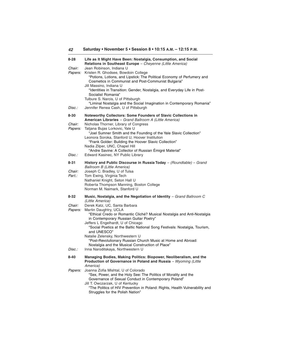| 42                       | Saturday • November 5 • Session 8 • 10:15 A.M. - 12:15 P.M.                                                                                                                                                                                                                       |
|--------------------------|-----------------------------------------------------------------------------------------------------------------------------------------------------------------------------------------------------------------------------------------------------------------------------------|
| $8 - 28$                 | Life as It Might Have Been: Nostalgia, Consumption, and Social<br>Relations in Southeast Europe - Cheyenne (Little America)                                                                                                                                                       |
| Chair:<br><i>Papers:</i> | Jean Robinson, Indiana U<br>Kristen R. Ghodsee, Bowdoin College<br>"Potions, Lotions, and Lipstick: The Political Economy of Perfumery and<br>Cosmetics in Communist and Post-Communist Bulgaria"                                                                                 |
|                          | Jill Massino, Indiana U<br>"Identities in Transition: Gender, Nostalgia, and Everyday Life in Post-<br>Socialist Romania"<br>Tulbure S. Narcis, U of Pittsburgh<br>"Liminal Nostalgia and the Social Imagination in Contemporary Romania"                                         |
| Disc.:                   | Jennifer Renea Cash, U of Pittsburgh                                                                                                                                                                                                                                              |
| 8-30<br>Chair:           | <b>Noteworthy Collectors: Some Founders of Slavic Collections in</b><br>American Libraries - Grand Ballroom A (Little America)<br>Nicholas Thorner, Library of Congress                                                                                                           |
| Papers:                  | Tatjana Bujas Lorkovic, Yale U<br>"Joel Sumner Smith and the Founding of the Yale Slavic Collection"<br>Leonora Soroka, Stanford U, Hoover Institution<br>"Frank Golder: Building the Hoover Slavic Collection"<br>Nadia Zilper, UNC, Chapel Hill                                 |
| Disc.:                   | "Andre Savine: A Collector of Russian Émigré Material"<br>Edward Kasinec, NY Public Library                                                                                                                                                                                       |
| 8-31                     | History and Public Discourse in Russia Today - (Roundtable) - Grand                                                                                                                                                                                                               |
| Chair:<br>Part.:         | Ballroom B (Little America)<br>Joseph C. Bradley, U of Tulsa<br>Tom Ewing, Virginia Tech<br>Nathaniel Knight, Seton Hall U<br>Roberta Thompson Manning, Boston College<br>Norman M. Naimark, Stanford U                                                                           |
| 8-32                     | Music, Nostalgia, and the Negotiation of Identity $-$ Grand Ballroom C<br>(Little America)                                                                                                                                                                                        |
| Chair:<br>Papers:        | Derek Katz, UC, Santa Barbara<br>Martin Daughtry, UCLA<br>"Ethical Credo or Romantic Cliché? Musical Nostalgia and Anti-Nostalgia<br>in Contemporary Russian Guitar Poetry"                                                                                                       |
|                          | Jeffers L Engelhardt, U of Chicago<br>"Social Poetics at the Baltic National Song Festivals: Nostalgia, Tourism,<br>and UNESCO"<br>Natalie Zelensky, Northwestern U                                                                                                               |
|                          | "Post-Revolutionary Russian Church Music at Home and Abroad:<br>Nostalgia and the Musical Construction of Place"                                                                                                                                                                  |
| Disc.:                   | Inna Naroditskaya, Northwestern U                                                                                                                                                                                                                                                 |
| 8-40                     | Managing Bodies, Making Politics: Biopower, Neoliberalism, and the<br>Production of Governance in Poland and Russia - Wyoming (Little<br>America)                                                                                                                                 |
| <i>Papers:</i>           | Joanna Zofia Mishtal, U of Colorado<br>"Sex, Power, and the Holy See: The Politics of Morality and the<br>Governance of Sexual Conduct in Contemporary Poland"<br>Jill T. Owczarzak, U of Kentucky<br>"The Politics of HIV Prevention in Poland: Rights, Health Vulnerability and |

Struggles for the Polish Nation"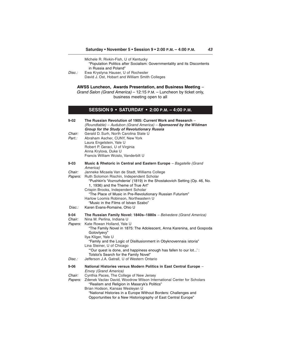| Disc.:                        | Michele R. Rivkin-Fish, U of Kentucky<br>"Population Politics after Socialism: Governmentality and its Discontents<br>in Russia and Poland"<br>Ewa Krystyna Hauser, U of Rochester<br>David J. Ost, Hobart and William Smith Colleges                                                                                                                                                                                                             |
|-------------------------------|---------------------------------------------------------------------------------------------------------------------------------------------------------------------------------------------------------------------------------------------------------------------------------------------------------------------------------------------------------------------------------------------------------------------------------------------------|
|                               | AWSS Luncheon, Awards Presentation, and Business Meeting -<br>Grand Salon (Grand America) - 12:15 P.M. - Luncheon by ticket only,<br>business meeting open to all                                                                                                                                                                                                                                                                                 |
|                               | <b>SESSION 9 • SATURDAY • 2:00 P.M. - 4:00 P.M.</b>                                                                                                                                                                                                                                                                                                                                                                                               |
| $9 - 02$                      | The Russian Revolution of 1905: Current Work and Research –<br>(Roundtable) - Audubon (Grand America) - Sponsored by the Wildman<br>Group for the Study of Revolutionary Russia                                                                                                                                                                                                                                                                   |
| Chair:<br>Part.:              | Gerald D. Surh, North Carolina State U<br>Abraham Ascher, CUNY, New York<br>Laura Engelstein, Yale U<br>Robert P. Geraci, U of Virginia<br>Anna Krylova, Duke U<br>Francis William Wcislo, Vanderbilt U                                                                                                                                                                                                                                           |
| $9 - 03$                      | Music & Rhetoric in Central and Eastern Europe - Bagatelle (Grand                                                                                                                                                                                                                                                                                                                                                                                 |
| Chair:<br>Papers:<br>Disc.:   | America)<br>Janneke Micaela Van de Stadt, Williams College<br>Ruth Solomon Rischin, Independent Scholar<br>"Pushkin's 'Vozrozhdenie' (1819) in the Shostakovich Setting (Op. 46, No.<br>1, 1936) and the Theme of True Art"<br>Crispin Brooks, Independent Scholar<br>"The Place of Music in Pre-Revolutionary Russian Futurism"<br>Harlow Loomis Robinson, Northeastern U<br>"Music in the Films of Istvan Szabo"<br>Karen Evans-Romaine, Ohio U |
| $9 - 04$                      | The Russian Family Novel: 1840s-1880s - Belvedere (Grand America)                                                                                                                                                                                                                                                                                                                                                                                 |
| Chair:<br>Papers:             | Nina M. Perlina, Indiana U<br>Kate Rowan Holland, Yale U<br>"The Family Novel in 1875: The Adolescent, Anna Karenina, and Gospoda<br>Golovlyevy"<br>Ilya Kliger, Yale U<br>"Family and the Logic of Disillusionment in Obyknovennaia istoria"<br>Lina Steiner, U of Chicago<br>"Our quest is done, and happiness enough has fallen to our lot':<br>Tolstoi's Search for the Family Novel"                                                         |
| Disc.:                        | Jefferson J.A. Gatrall, U of Western Ontario                                                                                                                                                                                                                                                                                                                                                                                                      |
| $9 - 06$<br>Chair:<br>Papers: | National Histories versus Modern Politics in East Central Europe -<br>Envoy (Grand America)<br>Cynthia Paces, The College of New Jersey<br>Zdenek Vaclav David, Woodrow Wilson International Center for Scholars<br>"Realism and Religion in Masaryk's Politics"<br>Brian Hodson, Kansas Wesleyan U<br>"National Histories in a Europe Without Borders: Challenges and                                                                            |

Opportunities for a New Historiography of East Central Europe"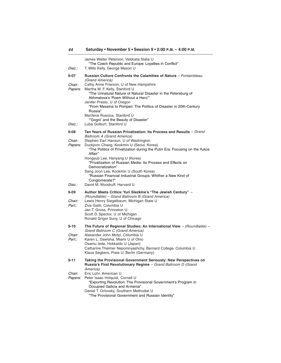| Disc.:                          | James Walter Peterson, Valdosta State U<br>"The Czech Republic and Europe: Loyalties in Conflict"<br>T. Mills Kelly, George Mason U                                                                                                                                                                                                   |
|---------------------------------|---------------------------------------------------------------------------------------------------------------------------------------------------------------------------------------------------------------------------------------------------------------------------------------------------------------------------------------|
| 9-07                            | Russian Culture Confronts the Calamities of Nature - Fontainbleau                                                                                                                                                                                                                                                                     |
| Chair:<br>Papers:               | (Grand America)<br>Cathy Anne Frierson, U of New Hampshire<br>Martha M. F. Kelly, Stanford U<br>"The Unnatural Nature of Natural Disaster in the Petersburg of<br>Akhmatova's 'Poem Without a Hero'"<br>Jenifer Presto, U of Oregon<br>"From Messina to Pompeii: The Politics of Disaster in 20th-Century<br>Russia"                  |
| Disc.:                          | Marilena Ruscica, Stanford U<br>"Gogol' and the Beauty of Disaster"<br>Luba Golburt, Stanford U                                                                                                                                                                                                                                       |
| 9-08                            | Ten Years of Russian Privatization: Its Process and Results - Grand<br><b>Ballroom A (Grand America)</b>                                                                                                                                                                                                                              |
| Chair:<br><i>Papers:</i>        | Stephen Earl Hanson, U of Washington<br>Duckjoon Chang, Kookmin U (Seoul, Korea)<br>"The Politics of Privatization during the Putin Era: Focusing on the Yukos<br>Affair"                                                                                                                                                             |
|                                 | Hongsub Lee, Hanyang U (Korea)<br>"Privatization of Russian Media: Its Process and Effects on<br>Democratization"<br>Sang Joon Lee, Kookmin U (South Korea)<br>"Russian Financial Industrial Groups: Whither a New Kind of<br>Conglomerate?"                                                                                          |
| Disc.:                          | David M. Woodruff, Harvard U                                                                                                                                                                                                                                                                                                          |
| 9-09<br><i>Chair:</i><br>Part.: | Author Meets Critics: Yuri Slezkine's "The Jewish Century" -<br>(Roundtable) - Grand Ballroom B (Grand America)<br>Lewis Henry Siegelbaum, Michigan State U<br>Ziva Galili, Columbia U<br>Jan T. Gross, Princeton U<br>Scott D. Spector, U of Michigan<br>Ronald Grigor Suny, U of Chicago                                            |
| 9-10<br>Chair:<br>Part.:        | The Future of Regional Studies: An International View $-$ (Roundtable) $-$<br>Grand Ballroom C (Grand America)<br>Alexander John Motyl, Columbia U<br>Karen L. Dawisha, Miami U of Ohio<br>Osamu leda, Hokkaido U (Japan)<br>Catharine Theimer Nepomnyashchy, Barnard College, Columbia U<br>Klaus Segbers, Freie U, Berlin (Germany) |
| 9-11                            | Taking the Provisional Government Seriously: New Perspectives on<br>Russia's First Revolutionary Regime - Grand Ballroom D (Grand<br>America)                                                                                                                                                                                         |
| Chair:<br><i>Papers:</i>        | Eric Lohr, American U<br>Peter Isaac Holquist, Cornell U<br>"Exporting Revolution: The Provisional Government's Program in<br>Occupied Galicia and Armenia"<br>Daniel T. Orlovsky, Southern Methodist U                                                                                                                               |

"The Provisional Government and Russian Identity"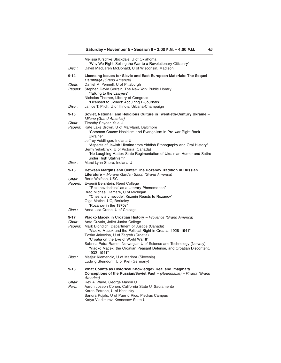| <i>Disc.:</i>                                  | Melissa Kirschke Stockdale, U of Oklahoma<br>"Why We Fight: Selling the War to a Revolutionary Citizenry"<br>David MacLaren McDonald, U of Wisconsin, Madison                                                                                                                                                                                                                                                                                                      |
|------------------------------------------------|--------------------------------------------------------------------------------------------------------------------------------------------------------------------------------------------------------------------------------------------------------------------------------------------------------------------------------------------------------------------------------------------------------------------------------------------------------------------|
| $9 - 14$                                       | Licensing Issues for Slavic and East European Materials: The Sequel -<br>Hermitage (Grand America)                                                                                                                                                                                                                                                                                                                                                                 |
| Chair:<br><i>Papers:</i>                       | Daniel M. Pennell, U of Pittsburgh<br>Stephen David Corrsin, The New York Public Library<br>"Talking to the Lawyers"<br>Nicholas Thorner, Library of Congress<br>"Licensed to Collect: Acquiring E-Journals"                                                                                                                                                                                                                                                       |
| <i>Disc.:</i>                                  | Janice T. Pilch, U of Illinois, Urbana-Champaign                                                                                                                                                                                                                                                                                                                                                                                                                   |
| 9-15<br>Chair:<br><i>Papers:</i>               | Soviet, National, and Religious Culture in Twentieth-Century Ukraine -<br>Milano (Grand America)<br>Timothy Snyder, Yale U<br>Kate Lake Brown, U of Maryland, Baltimore<br>"Common Cause: Hasidism and Evangelism in Pre-war Right Bank<br>Ukraine"<br>Jeffrey Veidlinger, Indiana U<br>"Aspects of Jewish Ukraine from Yiddish Ethnography and Oral History"<br>Serhy Yekelchyk, U of Victoria (Canada)                                                           |
|                                                | "No Laughing Matter: State Regimentation of Ukrainian Humor and Satire<br>under High Stalinism"                                                                                                                                                                                                                                                                                                                                                                    |
| <i>Disc.:</i>                                  | Marci Lynn Shore, Indiana U                                                                                                                                                                                                                                                                                                                                                                                                                                        |
| $9 - 16$<br>Chair:<br><i>Papers:</i><br>Disc.: | Between Margins and Center: The Rozanov Tradition in Russian<br>Literature - Murano Garden Salon (Grand America)<br>Boris Wolfson, USC<br>Evgenii Bershtein, Reed College<br>"Rozanovshchina' as a Literary Phenomenon"<br>Brad Michael Damare, U of Michigan<br>"Cheshvia v nevode': Kuzmin Reacts to Rozanov"<br>Olga Matich, UC, Berkeley<br>"Rozanov in the 1970s"<br>Anna Lisa Crone, U of Chicago                                                            |
| 9-17<br>Chair:<br>Papers:                      | Vladko Macek in Croatian History - Provence (Grand America)<br>Ante Cuvalo, Joliet Junior College<br>Mark Biondich, Department of Justice (Canada)<br>"Vladko Macek and the Political Right in Croatia, 1928-1941"<br>Tvrtko Jakovina, U of Zagreb (Croatia)<br>"Croatia on the Eve of World War II"<br>Sabrina Petra Ramet, Norwegian U of Science and Technology (Norway)<br>"Vladko Macek, the Croatian Peasant Defense, and Croatian Discontent,<br>1932-1941" |
| Disc.:                                         | Matjaz Klemencic, U of Maribor (Slovenia)<br>Ludwig Steindorff, U of Kiel (Germany)                                                                                                                                                                                                                                                                                                                                                                                |
| 9-18<br>Chair:<br>Part.:                       | What Counts as Historical Knowledge? Real and Imaginary<br>Conceptions of the Russian/Soviet Past - (Roundtable) - Riviera (Grand<br>America)<br>Rex A. Wade, George Mason U<br>Aaron Joseph Cohen, California State U, Sacramento<br>Karen Petrone, U of Kentucky<br>Sandra Pujals, U of Puerto Rico, Piedras Campus<br>Katya Vladimirov, Kennesaw State U                                                                                                        |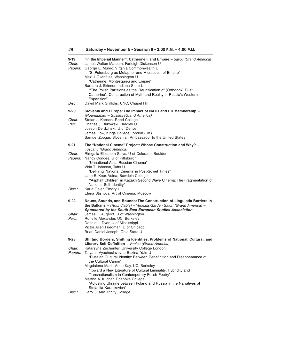| 46 |  |  |  | Saturday • November 5 • Session 9 • 2:00 P.M. – 4:00 P.M. |  |
|----|--|--|--|-----------------------------------------------------------|--|
|----|--|--|--|-----------------------------------------------------------|--|

| $9 - 19$<br>Chair:<br><i>Papers:</i> | "In the Imperial Manner": Catherine II and Empire – Savoy (Grand America)<br>James Walton Marcum, Farleigh Dickenson U<br>George E. Munro, Virginia Commonwealth U<br>"St Petersburg as Metaphor and Microcosm of Empire"<br>Max J. Okenfuss, Washington U<br>"Catherine, Montesquieu and Empire"<br>Barbara J. Skinner, Indiana State U |
|--------------------------------------|------------------------------------------------------------------------------------------------------------------------------------------------------------------------------------------------------------------------------------------------------------------------------------------------------------------------------------------|
| Disc.:                               | "The Polish Partitions as the 'Reunification of (Orthodox) Rus':<br>Catherine's Construction of Myth and Reality in Russia's Western<br>Expansion"<br>David Mark Griffiths, UNC, Chapel Hill                                                                                                                                             |
| $9 - 20$                             | Slovenia and Europe: The Impact of NATO and EU Membership -                                                                                                                                                                                                                                                                              |
| Chair:<br>Part.:                     | (Roundtable) - Sussex (Grand America)<br>Stefan J. Kapsch, Reed College<br>Charles J. Bukowski, Bradley U<br>Joseph Derdzinski, U of Denver<br>James Gow, Kings College London (UK)<br>Samuel Zbogar, Slovenian Ambassador to the United States                                                                                          |
| $9 - 21$                             | The "National Cinema" Project: Whose Construction and Why? -                                                                                                                                                                                                                                                                             |
| <i>Chair:</i><br>Papers:             | Tuscany (Grand America)<br>Rimgaila Elizabeth Salys, U of Colorado, Boulder<br>Nancy Condee, U of Pittsburgh<br>"Unnational Acts: Russian Cinema"<br>Vida T. Johnson, Tufts U<br>"Defining 'National Cinema' in Post-Soviet Times"                                                                                                       |
| Disc.:                               | Jane E. Knox-Voina, Bowdoin College<br>"Asphalt Children' in Kazakh Second Wave Cinema: The Fragmentation of<br>National Self-Identity"<br>Karla Oeler, Emory U                                                                                                                                                                          |
|                                      | Elena Stishova, Art of Cinema, Moscow                                                                                                                                                                                                                                                                                                    |
| $9 - 22$                             | Nouns, Sounds, and Bounds: The Construction of Linguistic Borders in<br>the Balkans $-$ (Roundtable) $-$ Venezia Garden Salon (Grand America) $-$<br>Sponsored by the South East European Studies Association                                                                                                                            |
| Chair:<br>Part.:                     | James E. Augerot, U of Washington<br>Ronelle Alexander, UC, Berkeley<br>Donald L. Dyer, U of Mississippi<br>Victor Allen Friedman, U of Chicago<br>Brian Daniel Joseph, Ohio State U                                                                                                                                                     |
| $9 - 23$                             | Shifting Borders, Shifting Identities. Problems of National, Cultural, and<br>Literary Self-Definition - Venice (Grand America)                                                                                                                                                                                                          |
| Chair:<br><i>Papers:</i>             | Katarzyna Zechenter, University College London<br>Tatyana Vyacheslavovna Buzina, Yale U<br>"Russian Cultural Identity: Between Redefinition and Disappearance of<br>the Cultural Canon"<br>Magdalena Maria-Anna Kay, UC, Berkeley<br>"Toward a New Literature of Cultural Liminality: Hybridity and                                      |
|                                      | Transnationalism in Contemporary Polish Poetry"<br>Martha A. Kuchar, Roanoke College<br>"Adjusting Ukraine between Poland and Russia in the Narratives of<br>Stefaniia Karaskevich"                                                                                                                                                      |
| Disc.:                               | Carol J. Any, Trinity College                                                                                                                                                                                                                                                                                                            |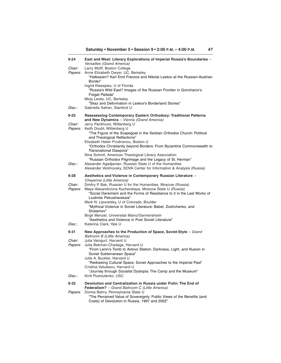**Saturday • November 5 • Session 9 • 2:00 P.M. – 4:00 P.M.**

| 9-24               | East and West: Literary Explorations of Imperial Russia's Boundaries -<br>Versailles (Grand America)                                                                                                                                                                                                                                                                                                         |
|--------------------|--------------------------------------------------------------------------------------------------------------------------------------------------------------------------------------------------------------------------------------------------------------------------------------------------------------------------------------------------------------------------------------------------------------|
| Chair:<br>Papers:  | Larry Wolff, Boston College<br>Anne Elizabeth Dwyer, UC, Berkeley<br>"Halbasien? Karl Emil Franzos and Nikolai Leskov at the Russian-Austrian<br>Border"<br>Ingrid Kleespies, U of Florida<br>"Russia's Wild East? Images of the Russian Frontier in Goncharov's                                                                                                                                             |
|                    | Fregat Pallada"<br>Mirja Lecke, UC, Berkeley                                                                                                                                                                                                                                                                                                                                                                 |
| Disc.:             | "Skaz and Deformation in Leskov's Borderland Stories"<br>Gabriella Safran, Stanford U                                                                                                                                                                                                                                                                                                                        |
| $9 - 25$<br>Chair: | Reassessing Contemporary Eastern Orthodoxy: Traditional Patterns<br>and New Dynamics - Vienna (Grand America)<br>Jerry Pankhurst, Wittenberg U                                                                                                                                                                                                                                                               |
| <i>Papers:</i>     | Keith Doubt, Wittenberg U<br>"The Figure of the Scapegoat in the Serbian Orthodox Church: Political<br>and Theological Reflections"<br>Elizabeth Helen Prodromou, Boston U                                                                                                                                                                                                                                   |
|                    | "Orthodox Christianity beyond Borders: From Byzantine Commonwealth to<br>Transnational Diaspora"<br>Nina Schmit, American Theological Library Association                                                                                                                                                                                                                                                    |
| Disc.:             | "Russian Orthodox Pilgrimage and the Legacy of St. Herman"<br>Alexander Agadjanian, Russian State U of the Humanities<br>Alexander Verkhovsky, SOVA Center for Information & Analysis (Russia)                                                                                                                                                                                                               |
| 9-28               | Aesthetics and Violence in Contemporary Russian Literature -<br>Cheyenne (Little America)                                                                                                                                                                                                                                                                                                                    |
| Chair:<br>Papers:  | Dmitry P. Bak, Russian U for the Humanities, Moscow (Russia)<br>Maya Alexandrovna Kucherskaya, Moscow State U (Russia)<br>"Social Darwinism and the Forms of Resistance to it in the Last Works of<br>Liudmila Petrushevskaia"<br>Mark N. Lipovetsky, U of Colorado, Boulder<br>"Mythical Violence in Soviet Literature: Babel, Zoshchenko, and<br>Shalamov"<br>Birgit Menzel, Universitat Mainz/Germersheim |
| Disc.:             | "Aesthetics and Violence in Post Soviet Literature"<br>Katerina Clark, Yale U                                                                                                                                                                                                                                                                                                                                |
| 9-31               | New Approaches to the Production of Space, Soviet-Style - Grand<br><b>Ballroom B (Little America)</b>                                                                                                                                                                                                                                                                                                        |
| Chair:<br>Papers:  | Julia Vaingurt, Harvard U<br>Julia Bekman-Chadaga, Harvard U<br>"From Lenin's Tomb to Avtovo Station: Darkness, Light, and Illusion in<br>Soviet Subterranean Space"<br>Julie A. Buckler, Harvard U<br>"Redrawing Cultural Space: Soviet Approaches to the Imperial Past"<br>Cristina Vatulescu, Harvard U<br>"Journey through Socialist Dystopia: The Camp and the Museum"                                  |
| Disc.:             | Kirill Postoutenko, USC                                                                                                                                                                                                                                                                                                                                                                                      |
| 9-32<br>Papers:    | Devolution and Centralization in Russia under Putin: The End of<br>Federalism? - Grand Ballroom C (Little America)<br>Donna Bahry, Pennsylvania State U                                                                                                                                                                                                                                                      |
|                    | "The Perceived Value of Sovereignty: Public Views of the Benefits (and<br>Costs) of Devolution in Russia, 1997 and 2002"                                                                                                                                                                                                                                                                                     |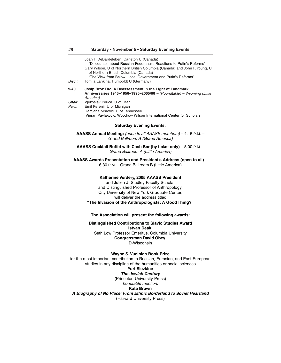| Disc.:                                                                                                                                                                                                                                                                      | Joan T. DeBardeleben, Carleton U (Canada)<br>"Discourses about Russian Federalism: Reactions to Putin's Reforms"<br>Gary Wilson, U of Northern British Columbia (Canada) and John F. Young, U<br>of Northern British Columbia (Canada)<br>"The View from Below: Local Government and Putin's Reforms"<br>Tomila Lankina, Humboldt U (Germany) |  |
|-----------------------------------------------------------------------------------------------------------------------------------------------------------------------------------------------------------------------------------------------------------------------------|-----------------------------------------------------------------------------------------------------------------------------------------------------------------------------------------------------------------------------------------------------------------------------------------------------------------------------------------------|--|
| $9 - 40$<br>Chair:<br>Part.:                                                                                                                                                                                                                                                | Josip Broz Tito. A Reassessment in the Light of Landmark<br>Anniversaries 1945-1956-1995-2005/06 - (Roundtable) - Wyoming (Little<br>America)<br>Vjekoslav Perica, U of Utah<br>Emil Kerenji, U of Michigan                                                                                                                                   |  |
|                                                                                                                                                                                                                                                                             | Damjana Mraovic, U of Tennessee<br>Vjeran Pavlakovic, Woodrow Wilson International Center for Scholars                                                                                                                                                                                                                                        |  |
|                                                                                                                                                                                                                                                                             | <b>Saturday Evening Events:</b>                                                                                                                                                                                                                                                                                                               |  |
|                                                                                                                                                                                                                                                                             | AAASS Annual Meeting: (open to all AAASS members) – 4:15 P.M. –<br>Grand Ballroom A (Grand America)                                                                                                                                                                                                                                           |  |
|                                                                                                                                                                                                                                                                             | AAASS Cocktail Buffet with Cash Bar (by ticket only) - 5:00 P.M. -<br>Grand Ballroom A (Little America)                                                                                                                                                                                                                                       |  |
|                                                                                                                                                                                                                                                                             | AAASS Awards Presentation and President's Address (open to all) -<br>6:30 P.M. - Grand Ballroom B (Little America)                                                                                                                                                                                                                            |  |
| Katherine Verdery, 2005 AAASS President<br>and Julien J. Studley Faculty Scholar<br>and Distinguished Professor of Anthropology,<br>City University of New York Graduate Center,<br>will deliver the address titled<br>"The Invasion of the Anthropologists: A Good Thing?" |                                                                                                                                                                                                                                                                                                                                               |  |
|                                                                                                                                                                                                                                                                             | The Association will present the following awards:                                                                                                                                                                                                                                                                                            |  |
|                                                                                                                                                                                                                                                                             | Distinguished Contributions to Slavic Studies Award<br><b>Istvan Deak.</b>                                                                                                                                                                                                                                                                    |  |
|                                                                                                                                                                                                                                                                             | Seth Low Professor Emeritus, Columbia University<br><b>Congressman David Obey,</b><br>D-Wisconsin                                                                                                                                                                                                                                             |  |
| <b>Wayne S. Vucinich Book Prize</b><br>for the most important contribution to Russian, Eurasian, and East European<br>studies in any discipline of the humanities or social sciences<br><b>Yuri Slezkine</b><br><b>The Jewish Century</b><br>(Princeton University Press)   |                                                                                                                                                                                                                                                                                                                                               |  |
|                                                                                                                                                                                                                                                                             | honorable mention:<br>Kate Brown                                                                                                                                                                                                                                                                                                              |  |
|                                                                                                                                                                                                                                                                             | A Biography of No Place: From Ethnic Borderland to Soviet Heartland                                                                                                                                                                                                                                                                           |  |

(Harvard University Press)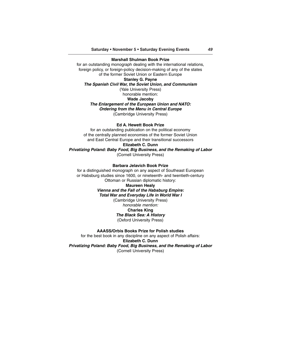#### **Marshall Shulman Book Prize**

for an outstanding monograph dealing with the international relations, foreign policy, or foreign-policy decision-making of any of the states of the former Soviet Union or Eastern Europe **Stanley G. Payne**

**The Spanish Civil War, the Soviet Union, and Communism**

(Yale University Press) honorable mention:

**Wade Jacoby**

## **The Enlargement of the European Union and NATO:**

**Ordering from the Menu in Central Europe**

(Cambridge University Press)

## **Ed A. Hewett Book Prize**

for an outstanding publication on the political economy of the centrally planned economies of the former Soviet Union and East Central Europe and their transitional successors **Elizabeth C. Dunn**

**Privatizing Poland: Baby Food, Big Business, and the Remaking of Labor** (Cornell University Press)

# **Barbara Jelavich Book Prize**

for a distinguished monograph on any aspect of Southeast European or Habsburg studies since 1600, or nineteenth- and twentieth-century Ottoman or Russian diplomatic history: **Maureen Healy**

**Vienna and the Fall of the Habsburg Empire: Total War and Everyday Life in World War I**

(Cambridge University Press) honorable mention: **Charles King**

**The Black Sea: A History** (Oxford University Press)

**AAASS/Orbis Books Prize for Polish studies**

for the best book in any discipline on any aspect of Polish affairs: **Elizabeth C. Dunn Privatizing Poland: Baby Food, Big Business, and the Remaking of Labor** (Cornell University Press)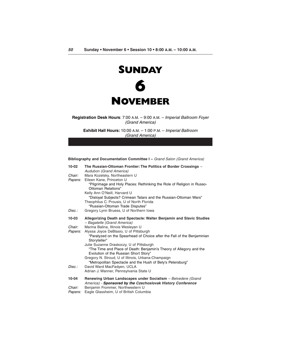

**Registration Desk Hours**: 7:00 A.M. – 9:00 A.M. – Imperial Ballroom Foyer (Grand America)

**Exhibit Hall Hours:** 10:00 A.M. – 1:00 P.M. – Imperial Ballroom (Grand America)

| Bibliography and Documentation Committee I – Grand Salon (Grand America) |                                                                                                                                                                               |  |
|--------------------------------------------------------------------------|-------------------------------------------------------------------------------------------------------------------------------------------------------------------------------|--|
| 10-02                                                                    | The Russian-Ottoman Frontier: The Politics of Border Crossings -<br>Audubon (Grand America)                                                                                   |  |
| Chair:                                                                   | Mara Kozelsky, Northeastern U                                                                                                                                                 |  |
| <i>Papers:</i>                                                           | Eileen Kane, Princeton U<br>"Pilgrimage and Holy Places: Rethinking the Role of Religion in Russo-<br>Ottoman Relations"                                                      |  |
|                                                                          | Kelly Ann O'Neill, Harvard U<br>"Disloyal Subjects? Crimean Tatars and the Russian-Ottoman Wars"<br>Theophilus C. Prousis, U of North Florida                                 |  |
|                                                                          | "Russian-Ottoman Trade Disputes"                                                                                                                                              |  |
| Disc.:                                                                   | Gregory Lynn Bruess, U of Northern Iowa                                                                                                                                       |  |
| 10-03                                                                    | Allegorizing Death and Spectacle: Walter Benjamin and Slavic Studies<br>- Bagatelle (Grand America)                                                                           |  |
| Chair:                                                                   | Marina Balina, Illinois Wesleyan U                                                                                                                                            |  |
| <i>Papers:</i>                                                           | Alyssa Joyce DeBlasio, U of Pittsburgh<br>"Paralyzed on the Spearhead of Choice after the Fall of the Benjaminian<br>Storyteller"<br>Julie Suzanne Draskoczy, U of Pittsburgh |  |
|                                                                          | "The Time and Place of Death: Benjamin's Theory of Allegory and the<br>Evolution of the Russian Short Story"                                                                  |  |
|                                                                          | Gregory N. Stroud, U of Illinois, Urbana-Champaign<br>"Metropolitan Spectacle and the Hush of Bely's Petersburg"                                                              |  |
| Disc.:                                                                   | David Ward MacFadyen, UCLA<br>Adrian J. Wanner, Pennsylvania State U                                                                                                          |  |
| 10-04                                                                    | Renewing Urban Landscapes under Socialism - Belvedere (Grand<br>America) - Sponsored by the Czechoslovak History Conference                                                   |  |
| Chair:                                                                   | Benjamin Frommer, Northwestern U                                                                                                                                              |  |

Papers: Eagle Glassheim, U of British Columbia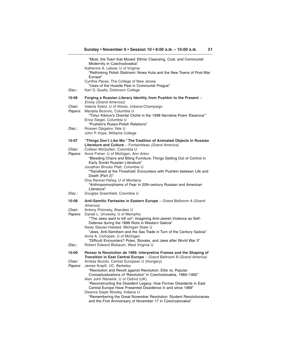|                          | "Most, the Town that Moved: Ethnic Cleansing, Coal, and Communist<br>Modernity in Czechoslovakia"<br>Katherine A. Lebow, U of Virginia<br>"Rethinking Polish Stalinism: Nowa Huta and the New Towns of Post-War |
|--------------------------|-----------------------------------------------------------------------------------------------------------------------------------------------------------------------------------------------------------------|
|                          | Europe"<br>Cynthia Paces, The College of New Jersey<br>"Uses of the Hussite Past in Communist Praque"                                                                                                           |
| Disc.:                   | Karl D. Qualls, Dickinson College                                                                                                                                                                               |
| 10-06                    | Forging a Russian Literary Identity, from Pushkin to the Present -<br>Envoy (Grand America))                                                                                                                    |
| Chair:<br>Papers:        | Valeria Sobol, U of Illinois, Urbana-Champaign<br>Marijeta Bozovic, Columbia U<br>"Timur Kibirov's Oriental Cliché in the 1998 Narrative Poem 'Eleanora"<br>Erica Siegel, Columbia U                            |
| Disc.:                   | "Pushkin's Russo-Polish Relations"<br>Rossen Djagalov, Yale U<br>John P. Hope, Williams College                                                                                                                 |
| 10-07                    | "Things Don't Like Me:" The Tradition of Animated Objects in Russian<br>Literature and Culture - Fontainbleau (Grand America)                                                                                   |
| Chair:<br>Papers:        | Colleen McQuillen, Columbia U<br>Anne Fisher, U of Michigan, Ann Arbor<br>"Bleeding Chairs and Biting Furniture: Things Getting Out of Control in<br>Early Soviet Russian Literature"                           |
|                          | Jonathan Brooks Platt, Columbia U<br>"Transfixed at the Threshold: Encounters with Pushkin between Life and<br>Death (Part 2)"                                                                                  |
|                          | Ona Renner-Fahey, U of Montana<br>"Anthropomorphisms of Fear in 20th-century Russian and American<br>Literature"                                                                                                |
| Disc.:                   | Douglas Greenfield, Columbia U                                                                                                                                                                                  |
| 10-08                    | Anti-Semitic Fantasies in Eastern Europe - Grand Ballroom A (Grand<br>America)                                                                                                                                  |
| Chair:<br><i>Papers:</i> | Antony Polonsky, Brandeis U<br>Daniel L. Unowsky, U of Memphis<br>"The Jews want to kill us!': Imagining Anti-Jewish Violence as Self-                                                                          |
|                          | Defense during the 1898 Riots in Western Galicia"<br>Keely Stauter-Halsted, Michigan State U<br>"Jews, Anti-Semitism and the Sex Trade in Turn of the Century Galicia"                                          |
|                          | Anna A. Cichopek, U of Michigan<br>"Difficult Encounters? Poles, Slovaks, and Jews after World War II"                                                                                                          |
| Disc.:                   | Robert Edward Blobaum, West Virginia U                                                                                                                                                                          |
| 10-09<br>Chair:          | Penser la Revolution de 1989: Interpretive Frames and the Shaping of<br>Transition in East Central Europe - Grand Ballroom B (Grand America)<br>Andras Bozoki, Central European U (Hungary)                     |
| <i>Papers:</i>           | James Krapfl, UC, Berkeley<br>"Revolution and Revolt against Revolution: Elite vs. Popular<br>Conceptualizations of 'Revolution' in Czechoslovakia, 1989-1992"                                                  |
|                          | Alan John Renwick, U of Oxford (UK)<br>"Reconstructing the Dissident Legacy: How Former Dissidents in East<br>Central Europe Have Presented Dissidence in and since 1989"                                       |
|                          | Deanna Gayle Wooley, Indiana U<br>"Remembering the Great November Revolution: Student Revolutionaries<br>and the First Anniversary of November 17 in Czechoslovakia"                                            |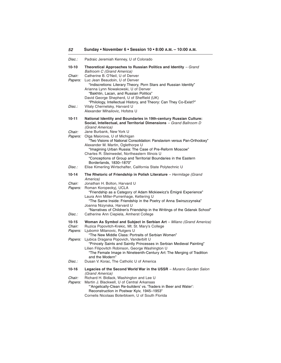| Disc.:                             | Padraic Jeremiah Kenney, U of Colorado                                                                                                                                                                                                                                                                                                                                               |
|------------------------------------|--------------------------------------------------------------------------------------------------------------------------------------------------------------------------------------------------------------------------------------------------------------------------------------------------------------------------------------------------------------------------------------|
| 10-10                              | Theoretical Approaches to Russian Politics and Identity - Grand<br><b>Ballroom C (Grand America)</b>                                                                                                                                                                                                                                                                                 |
| Chair:<br><i>Papers:</i><br>Disc.: | Catherine B. O'Neil, U of Denver<br>Luc Jean Beaudoin, U of Denver<br>"Indiscretions: Literary Theory, Porn Stars and Russian Identity"<br>Arianna Lynn Nowakowski, U of Denver<br>"Bakhtin, Lacan, and Russian Politics"<br>David George Shepherd, U of Sheffield (UK)<br>"Philology, Intellectual History, and Theory: Can They Co-Exist?"                                         |
|                                    | Vitaly Chernetsky, Harvard U<br>Alexander Mihailovic, Hofstra U                                                                                                                                                                                                                                                                                                                      |
| 10-11                              | National Identity and Boundaries in 19th-century Russian Culture:<br>Social, Intellectual, and Territorial Dimensions - Grand Ballroom D<br>(Grand America)                                                                                                                                                                                                                          |
| Chair:<br><i>Papers:</i>           | Jane Burbank, New York U<br>Olga Maiorova, U of Michigan<br>"Two Visions of National Consolidation: Panslavism versus Pan-Orthodoxy"<br>Alexander M. Martin, Oglethorpe U<br>"Imagining Urban Russia: The Case of Pre-Reform Moscow"<br>Charles R. Steinwedel, Northeastern Illinois U<br>"Conceptions of Group and Territorial Boundaries in the Eastern<br>Borderlands, 1830-1870" |
| Disc.:                             | Elise Kimerling Wirtschafter, California State Polytechnic U                                                                                                                                                                                                                                                                                                                         |
| 10-14<br>Chair:                    | The Rhetoric of Friendship in Polish Literature - Hermitage (Grand<br>America)<br>Jonathan H. Bolton, Harvard U                                                                                                                                                                                                                                                                      |
| <i>Papers:</i>                     | Roman Koropeckyj, UCLA<br>"Friendship as a Category of Adam Mickiewicz's Emigré Experience"<br>Laura Ann Miller-Purrenhage, Kettering U<br>"The Same Inside: Friendship in the Poetry of Anna Swirszczynska"<br>Joanna Nizynska, Harvard U<br>"Narratives of Children's Friendship in the Writings of the Gdansk School"                                                             |
| Disc.:                             | Catherine Ann Ciepiela, Amherst College                                                                                                                                                                                                                                                                                                                                              |
| 10-15<br>Chair:<br><i>Papers:</i>  | Woman As Symbol and Subject in Serbian Art - Milano (Grand America)<br>Ruzica Popovitch-Krekic, Mt. St. Mary's College<br>Ljubomir Milanovic, Rutgers U                                                                                                                                                                                                                              |
| <i>Papers:</i>                     | "The New Middle Class: Portraits of Serbian Women"<br>Ljubica Dragana Popovich, Vanderbilt U<br>"Princely Saints and Saintly Princesses in Serbian Medieval Painting"<br>Lilien Filipovitch Robinson, George Washington U<br>"The Female Image in Nineteenth-Century Art: The Merging of Tradition<br>and the Modern"                                                                |
| Disc.:                             | Dusan V. Korac, The Catholic U of America                                                                                                                                                                                                                                                                                                                                            |
| 10-16                              | Legacies of the Second World War in the USSR - Murano Garden Salon<br>(Grand America)                                                                                                                                                                                                                                                                                                |
| Chair:<br><i>Papers:</i>           | Richard H. Bidlack, Washington and Lee U<br>Martin J. Blackwell, U of Central Arkansas<br>"Angelically-Clean Re-builders' vs. 'Traders in Beer and Water':<br>Reconstruction in Postwar Kyiv, 1945-1953"<br>Cornelis Nicolaas Boterbloem, U of South Florida                                                                                                                         |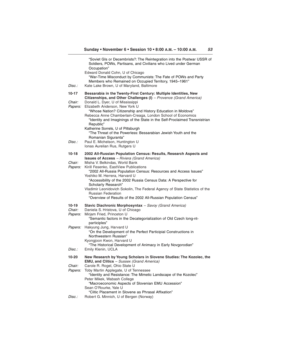| Disc.:            | "Soviet GIs or Decembrists?: The Reintegration into the Postwar USSR of<br>Soldiers, POWs, Partisans, and Civilians who Lived under German<br>Occupation"<br>Edward Donald Cohn, U of Chicago<br>"War-Time Misconduct by Communists: The Fate of POWs and Party<br>Members who Remained on Occupied Territory, 1945-1961"<br>Kate Lake Brown, U of Maryland, Baltimore |
|-------------------|------------------------------------------------------------------------------------------------------------------------------------------------------------------------------------------------------------------------------------------------------------------------------------------------------------------------------------------------------------------------|
| 10-17             | Bessarabia in the Twenty-First Century: Multiple Identities, New                                                                                                                                                                                                                                                                                                       |
| Chair:<br>Papers: | Citizenships, and Other Challenges (I) - Provence (Grand America)<br>Donald L. Dyer, U of Mississippi<br>Elizabeth Anderson, New York U<br>"Whose Nation? Citizenship and History Education in Moldova"<br>Rebecca Anne Chamberlain-Creaga, London School of Economics<br>"Identity and Imaginings of the State in the Self-Proclaimed Transnistrian<br>Republic"      |
|                   | Katherine Sorrels, U of Pittsburgh<br>"The Threat of the Powerless: Bessarabian Jewish Youth and the<br>Romanian Siguranta"                                                                                                                                                                                                                                            |
| Disc.:            | Paul E. Michelson, Huntington U<br>Ionas Aurelian Rus, Rutgers U                                                                                                                                                                                                                                                                                                       |
| 10-18             | 2002 All-Russian Population Census: Results, Research Aspects and                                                                                                                                                                                                                                                                                                      |
| Chair:            | <b>Issues of Access</b> - Riviera (Grand America)<br>Misha V. Belkindas, World Bank                                                                                                                                                                                                                                                                                    |
| Papers:           | Kirill Fesenko, EastView Publications<br>"2002 All-Russia Population Census: Resources and Access Issues"                                                                                                                                                                                                                                                              |
|                   | Yoshiko M. Herrera, Harvard U<br>"Accessibility of the 2002 Russia Census Data: A Perspective for<br>Scholarly Research"                                                                                                                                                                                                                                               |
|                   | Vladimir Leonidovich Sokolin, The Federal Agency of State Statistics of the<br><b>Russian Federation</b>                                                                                                                                                                                                                                                               |
|                   | "Overview of Results of the 2002 All-Russian Population Census"                                                                                                                                                                                                                                                                                                        |
| 10-19<br>Chair:   | Slavic Diachronic Morphosyntax - Savoy (Grand America)<br>Daniela S. Hristova, U of Chicago                                                                                                                                                                                                                                                                            |
| Papers:           | Mirjam Fried, Princeton U<br>"Semantic factors in the Decategorialization of Old Czech long-nt-<br>participles"                                                                                                                                                                                                                                                        |
| Papers:           | Hakyung Jung, Harvard U<br>"On the Development of the Perfect Participial Constructions in<br>Northwestern Russian"<br>Kyongjoon Kwon, Harvard U                                                                                                                                                                                                                       |
| Disc.:            | "The Historical Development of Animacy in Early Novgorodian"<br>Emily Klenin, UCLA                                                                                                                                                                                                                                                                                     |
| 10-20             | New Research by Young Scholars in Slovene Studies: The Kozolec, the                                                                                                                                                                                                                                                                                                    |
| Chair:            | EMU, and Clitics - Sussex (Grand America)<br>Carole R. Rogel, Ohio State U                                                                                                                                                                                                                                                                                             |
| Papers:           | Toby Martin Applegate, U of Tennessee<br>"Identity and Resistance: The Mimetic Landscape of the Kozolec"                                                                                                                                                                                                                                                               |
|                   | Peter Mikek, Wabash College<br>"Macroeconomic Aspects of Slovenian EMU Accession"<br>Sean O'Rourke, Yale U                                                                                                                                                                                                                                                             |
| Disc.:            | "Clitic Placement in Slovene as Phrasal Affixation"<br>Robert G. Minnich, U of Bergen (Norway)                                                                                                                                                                                                                                                                         |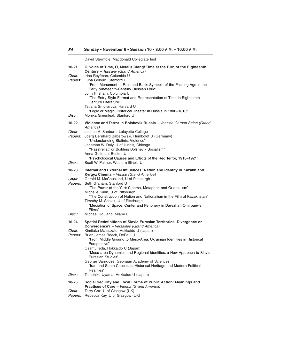|                          | David Stermole, Macdonald Collegiate Inst                                                                                                               |
|--------------------------|---------------------------------------------------------------------------------------------------------------------------------------------------------|
| 10-21                    | O, Voice of Time, O, Metal's Clang! Time at the Turn of the Eighteenth                                                                                  |
| Chair:<br>Papers:        | Century - Tuscany (Grand America)<br>Irina Reyfman, Columbia U<br>Luba Golburt, Stanford U                                                              |
|                          | "From Monument to Ruin and Back: Symbols of the Passing Age in the<br>Early Nineteenth-Century Russian Lyric"<br>John F. Isham, Columbia U              |
|                          | "The Entry-Style Format and Representation of Time in Eighteenth-<br>Century Literature"                                                                |
| Disc.:                   | Tatiana Smoliarova, Harvard U<br>"Logic or Magic: Historical Theater in Russia in 1800-1810"<br>Monika Greenleaf, Stanford U                            |
| 10-22                    | Violence and Terror in Bolshevik Russia - Venezia Garden Salon (Grand<br>America)                                                                       |
| Chair:<br>Papers:        | Joshua A. Sanborn, Lafayette College<br>Joerg Bernhard Baberowski, Humboldt U (Germany)<br>"Understanding Stalinist Violence"                           |
|                          | Jonathan W. Daly, U of Illinois, Chicago<br>"'Rasstreliat,' or Building Bolshevik Socialism"                                                            |
| Disc.:                   | Anna Geifman, Boston U<br>"Psychological Causes and Effects of the Red Terror, 1918-1921"<br>Scott W. Palmer, Western Illinois U                        |
| 10-23                    | Internal and External Influences: Nation and Identity in Kazakh and                                                                                     |
| Chair:<br><i>Papers:</i> | Kyrgyz Cinema - Venice (Grand America)<br>Gerald M. McCausland, U of Pittsburgh<br>Seth Graham, Stanford U                                              |
|                          | "The Power of the Yurt: Cinema, Metaphor, and Orientalism"<br>Michelle Kuhn, U of Pittsburgh                                                            |
|                          | "The Construction of Nation and Nationalism in the Film of Kazakhstan"<br>Timothy M. Schlak, U of Pittsburgh                                            |
| Disc.:                   | "Mediation of Space: Center and Periphery in Darezhan Omirbaev's<br>Films"<br>Michael Rouland, Miami U                                                  |
|                          |                                                                                                                                                         |
| 10-24                    | Spatial Redefinitions of Slavic Eurasian Territories: Divergence or<br>Convergence? - Versailles (Grand America)                                        |
| Chair:<br>Papers:        | Kimitaka Matsuzato, Hokkaido U (Japan)<br>Brian James Boeck, DePaul U<br>"From Middle Ground to Meso-Area: Ukrainian Identities in Historical           |
|                          | Perspective"<br>Osamu leda, Hokkaido U (Japan)<br>"Meso-area Dynamics and Regional Identities: a New Approach to Slavic                                 |
|                          | Eurasian Studies"<br>George Sanikidze, Georgian Academy of Sciences<br>"Iran and South Caucasus: Historical Heritage and Modern Political<br>Realities" |
| Disc.:                   | Tomohiko Uyama, Hokkaido U (Japan)                                                                                                                      |
| $10 - 25$                | Social Security and Local Forms of Public Action: Meanings and<br>Practices of Care - Vienna (Grand America)                                            |
| Chair:<br>Papers:        | Terry Cox, U of Glasgow (UK)<br>Rebecca Kay, U of Glasgow (UK)                                                                                          |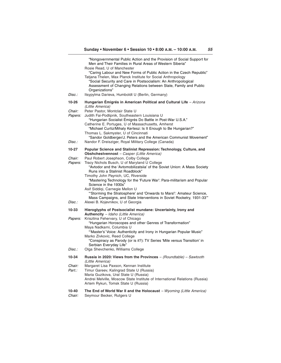|                          | "Nongovernmental Public Action and the Provision of Social Support for<br>Men and Their Families in Rural Areas of Western Siberia"<br>Rosie Read, U of Manchester<br>"Caring Labour and New Forms of Public Action in the Czech Republic"<br>Tatjana Thelen, Max Planck Institute for Social Anthropology                                                                                                                                                                                                                         |
|--------------------------|------------------------------------------------------------------------------------------------------------------------------------------------------------------------------------------------------------------------------------------------------------------------------------------------------------------------------------------------------------------------------------------------------------------------------------------------------------------------------------------------------------------------------------|
|                          | "Social Security and Care in Postsocialism: An Anthropological<br>Assessment of Changing Relations between State, Family and Public<br>Organizations"                                                                                                                                                                                                                                                                                                                                                                              |
| Disc.:                   | Itsypylma Darieva, Humboldt U (Berlin, Germany)                                                                                                                                                                                                                                                                                                                                                                                                                                                                                    |
| 10-26                    | Hungarian Emigrés in American Political and Cultural Life - Arizona<br>(Little America)                                                                                                                                                                                                                                                                                                                                                                                                                                            |
| Chair:<br><i>Papers:</i> | Peter Pastor, Montclair State U<br>Judith Fai-Podlipnik, Southeastern Louisiana U<br>"Hungarian Socialist Émigrés Do Battle in Post-War U.S.A."<br>Catherine E. Portuges, U of Massachusetts, Amherst<br>"Michael Curtiz/Mihaly Kertesz: Is It Enough to Be Hungarian?"<br>Thomas L. Sakmyster, U of Cincinnati                                                                                                                                                                                                                    |
| Disc.:                   | "Sandor Goldberger/J. Peters and the American Communist Movement"<br>Nandor F. Dreisziger, Royal Military College (Canada)                                                                                                                                                                                                                                                                                                                                                                                                         |
| 10-27                    | Popular Science and Stalinist Repression: Technology, Culture, and<br><b>Obshchestvennost</b> - Casper (Little America)                                                                                                                                                                                                                                                                                                                                                                                                            |
| Chair:<br><i>Papers:</i> | Paul Robert Josephson, Colby College<br>Tracy Nichols Busch, U of Maryland U College<br>"Avtodor and the 'Avtomobilizatsiia' of the Soviet Union: A Mass Society<br>Runs into a Stalinist Roadblock"<br>Timothy John Paynich, UC, Riverside<br>"Mastering Technology for the 'Future War': Para-militarism and Popular<br>Science in the 1930s"<br>Asif Siddigi, Carnegie Mellon U<br>"Storming the Stratosphere' and 'Onwards to Mars!': Amateur Science,<br>Mass Campaigns, and State Interventions in Soviet Rocketry, 1931-33" |
| Disc.:                   | Alexei B. Kojevnikov, U of Georgia                                                                                                                                                                                                                                                                                                                                                                                                                                                                                                 |
| 10-33                    | Hieroglyphs of Postsocialist mundane: Uncertainty, Irony and                                                                                                                                                                                                                                                                                                                                                                                                                                                                       |
| <i>Papers:</i>           | Authencity - Idaho (Little America)<br>Krisztina Fehervary, U of Chicago<br>"Hungarian Horoscopes and other Genres of Transformation"<br>Maya Nadkarni, Columbia U                                                                                                                                                                                                                                                                                                                                                                 |
|                          | "Master's' Voice: Authenticity and Irony in Hungarian Popular Music"<br>Marko Zivkovic, Reed College<br>"Conspiracy as Parody (or is it?): TV Series 'Mile versus Transition' in<br>Serbian Everyday Life"                                                                                                                                                                                                                                                                                                                         |
| Disc.:                   | Olga Shevchenko, Williams College                                                                                                                                                                                                                                                                                                                                                                                                                                                                                                  |
| 10-34                    | Russia in 2020: Views from the Provinces $-$ (Roundtable) $-$ Sawtooth<br>(Little America)                                                                                                                                                                                                                                                                                                                                                                                                                                         |
| Chair:<br>Part.:         | Margaret Lisa Paxson, Kennan Institute<br>Timur Gareev, Kalingrad State U (Russia)<br>Maria Guzikova, Ural State U (Russia)<br>Andrei Melville, Moscow State Institute of International Relations (Russia)<br>Artem Rykun, Tomsk State U (Russia)                                                                                                                                                                                                                                                                                  |
| 10-40                    | The End of World War II and the Holocaust - Wyoming (Little America)                                                                                                                                                                                                                                                                                                                                                                                                                                                               |

Chair: Seymour Becker, Rutgers U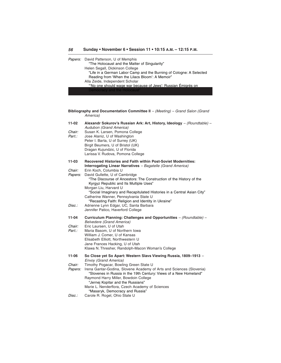#### **56 Sunday • November 6 • Session 11 • 10:15 A.M. – 12:15 P.M.**

| Papers: David Patterson, U of Memphis                               |
|---------------------------------------------------------------------|
| "The Holocaust and the Matter of Singularity"                       |
| Helen Segall, Dickinson College                                     |
| "Life in a German Labor Camp and the Burning of Cologne: A Selected |
| Reading from 'When the Lilacs Bloom': A Memoir"                     |
| Alla Zeide, Independent Scholar                                     |
| "No one should wage war because of Jews': Russian Émigrés on        |
| Democracy and the Holocaust"                                        |

| Bibliography and Documentation Committee II - (Meeting) - Grand Salon (Grand<br>America) |                                                                                                                                                                                                                                                                                                                                                                                          |  |
|------------------------------------------------------------------------------------------|------------------------------------------------------------------------------------------------------------------------------------------------------------------------------------------------------------------------------------------------------------------------------------------------------------------------------------------------------------------------------------------|--|
| 11-02<br>Chair:<br>Part.:                                                                | Alexandr Sokurov's Russian Ark: Art, History, Ideology - (Roundtable) -<br>Audubon (Grand America)<br>Susan K. Larsen, Pomona College<br>Jose Alaniz, U of Washington<br>Peter I. Barta, U of Surrey (UK)<br>Birgit Beumers, U of Bristol (UK)<br>Dragan Kujundzic, U of Florida<br>Larissa V. Rudova, Pomona College                                                                    |  |
| 11-03                                                                                    | <b>Recovered Histories and Faith within Post-Soviet Modernities:</b><br><b>Interrogating Linear Narratives</b> - Bagatelle (Grand America)                                                                                                                                                                                                                                               |  |
| Chair:<br>Papers:                                                                        | Erin Koch, Columbia U<br>David Gullette, U of Cambridge<br>"The Discourse of Ancestors: The Construction of the History of the<br>Kyrgyz Republic and Its Multiple Uses"<br>Morgan Liu, Harvard U<br>"Social Imaginary and Recapitulated Histories in a Central Asian City"<br>Catherine Wanner, Pennsylvania State U                                                                    |  |
| Disc.:                                                                                   | "Recasting Faith: Religion and Identity in Ukraine"<br>Adrienne Lynn Edgar, UC, Santa Barbara<br>Jennifer Patico, Haverford College                                                                                                                                                                                                                                                      |  |
| 11-04<br>Chair:<br>Part.:                                                                | Curriculum Planning: Challenges and Opportunities - (Roundtable) -<br><b>Belvedere (Grand America)</b><br>Eric Laursen, U of Utah<br>Maria Basom, U of Northern Iowa<br>William J. Comer, U of Kansas<br>Elisabeth Elliott, Northwestern U<br>Jane Frances Hacking, U of Utah<br>Klawa N. Thresher, Randolph-Macon Woman's College                                                       |  |
| 11-06                                                                                    | So Close yet So Apart: Western Slavs Viewing Russia, 1809-1913 -<br>Envoy (Grand America)                                                                                                                                                                                                                                                                                                |  |
| Chair:<br>Papers:<br>Disc.:                                                              | Timothy Pogacar, Bowling Green State U<br>Irena Gantar-Godina, Slovene Academy of Arts and Sciences (Slovenia)<br>"Slovenes in Russia in the 19th Century: Views of a New Homeland"<br>Raymond Harry Miller, Bowdoin College<br>"Jernej Kopitar and the Russians"<br>Marie L. Nenderflora, Czech Academy of Sciences<br>"Masaryk, Democracy and Russia"<br>Carole R. Rogel, Ohio State U |  |
|                                                                                          |                                                                                                                                                                                                                                                                                                                                                                                          |  |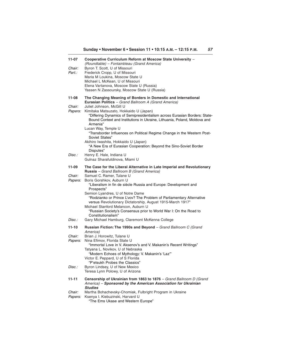| 11-07<br>Chair:<br>Part.: | Cooperative Curriculum Reform at Moscow State University -<br>(Roundtable) - Fontainbleau (Grand America)<br>Byron T. Scott, U of Missouri<br>Frederick Cropp, U of Missouri<br>Maria M Loukina, Moscow State U<br>Michael L McKean, U of Missouri<br>Elena Vartanova, Moscow State U (Russia)<br>Yassen N Zassoursky, Moscow State U (Russia) |
|---------------------------|------------------------------------------------------------------------------------------------------------------------------------------------------------------------------------------------------------------------------------------------------------------------------------------------------------------------------------------------|
| 11-08                     | The Changing Meaning of Borders in Domestic and International<br>Eurasian Politics - Grand Ballroom A (Grand America)                                                                                                                                                                                                                          |
| Chair:                    | Juliet Johnson, McGill U                                                                                                                                                                                                                                                                                                                       |
| <i>Papers:</i>            | Kimitaka Matsuzato, Hokkaido U (Japan)<br>"Differing Dynamics of Semipresidentialism across Eurasian Borders: State-<br>Bound Context and Institutions in Ukraine, Lithuania, Poland, Moldova and<br>Armenia"<br>Lucan Way, Temple U                                                                                                           |
|                           | "Transborder Influences on Political Regime Change in the Western Post-<br>Soviet States"                                                                                                                                                                                                                                                      |
|                           | Akihiro Iwashita, Hokkaido U (Japan)<br>"A New Era of Eurasian Cooperation: Beyond the Sino-Soviet Border<br>Disputes"                                                                                                                                                                                                                         |
| Disc.:                    | Henry E. Hale, Indiana U<br>Gulnaz Sharafutdinova, Miami U                                                                                                                                                                                                                                                                                     |
| 11-09                     | The Case for the Liberal Alternative in Late Imperial and Revolutionary<br><b>Russia</b> – Grand Ballroom B (Grand America)                                                                                                                                                                                                                    |
| <i>Chair:</i>             | Samuel C. Ramer, Tulane U                                                                                                                                                                                                                                                                                                                      |
| Papers:                   | Boris Gorshkov, Auburn U<br>"Liberalism in fin de siècle Russia and Europe: Development and<br>Prospects"                                                                                                                                                                                                                                      |
|                           | Semion Lyandres, U of Notre Dame<br>"Rodzianko or Prince L'vov? The Problem of Parliamentary Alternative<br>versus Revolutionary Dictatorship, August 1915-March 1917"<br>Michael Stanford Melancon, Auburn U                                                                                                                                  |
|                           | "Russian Society's Consensus prior to World War I: On the Road to<br>Constitutionalism"                                                                                                                                                                                                                                                        |
| Disc.:                    | Gary Michael Hamburg, Claremont McKenna College                                                                                                                                                                                                                                                                                                |
| 11-10                     | Russian Fiction: The 1990s and Beyond - Grand Ballroom C (Grand<br>America)                                                                                                                                                                                                                                                                    |
| Chair:<br><i>Papers:</i>  | Brian J. Horowitz, Tulane U<br>Nina Efimov, Florida State U<br>"Immortal Love in V. Aksenov's and V. Makanin's Recent Writings"<br>Tatyana L. Novikov, U of Nebraska<br>"Modern Echoes of Mythology: V. Makanin's 'Laz"<br>Victor E. Peppard, U of S Florida<br>"P'etsukh Probes the Classics"                                                 |
| Disc.:                    | Byron Lindsey, U of New Mexico<br>Teresa Lynn Polowy, U of Arizona                                                                                                                                                                                                                                                                             |
| 11-11                     | Censorship of Ukrainian from 1863 to 1876 - Grand Ballroom D (Grand<br>America) - Sponsored by the American Association for Ukrainian<br><b>Studies</b>                                                                                                                                                                                        |
| Chair:<br>Papers:         | Martha Bohachevsky-Chomiak, Fulbright Program in Ukraine<br>Ksenya I. Kiebuzinski, Harvard U                                                                                                                                                                                                                                                   |

"The Ems Ukase and Western Europe"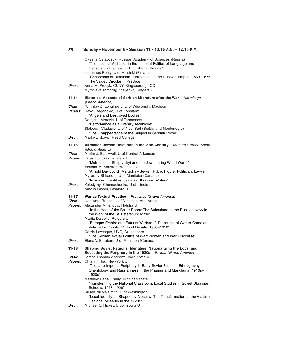| Disc.:                            | Oksana Ostapczuk, Russian Academy of Sciences (Russia)<br>"The Issue of Alphabet in the Imperial Politics of Language and<br>Censorship Practice on Right-Bank Ukraine"<br>Johannes Remy, U of Helsinki (Finland)<br>"Censorship of Ukrainian Publications in the Russian Empire, 1863-1876:<br>The Valuev Circular in Practice"<br>Anna M. Procyk, CUNY, Kingsborough CC                                                                                                                                            |
|-----------------------------------|----------------------------------------------------------------------------------------------------------------------------------------------------------------------------------------------------------------------------------------------------------------------------------------------------------------------------------------------------------------------------------------------------------------------------------------------------------------------------------------------------------------------|
|                                   | Myroslava Tomorug Znayenko, Rutgers U                                                                                                                                                                                                                                                                                                                                                                                                                                                                                |
| 11-14<br>Chair:<br>Papers:        | Historical Aspects of Serbian Literature after the War - Hermitage<br>(Grand America)<br>Tomislav Z. Longinovic, U of Wisconsin, Madison<br>Davor Beganovic, U of Konstanz<br>"Angels and Destroyed Bodies"<br>Damjana Mraovic, U of Tennessee<br>"Performance as a Literary Technique"<br>Slobodan Vladusic, U of Novi Sad (Serbia and Montenegro)<br>"The Disappearance of the Subject in Serbian Prose"                                                                                                           |
| Disc.:                            | Marko Zivkovic, Reed College                                                                                                                                                                                                                                                                                                                                                                                                                                                                                         |
| 11-16                             | Ukrainian-Jewish Relations in the 20th Century - Murano Garden Salon<br>(Grand America)                                                                                                                                                                                                                                                                                                                                                                                                                              |
| Chair:<br><i>Papers:</i>          | Martin J. Blackwell, U of Central Arkansas<br>Taras Hunczak, Rutgers U<br>"Metropolitan Sheptytskyi and the Jews during World War II"<br>Victoria M. Khiterer, Brandeis U<br>"Arnold Davidovich Margolin - Jewish Public Figure, Politician, Lawyer"<br>Myroslav Shkandrij, U of Manitoba (Canada)<br>"Imagined Identities: Jews as Ukrainian Writers"                                                                                                                                                               |
| Disc.:                            | Volodymyr Chumachenko, U of Illinois<br>Amelia Glaser, Stanford U                                                                                                                                                                                                                                                                                                                                                                                                                                                    |
| 11-17<br>Chair:<br><i>Papers:</i> | War as Textual Practice - Provence (Grand America)<br>Ivan Ante Runac, U of Michigan, Ann Arbor<br>Alexander Mihailovic, Hofstra U<br>"In the Heat of the Boiler Room: The Subculture of the Russian Navy in<br>the Work of the St. Petersburg Mit'ki"<br>Marija Dalbello, Rutgers U<br>"Baroque Empire and Futurist Warfare: A Discourse of War-to-Come as<br>Vehicle for Popular Political Debate, 1900-1918"<br>Carrie Levesque, UNC, Greensboro<br>"The Sexual/Textual Politics of War: Women and War Discourse" |
| Disc.:                            | Elena V. Baraban, U of Manitoba (Canada)                                                                                                                                                                                                                                                                                                                                                                                                                                                                             |
| 11-18                             | Shaping Soviet Regional Identities: Nationalizing the Local and<br>Recasting the Periphery in the 1920s - Riviera (Grand America)                                                                                                                                                                                                                                                                                                                                                                                    |
| Chair:<br><i>Papers:</i>          | James Thomas Andrews, Iowa State U<br>Chia Yin Hsu, New York U<br>"The Late Imperial Periphery in Early Soviet Science: Ethnography,<br>Orientology, and Russianness in the Priamur and Manchuria, 1910s-<br>1920s"<br>Matthew Denali Pauly, Michigan State U<br>"Transforming the National Classroom: Local Studies in Soviet Ukrainian<br>Schools, 1923-1928"<br>Susan Nicole Smith, U of Washington<br>"Local Identity as Shaped by Moscow: The Transformation of the Vladimir                                    |
| Disc.:                            | Regional Museum in the 1920s"<br>Michael C. Hickey, Bloomsburg U                                                                                                                                                                                                                                                                                                                                                                                                                                                     |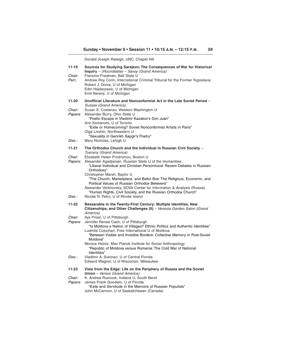|                               | Donald Joseph Raleigh, UNC, Chapel Hill                                                                                                                                                                                                                                                                                                       |
|-------------------------------|-----------------------------------------------------------------------------------------------------------------------------------------------------------------------------------------------------------------------------------------------------------------------------------------------------------------------------------------------|
| $11 - 19$<br>Chair:<br>Part.: | Sources for Studying Sarajevo: The Consequences of War for Historical<br>Inquiry - (Roundtable) - Savoy (Grand America)<br>Francine Friedman, Ball State U<br>Andrew Roy Corin, International Criminal Tribunal for the Former Yugoslavia<br>Robert J. Donia, U of Michigan<br>Edin Hajdarpasic, U of Michigan<br>Emil Kerenji, U of Michigan |
| 11-20<br>Chair:               | Unofficial Literature and Nonconformist Art in the Late Soviet Period -<br><b>Sussex (Grand America)</b><br>Susan E. Costanzo, Western Washington U                                                                                                                                                                                           |
| Papers:                       | Alexander Burry, Ohio State U<br>"Poetic Escape in Vladimir Kazakov's Don Juan"<br>Ann Komaromi, U of Toronto<br>"Exile or Homecoming? Soviet Nonconformist Artists in Paris"<br>Olga Livshin, Northwestern U<br>"Sexuality in Genrikh Sapgir's Poetry"                                                                                       |
| Disc.:                        | Mary Nicholas, Lehigh U                                                                                                                                                                                                                                                                                                                       |
| $11 - 21$                     | The Orthodox Church and the Individual in Russian Civil Society -<br>Tuscany (Grand America)                                                                                                                                                                                                                                                  |
| Chair:<br>Papers:             | Elizabeth Helen Prodromou, Boston U<br>Alexander Agadianian, Russian State U of the Humanities<br>"Liberal Individual and Christian Personhood: Recent Debates in Russian<br>Orthodoxy"<br>Christopher Marsh, Baylor U<br>"The Church, Marketplace, and Ballot Box: The Religious, Economic, and                                              |
| Disc.:                        | Political Values of Russian Orthodox Believers"<br>Alexander Verkhovsky, SOVA Center for Information & Analysis (Russia)<br>"Human Rights, Civil Society, and the Russian Orthodox Church"<br>Nicolai N. Petro, U of Rhode Island                                                                                                             |
| 11-22                         | Bessarabia in the Twenty-First Century: Multiple Identities, New<br>Citizenships, and Other Challenges (II) - Venezia Garden Salon (Grand<br>America)                                                                                                                                                                                         |
| Chair:<br>Papers:             | Ilya Prizel, U of Pittsburgh<br>Jennifer Renea Cash, U of Pittsburgh<br>"Is Moldova a Nation of Villages? Ethnic Politics and Authentic Identities"<br>Ludmila Cojochari, Free International U of Moldova<br>"Between Visible and Invisible Borders: Collective Memory in Post-Soviet<br>Moldova"                                             |
|                               | Monica Heintz, Max Planck Institute for Social Anthropology<br>"Republic of Moldova versus Romania: The Cold War of National<br>Identities"                                                                                                                                                                                                   |
| Disc.:                        | Vladimir A. Solonari, U of Central Florida<br>Edward Wagner, U of Wisconsin, Milwaukee                                                                                                                                                                                                                                                        |
| 11-23                         | View from the Edge: Life on the Periphery of Russia and the Soviet                                                                                                                                                                                                                                                                            |
| Chair:<br>Papers:             | Union - Venice (Grand America)<br>K. Andrea Rusnock, Indiana U, South Bend<br>James Frank Goodwin, U of Florida<br>"Exile and Servitude in the Memoirs of Russian Populists"<br>John McCannon, U of Saskatchewan (Canada)                                                                                                                     |